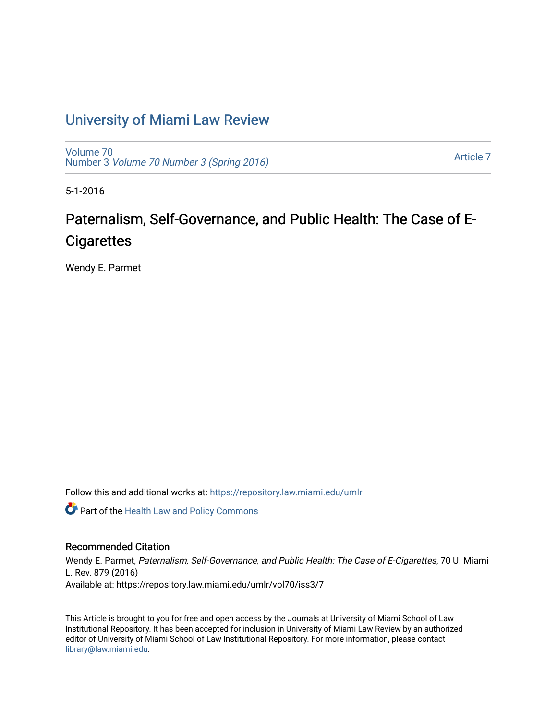### [University of Miami Law Review](https://repository.law.miami.edu/umlr)

[Volume 70](https://repository.law.miami.edu/umlr/vol70) Number 3 [Volume 70 Number 3 \(Spring 2016\)](https://repository.law.miami.edu/umlr/vol70/iss3)

[Article 7](https://repository.law.miami.edu/umlr/vol70/iss3/7) 

5-1-2016

# Paternalism, Self-Governance, and Public Health: The Case of E-**Cigarettes**

Wendy E. Parmet

Follow this and additional works at: [https://repository.law.miami.edu/umlr](https://repository.law.miami.edu/umlr?utm_source=repository.law.miami.edu%2Fumlr%2Fvol70%2Fiss3%2F7&utm_medium=PDF&utm_campaign=PDFCoverPages)

Part of the [Health Law and Policy Commons](http://network.bepress.com/hgg/discipline/901?utm_source=repository.law.miami.edu%2Fumlr%2Fvol70%2Fiss3%2F7&utm_medium=PDF&utm_campaign=PDFCoverPages) 

#### Recommended Citation

Wendy E. Parmet, Paternalism, Self-Governance, and Public Health: The Case of E-Cigarettes, 70 U. Miami L. Rev. 879 (2016) Available at: https://repository.law.miami.edu/umlr/vol70/iss3/7

This Article is brought to you for free and open access by the Journals at University of Miami School of Law Institutional Repository. It has been accepted for inclusion in University of Miami Law Review by an authorized editor of University of Miami School of Law Institutional Repository. For more information, please contact [library@law.miami.edu.](mailto:library@law.miami.edu)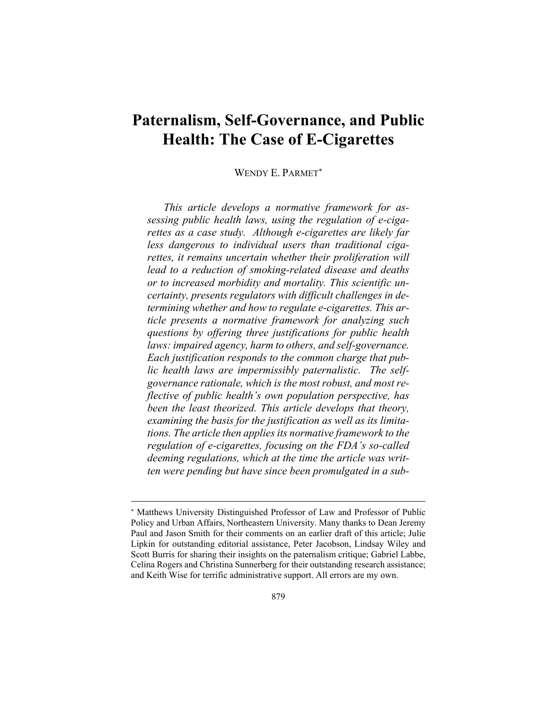## **Paternalism, Self-Governance, and Public Health: The Case of E-Cigarettes**

#### WENDY E. PARMET

*This article develops a normative framework for assessing public health laws, using the regulation of e-cigarettes as a case study. Although e-cigarettes are likely far less dangerous to individual users than traditional cigarettes, it remains uncertain whether their proliferation will lead to a reduction of smoking-related disease and deaths or to increased morbidity and mortality. This scientific uncertainty, presents regulators with difficult challenges in determining whether and how to regulate e-cigarettes. This article presents a normative framework for analyzing such questions by offering three justifications for public health laws: impaired agency, harm to others, and self-governance. Each justification responds to the common charge that public health laws are impermissibly paternalistic. The selfgovernance rationale, which is the most robust, and most reflective of public health's own population perspective, has been the least theorized. This article develops that theory, examining the basis for the justification as well as its limitations. The article then applies its normative framework to the regulation of e-cigarettes, focusing on the FDA's so-called deeming regulations, which at the time the article was written were pending but have since been promulgated in a sub-*

 Matthews University Distinguished Professor of Law and Professor of Public Policy and Urban Affairs, Northeastern University. Many thanks to Dean Jeremy Paul and Jason Smith for their comments on an earlier draft of this article; Julie Lipkin for outstanding editorial assistance, Peter Jacobson, Lindsay Wiley and Scott Burris for sharing their insights on the paternalism critique; Gabriel Labbe, Celina Rogers and Christina Sunnerberg for their outstanding research assistance; and Keith Wise for terrific administrative support. All errors are my own.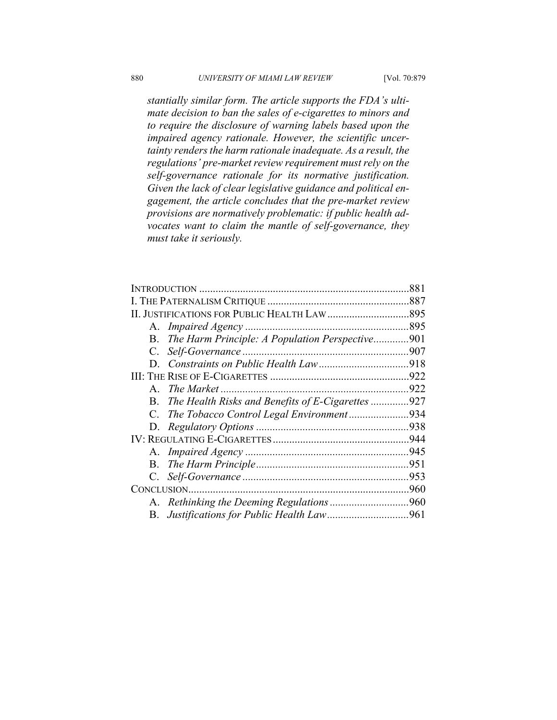*stantially similar form. The article supports the FDA's ultimate decision to ban the sales of e-cigarettes to minors and to require the disclosure of warning labels based upon the impaired agency rationale. However, the scientific uncertainty renders the harm rationale inadequate. As a result, the regulations' pre-market review requirement must rely on the self-governance rationale for its normative justification. Given the lack of clear legislative guidance and political engagement, the article concludes that the pre-market review provisions are normatively problematic: if public health advocates want to claim the mantle of self-governance, they must take it seriously.* 

|                                                         | 881 |
|---------------------------------------------------------|-----|
|                                                         |     |
|                                                         |     |
|                                                         |     |
| B. The Harm Principle: A Population Perspective901      |     |
| C.                                                      |     |
|                                                         |     |
|                                                         |     |
| $\mathsf{A}$                                            |     |
| The Health Risks and Benefits of E-Cigarettes 927<br>В. |     |
| $C_{\cdot}$                                             |     |
|                                                         |     |
|                                                         |     |
|                                                         |     |
|                                                         |     |
| C.                                                      |     |
|                                                         |     |
|                                                         |     |
|                                                         |     |
|                                                         |     |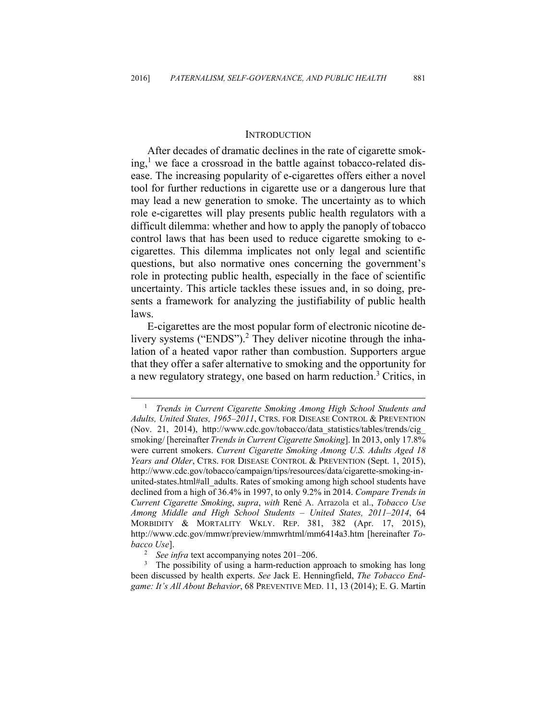#### **INTRODUCTION**

After decades of dramatic declines in the rate of cigarette smok $ing$ ,<sup>1</sup> we face a crossroad in the battle against tobacco-related disease. The increasing popularity of e-cigarettes offers either a novel tool for further reductions in cigarette use or a dangerous lure that may lead a new generation to smoke. The uncertainty as to which role e-cigarettes will play presents public health regulators with a difficult dilemma: whether and how to apply the panoply of tobacco control laws that has been used to reduce cigarette smoking to ecigarettes. This dilemma implicates not only legal and scientific questions, but also normative ones concerning the government's role in protecting public health, especially in the face of scientific uncertainty. This article tackles these issues and, in so doing, presents a framework for analyzing the justifiability of public health laws.

E-cigarettes are the most popular form of electronic nicotine delivery systems ("ENDS").<sup>2</sup> They deliver nicotine through the inhalation of a heated vapor rather than combustion. Supporters argue that they offer a safer alternative to smoking and the opportunity for a new regulatory strategy, one based on harm reduction.<sup>3</sup> Critics, in

 $\frac{1}{1}$  *Trends in Current Cigarette Smoking Among High School Students and Adults, United States, 1965–2011*, CTRS. FOR DISEASE CONTROL & PREVENTION (Nov. 21, 2014), http://www.cdc.gov/tobacco/data\_statistics/tables/trends/cig\_ smoking/ [hereinafter *Trends in Current Cigarette Smoking*]. In 2013, only 17.8% were current smokers. *Current Cigarette Smoking Among U.S. Adults Aged 18 Years and Older*, CTRS. FOR DISEASE CONTROL & PREVENTION (Sept. 1, 2015), http://www.cdc.gov/tobacco/campaign/tips/resources/data/cigarette-smoking-inunited-states.html#all\_adults. Rates of smoking among high school students have declined from a high of 36.4% in 1997, to only 9.2% in 2014. *Compare Trends in Current Cigarette Smoking*, *supra*, *with* René A. Arrazola et al., *Tobacco Use Among Middle and High School Students – United States, 2011–2014*, 64 MORBIDITY & MORTALITY WKLY. REP. 381, 382 (Apr. 17, 2015), http://www.cdc.gov/mmwr/preview/mmwrhtml/mm6414a3.htm [hereinafter *Tobacco Use*]. 2

*See infra* text accompanying notes 201–206.

<sup>&</sup>lt;sup>3</sup> The possibility of using a harm-reduction approach to smoking has long been discussed by health experts. *See* Jack E. Henningfield, *The Tobacco Endgame: It's All About Behavior*, 68 PREVENTIVE MED. 11, 13 (2014); E. G. Martin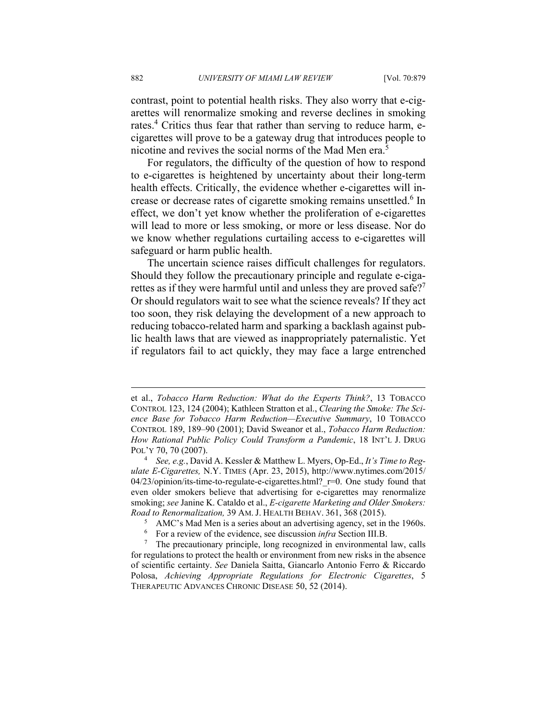contrast, point to potential health risks. They also worry that e-cigarettes will renormalize smoking and reverse declines in smoking rates.<sup>4</sup> Critics thus fear that rather than serving to reduce harm, ecigarettes will prove to be a gateway drug that introduces people to nicotine and revives the social norms of the Mad Men era.5

For regulators, the difficulty of the question of how to respond to e-cigarettes is heightened by uncertainty about their long-term health effects. Critically, the evidence whether e-cigarettes will increase or decrease rates of cigarette smoking remains unsettled.<sup>6</sup> In effect, we don't yet know whether the proliferation of e-cigarettes will lead to more or less smoking, or more or less disease. Nor do we know whether regulations curtailing access to e-cigarettes will safeguard or harm public health.

The uncertain science raises difficult challenges for regulators. Should they follow the precautionary principle and regulate e-cigarettes as if they were harmful until and unless they are proved safe?<sup>7</sup> Or should regulators wait to see what the science reveals? If they act too soon, they risk delaying the development of a new approach to reducing tobacco-related harm and sparking a backlash against public health laws that are viewed as inappropriately paternalistic. Yet if regulators fail to act quickly, they may face a large entrenched

et al., *Tobacco Harm Reduction: What do the Experts Think?*, 13 TOBACCO CONTROL 123, 124 (2004); Kathleen Stratton et al., *Clearing the Smoke: The Science Base for Tobacco Harm Reduction—Executive Summary*, 10 TOBACCO CONTROL 189, 189–90 (2001); David Sweanor et al., *Tobacco Harm Reduction: How Rational Public Policy Could Transform a Pandemic*, 18 INT'L J. DRUG POL'Y 70, 70 (2007).

*See, e.g.*, David A. Kessler & Matthew L. Myers, Op-Ed., *It's Time to Regulate E-Cigarettes,* N.Y. TIMES (Apr. 23, 2015), http://www.nytimes.com/2015/  $04/23$ /opinion/its-time-to-regulate-e-cigarettes.html?  $r=0$ . One study found that even older smokers believe that advertising for e-cigarettes may renormalize smoking; *see* Janine K. Cataldo et al., *E-cigarette Marketing and Older Smokers: Road to Renormalization, 39 AM. J. HEALTH BEHAV. 361, 368 (2015).* 

AMC's Mad Men is a series about an advertising agency, set in the 1960s.

<sup>6</sup> For a review of the evidence, see discussion *infra* Section III.B.<br><sup>7</sup> The precautionary principle, long recognized in environmental

The precautionary principle, long recognized in environmental law, calls for regulations to protect the health or environment from new risks in the absence of scientific certainty. *See* Daniela Saitta, Giancarlo Antonio Ferro & Riccardo Polosa, *Achieving Appropriate Regulations for Electronic Cigarettes*, 5 THERAPEUTIC ADVANCES CHRONIC DISEASE 50, 52 (2014).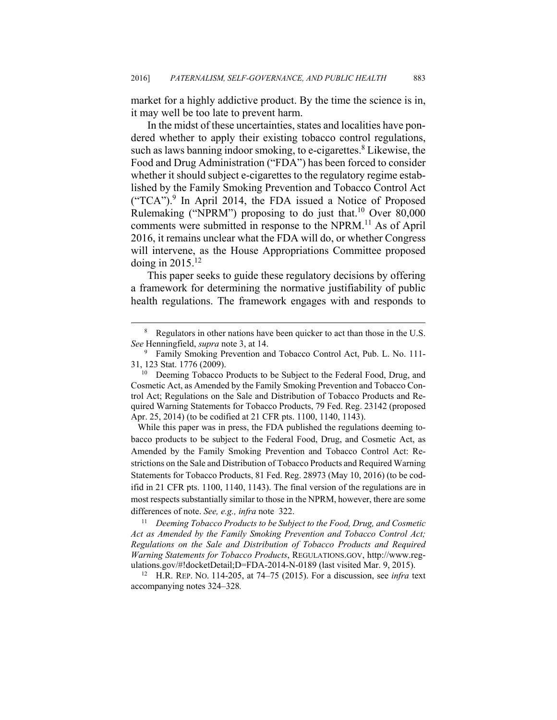market for a highly addictive product. By the time the science is in, it may well be too late to prevent harm.

In the midst of these uncertainties, states and localities have pondered whether to apply their existing tobacco control regulations, such as laws banning indoor smoking, to e-cigarettes.<sup>8</sup> Likewise, the Food and Drug Administration ("FDA") has been forced to consider whether it should subject e-cigarettes to the regulatory regime established by the Family Smoking Prevention and Tobacco Control Act ("TCA").<sup>9</sup> In April 2014, the FDA issued a Notice of Proposed Rulemaking ("NPRM") proposing to do just that.<sup>10</sup> Over 80,000 comments were submitted in response to the NPRM.<sup>11</sup> As of April 2016, it remains unclear what the FDA will do, or whether Congress will intervene, as the House Appropriations Committee proposed doing in  $2015$ <sup>12</sup>

This paper seeks to guide these regulatory decisions by offering a framework for determining the normative justifiability of public health regulations. The framework engages with and responds to

 While this paper was in press, the FDA published the regulations deeming tobacco products to be subject to the Federal Food, Drug, and Cosmetic Act, as Amended by the Family Smoking Prevention and Tobacco Control Act: Restrictions on the Sale and Distribution of Tobacco Products and Required Warning Statements for Tobacco Products, 81 Fed. Reg. 28973 (May 10, 2016) (to be codifid in 21 CFR pts. 1100, 1140, 1143). The final version of the regulations are in most respects substantially similar to those in the NPRM, however, there are some differences of note. *See, e.g., infra* note 322.<br><sup>11</sup> Deeming Tobacco Products to be Subject to the Food, Drug, and Cosmetic

*Act as Amended by the Family Smoking Prevention and Tobacco Control Act; Regulations on the Sale and Distribution of Tobacco Products and Required Warning Statements for Tobacco Products*, REGULATIONS.GOV, http://www.regulations.gov/#!docketDetail;D=FDA-2014-N-0189 (last visited Mar. 9, 2015). 12 H.R. REP. NO. 114-205, at 74–75 (2015). For a discussion, see *infra* text

accompanying notes 324–328*.*

 <sup>8</sup> <sup>8</sup> Regulators in other nations have been quicker to act than those in the U.S. *See* Henningfield, *supra* note 3, at 14.

<sup>&</sup>lt;sup>9</sup> Family Smoking Prevention and Tobacco Control Act, Pub. L. No. 111-31, 123 Stat. 1776 (2009).  $10^{10}$  Deeming Tobacco Products to be Subject to the Federal Food, Drug, and

Cosmetic Act, as Amended by the Family Smoking Prevention and Tobacco Control Act; Regulations on the Sale and Distribution of Tobacco Products and Required Warning Statements for Tobacco Products, 79 Fed. Reg. 23142 (proposed Apr. 25, 2014) (to be codified at 21 CFR pts. 1100, 1140, 1143).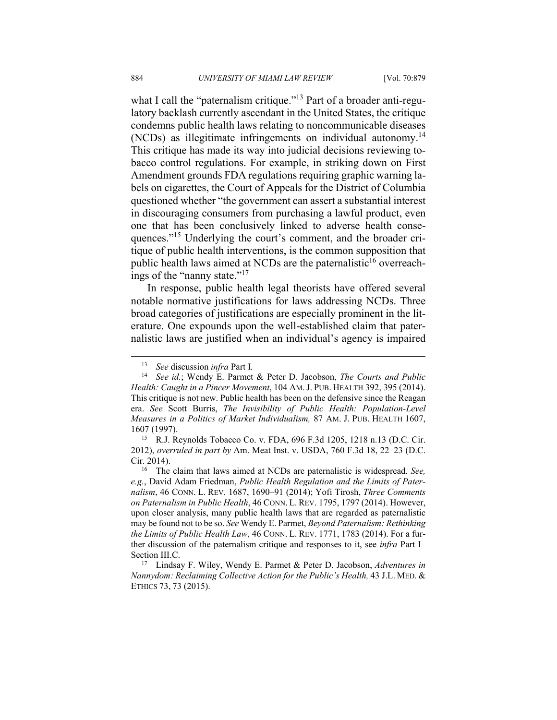what I call the "paternalism critique."<sup>13</sup> Part of a broader anti-regulatory backlash currently ascendant in the United States, the critique condemns public health laws relating to noncommunicable diseases (NCDs) as illegitimate infringements on individual autonomy.14 This critique has made its way into judicial decisions reviewing tobacco control regulations. For example, in striking down on First Amendment grounds FDA regulations requiring graphic warning labels on cigarettes, the Court of Appeals for the District of Columbia questioned whether "the government can assert a substantial interest in discouraging consumers from purchasing a lawful product, even one that has been conclusively linked to adverse health consequences."15 Underlying the court's comment, and the broader critique of public health interventions, is the common supposition that public health laws aimed at NCDs are the paternalistic<sup>16</sup> overreachings of the "nanny state."17

In response, public health legal theorists have offered several notable normative justifications for laws addressing NCDs. Three broad categories of justifications are especially prominent in the literature. One expounds upon the well-established claim that paternalistic laws are justified when an individual's agency is impaired

 <sup>13</sup> *See* discussion *infra* Part I*.*

<sup>14</sup> *See id.*; Wendy E. Parmet & Peter D. Jacobson, *The Courts and Public Health: Caught in a Pincer Movement*, 104 AM.J. PUB. HEALTH 392, 395 (2014). This critique is not new. Public health has been on the defensive since the Reagan era. *See* Scott Burris, *The Invisibility of Public Health: Population-Level Measures in a Politics of Market Individualism,* 87 AM. J. PUB. HEALTH 1607,

<sup>1607 (1997). 15</sup> R.J. Reynolds Tobacco Co. v. FDA, 696 F.3d 1205, 1218 n.13 (D.C. Cir. 2012), *overruled in part by* Am. Meat Inst. v. USDA, 760 F.3d 18, 22–23 (D.C. Cir. 2014). 16 The claim that laws aimed at NCDs are paternalistic is widespread. *See,* 

*e.g.*, David Adam Friedman, *Public Health Regulation and the Limits of Paternalism*, 46 CONN. L. REV. 1687, 1690–91 (2014); Yofi Tirosh, *Three Comments on Paternalism in Public Health*, 46 CONN. L. REV. 1795, 1797 (2014). However, upon closer analysis, many public health laws that are regarded as paternalistic may be found not to be so. *See* Wendy E. Parmet, *Beyond Paternalism: Rethinking the Limits of Public Health Law*, 46 CONN. L. REV. 1771, 1783 (2014). For a further discussion of the paternalism critique and responses to it, see *infra* Part I– Section III.C. 17 Lindsay F. Wiley, Wendy E. Parmet & Peter D. Jacobson, *Adventures in* 

*Nannydom: Reclaiming Collective Action for the Public's Health,* 43 J.L. MED. & ETHICS 73, 73 (2015).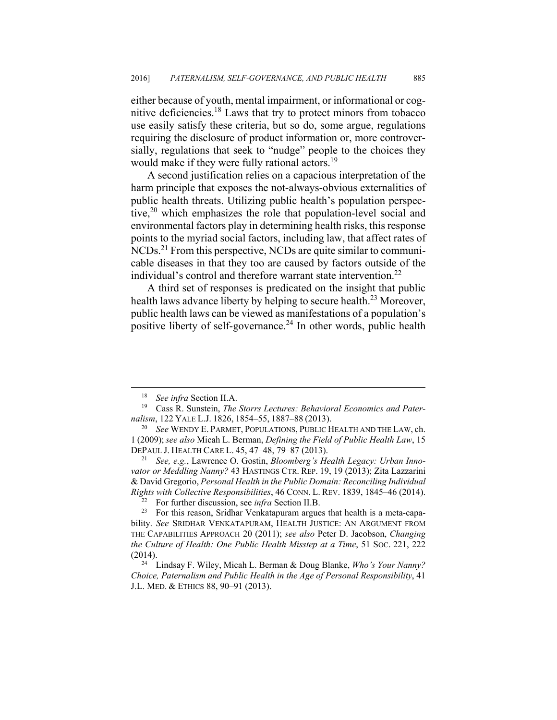either because of youth, mental impairment, or informational or cognitive deficiencies.18 Laws that try to protect minors from tobacco use easily satisfy these criteria, but so do, some argue, regulations requiring the disclosure of product information or, more controversially, regulations that seek to "nudge" people to the choices they would make if they were fully rational actors.<sup>19</sup>

A second justification relies on a capacious interpretation of the harm principle that exposes the not-always-obvious externalities of public health threats. Utilizing public health's population perspective,<sup>20</sup> which emphasizes the role that population-level social and environmental factors play in determining health risks, this response points to the myriad social factors, including law, that affect rates of NCDs.21 From this perspective, NCDs are quite similar to communicable diseases in that they too are caused by factors outside of the individual's control and therefore warrant state intervention.<sup>22</sup>

A third set of responses is predicated on the insight that public health laws advance liberty by helping to secure health.<sup>23</sup> Moreover, public health laws can be viewed as manifestations of a population's positive liberty of self-governance.<sup>24</sup> In other words, public health

 <sup>18</sup> *See infra* Section II.A.

<sup>19</sup> Cass R. Sunstein, *The Storrs Lectures: Behavioral Economics and Paternalism*, 122 YALE L.J. 1826, 1854–55, 1887–88 (2013). 20 *See* WENDY E. PARMET, POPULATIONS, PUBLIC HEALTH AND THE LAW, ch.

<sup>1</sup> (2009);*see also* Micah L. Berman, *Defining the Field of Public Health Law*, 15 DEPAUL J. HEALTH CARE L. 45, 47–48, 79–87 (2013). 21 *See, e.g.*, Lawrence O. Gostin, *Bloomberg's Health Legacy: Urban Inno-*

*vator or Meddling Nanny?* 43 HASTINGS CTR. REP. 19, 19 (2013); Zita Lazzarini & David Gregorio, *Personal Health in the Public Domain: Reconciling Individual Rights with Collective Responsibilities*, 46 CONN. L. REV. 1839, 1845–46 (2014).<br><sup>22</sup> For further discussion, see *infra* Section II.B.<br><sup>23</sup> For this reason, Sridhar Venkatapuram argues that health is a meta-capa-

bility. *See* SRIDHAR VENKATAPURAM, HEALTH JUSTICE: AN ARGUMENT FROM THE CAPABILITIES APPROACH 20 (2011); *see also* Peter D. Jacobson, *Changing the Culture of Health: One Public Health Misstep at a Time*, 51 SOC. 221, 222 (2014). 24 Lindsay F. Wiley, Micah L. Berman & Doug Blanke, *Who's Your Nanny?* 

*Choice, Paternalism and Public Health in the Age of Personal Responsibility*, 41 J.L. MED. & ETHICS 88, 90–91 (2013).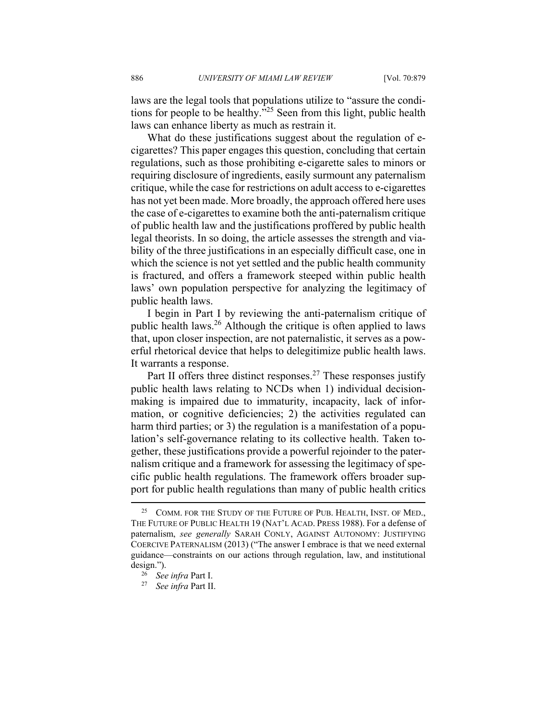laws are the legal tools that populations utilize to "assure the conditions for people to be healthy.<sup>"25</sup> Seen from this light, public health laws can enhance liberty as much as restrain it.

What do these justifications suggest about the regulation of ecigarettes? This paper engages this question, concluding that certain regulations, such as those prohibiting e-cigarette sales to minors or requiring disclosure of ingredients, easily surmount any paternalism critique, while the case for restrictions on adult access to e-cigarettes has not yet been made. More broadly, the approach offered here uses the case of e-cigarettes to examine both the anti-paternalism critique of public health law and the justifications proffered by public health legal theorists. In so doing, the article assesses the strength and viability of the three justifications in an especially difficult case, one in which the science is not yet settled and the public health community is fractured, and offers a framework steeped within public health laws' own population perspective for analyzing the legitimacy of public health laws.

I begin in Part I by reviewing the anti-paternalism critique of public health laws.<sup>26</sup> Although the critique is often applied to laws that, upon closer inspection, are not paternalistic, it serves as a powerful rhetorical device that helps to delegitimize public health laws. It warrants a response.

Part II offers three distinct responses.<sup>27</sup> These responses justify public health laws relating to NCDs when 1) individual decisionmaking is impaired due to immaturity, incapacity, lack of information, or cognitive deficiencies; 2) the activities regulated can harm third parties; or 3) the regulation is a manifestation of a population's self-governance relating to its collective health. Taken together, these justifications provide a powerful rejoinder to the paternalism critique and a framework for assessing the legitimacy of specific public health regulations. The framework offers broader support for public health regulations than many of public health critics

<sup>&</sup>lt;sup>25</sup> COMM. FOR THE STUDY OF THE FUTURE OF PUB. HEALTH, INST. OF MED., THE FUTURE OF PUBLIC HEALTH 19 (NAT'L ACAD. PRESS 1988). For a defense of paternalism, *see generally* SARAH CONLY, AGAINST AUTONOMY: JUSTIFYING COERCIVE PATERNALISM (2013) ("The answer I embrace is that we need external guidance—constraints on our actions through regulation, law, and institutional design."). 26 *See infra* Part I. 27 *See infra* Part II.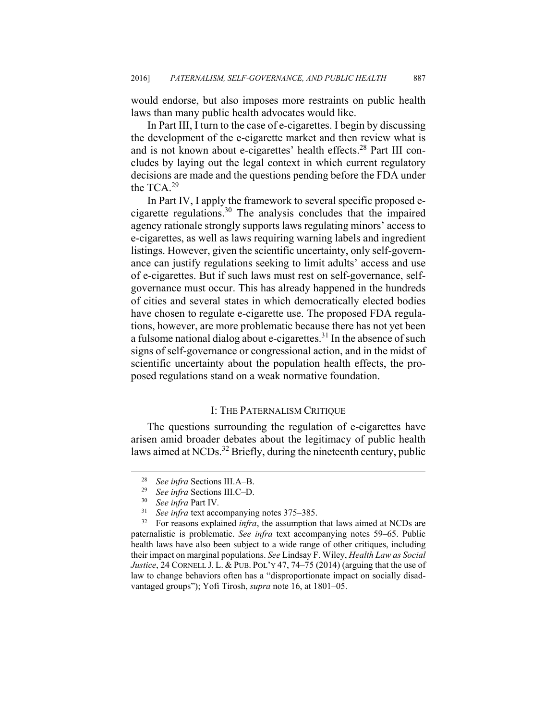would endorse, but also imposes more restraints on public health laws than many public health advocates would like.

In Part III, I turn to the case of e-cigarettes. I begin by discussing the development of the e-cigarette market and then review what is and is not known about e-cigarettes' health effects.<sup>28</sup> Part III concludes by laying out the legal context in which current regulatory decisions are made and the questions pending before the FDA under the TCA.<sup>29</sup>

In Part IV, I apply the framework to several specific proposed ecigarette regulations.<sup>30</sup> The analysis concludes that the impaired agency rationale strongly supports laws regulating minors' access to e-cigarettes, as well as laws requiring warning labels and ingredient listings. However, given the scientific uncertainty, only self-governance can justify regulations seeking to limit adults' access and use of e-cigarettes. But if such laws must rest on self-governance, selfgovernance must occur. This has already happened in the hundreds of cities and several states in which democratically elected bodies have chosen to regulate e-cigarette use. The proposed FDA regulations, however, are more problematic because there has not yet been a fulsome national dialog about e-cigarettes.<sup>31</sup> In the absence of such signs of self-governance or congressional action, and in the midst of scientific uncertainty about the population health effects, the proposed regulations stand on a weak normative foundation.

#### I: THE PATERNALISM CRITIQUE

The questions surrounding the regulation of e-cigarettes have arisen amid broader debates about the legitimacy of public health laws aimed at NCDs.<sup>32</sup> Briefly, during the nineteenth century, public

<sup>28</sup> *See infra* Sections III.A–B. 29 *See infra* Sections III.C–D. 30 *See infra* Part IV*.* 

<sup>31</sup> *See infra* text accompanying notes 375–385.

<sup>&</sup>lt;sup>32</sup> For reasons explained *infra*, the assumption that laws aimed at NCDs are paternalistic is problematic. *See infra* text accompanying notes 59–65. Public health laws have also been subject to a wide range of other critiques, including their impact on marginal populations. *See* Lindsay F. Wiley, *Health Law as Social Justice*, 24 CORNELL J. L. & PUB. POL'Y 47, 74–75 (2014) (arguing that the use of law to change behaviors often has a "disproportionate impact on socially disadvantaged groups"); Yofi Tirosh, *supra* note 16, at 1801–05.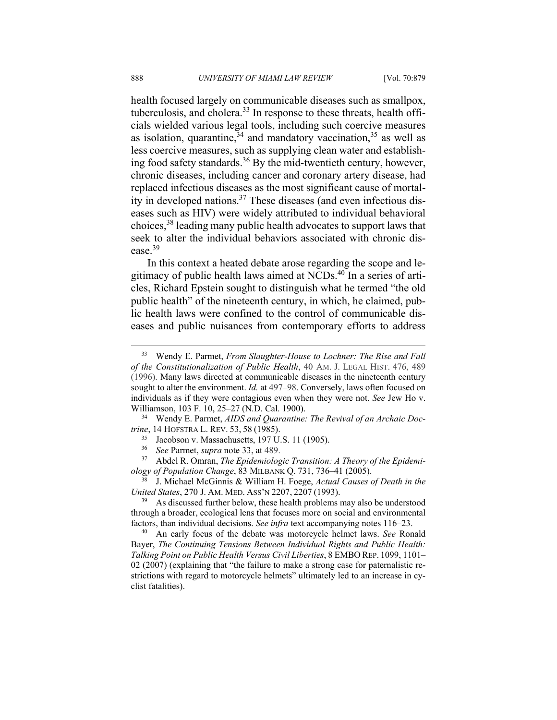health focused largely on communicable diseases such as smallpox, tuberculosis, and cholera. $33$  In response to these threats, health officials wielded various legal tools, including such coercive measures as isolation, quarantine,  $34$  and mandatory vaccination,  $35$  as well as less coercive measures, such as supplying clean water and establishing food safety standards.<sup>36</sup> By the mid-twentieth century, however, chronic diseases, including cancer and coronary artery disease, had replaced infectious diseases as the most significant cause of mortality in developed nations.<sup>37</sup> These diseases (and even infectious diseases such as HIV) were widely attributed to individual behavioral choices,38 leading many public health advocates to support laws that seek to alter the individual behaviors associated with chronic disease.39

In this context a heated debate arose regarding the scope and legitimacy of public health laws aimed at NCDs.<sup>40</sup> In a series of articles, Richard Epstein sought to distinguish what he termed "the old public health" of the nineteenth century, in which, he claimed, public health laws were confined to the control of communicable diseases and public nuisances from contemporary efforts to address

*trine*, 14 HOFSTRA L. REV. 53, 58 (1985).<br><sup>35</sup> Jacobson v. Massachusetts, 197 U.S. 11 (1905).

- 
- <sup>36</sup> *See* Parmet, *supra* note 33, at 489.

37 Abdel R. Omran, *The Epidemiologic Transition: A Theory of the Epidemiology of Population Change*, 83 MILBANK Q. 731, 736–41 (2005). 38 J. Michael McGinnis & William H. Foege, *Actual Causes of Death in the* 

*United States*, 270 J. AM. MED. ASS'N 2207, 2207 (1993).<br><sup>39</sup> As discussed further below, these health problems may also be understood

through a broader, ecological lens that focuses more on social and environmental factors, than individual decisions. *See infra* text accompanying notes 116–23. 40 An early focus of the debate was motorcycle helmet laws. *See* Ronald

Bayer, *The Continuing Tensions Between Individual Rights and Public Health: Talking Point on Public Health Versus Civil Liberties*, 8 EMBO REP. 1099, 1101– 02 (2007) (explaining that "the failure to make a strong case for paternalistic restrictions with regard to motorcycle helmets" ultimately led to an increase in cyclist fatalities).

 <sup>33</sup> Wendy E. Parmet, *From Slaughter-House to Lochner: The Rise and Fall of the Constitutionalization of Public Health*, 40 AM. J. LEGAL HIST. 476, 489 (1996). Many laws directed at communicable diseases in the nineteenth century sought to alter the environment. *Id.* at 497–98. Conversely, laws often focused on individuals as if they were contagious even when they were not. *See* Jew Ho v. Williamson, 103 F. 10, 25–27 (N.D. Cal. 1900).<br><sup>34</sup> Wendy E. Parmet, *AIDS and Quarantine: The Revival of an Archaic Doc-*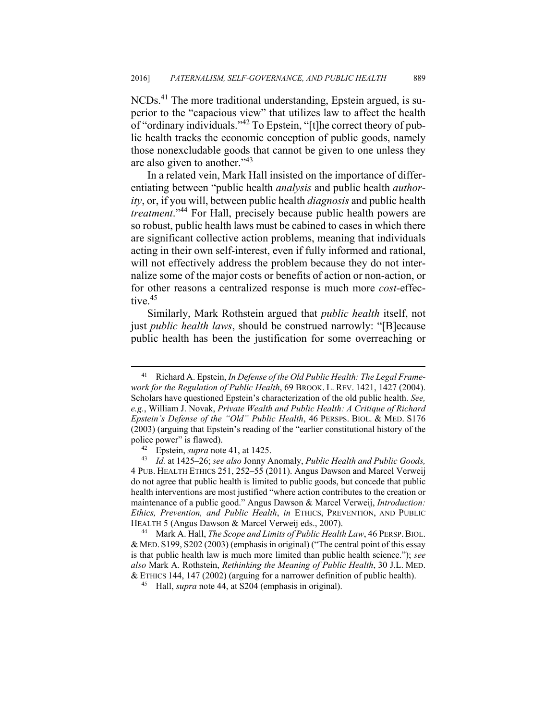NCDs.41 The more traditional understanding, Epstein argued, is superior to the "capacious view" that utilizes law to affect the health of "ordinary individuals."42 To Epstein, "[t]he correct theory of public health tracks the economic conception of public goods, namely those nonexcludable goods that cannot be given to one unless they are also given to another."43

In a related vein, Mark Hall insisted on the importance of differentiating between "public health *analysis* and public health *authority*, or, if you will, between public health *diagnosis* and public health *treatment*."<sup>44</sup> For Hall, precisely because public health powers are so robust, public health laws must be cabined to cases in which there are significant collective action problems, meaning that individuals acting in their own self-interest, even if fully informed and rational, will not effectively address the problem because they do not internalize some of the major costs or benefits of action or non-action, or for other reasons a centralized response is much more *cost-*effective.<sup>45</sup>

Similarly, Mark Rothstein argued that *public health* itself, not just *public health laws*, should be construed narrowly: "[B]ecause public health has been the justification for some overreaching or

 <sup>41</sup> Richard A. Epstein, *In Defense of the Old Public Health: The Legal Framework for the Regulation of Public Health*, 69 BROOK. L. REV. 1421, 1427 (2004). Scholars have questioned Epstein's characterization of the old public health. *See, e.g.*, William J. Novak, *Private Wealth and Public Health: A Critique of Richard Epstein's Defense of the "Old" Public Health*, 46 PERSPS. BIOL. & MED. S176 (2003) (arguing that Epstein's reading of the "earlier constitutional history of the police power" is flawed). 42 Epstein, *supra* note 41, at 1425. 43 *Id.* at 1425–26; *see also* Jonny Anomaly, *Public Health and Public Goods,* 

<sup>4</sup> PUB. HEALTH ETHICS 251, 252–55 (2011). Angus Dawson and Marcel Verweij do not agree that public health is limited to public goods, but concede that public health interventions are most justified "where action contributes to the creation or maintenance of a public good." Angus Dawson & Marcel Verweij, *Introduction: Ethics, Prevention, and Public Health*, *in* ETHICS, PREVENTION, AND PUBLIC HEALTH 5 (Angus Dawson & Marcel Verweij eds., 2007). 44 Mark A. Hall, *The Scope and Limits of Public Health Law*, 46 PERSP.BIOL.

<sup>&</sup>amp; MED. S199, S202 (2003) (emphasis in original) ("The central point of this essay is that public health law is much more limited than public health science."); *see also* Mark A. Rothstein, *Rethinking the Meaning of Public Health*, 30 J.L. MED. & ETHICS 144, 147 (2002) (arguing for a narrower definition of public health). 45 Hall, *supra* note 44, at S204 (emphasis in original).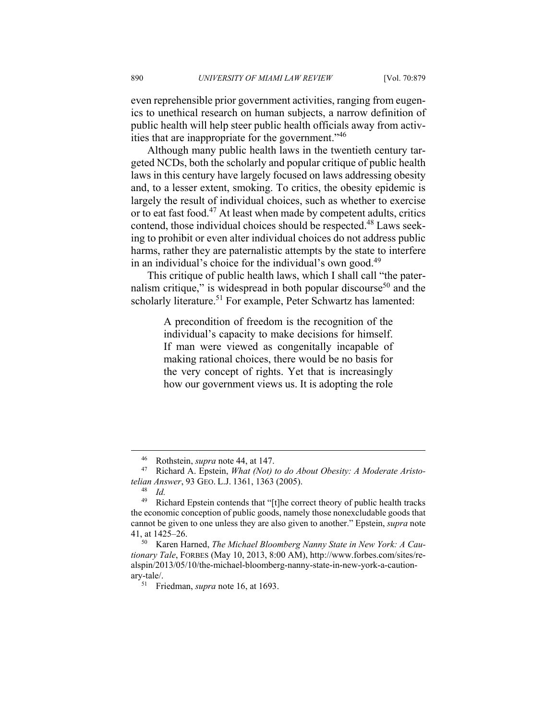even reprehensible prior government activities, ranging from eugenics to unethical research on human subjects, a narrow definition of public health will help steer public health officials away from activities that are inappropriate for the government.<sup>346</sup>

Although many public health laws in the twentieth century targeted NCDs, both the scholarly and popular critique of public health laws in this century have largely focused on laws addressing obesity and, to a lesser extent, smoking. To critics, the obesity epidemic is largely the result of individual choices, such as whether to exercise or to eat fast food.47 At least when made by competent adults, critics contend, those individual choices should be respected.48 Laws seeking to prohibit or even alter individual choices do not address public harms, rather they are paternalistic attempts by the state to interfere in an individual's choice for the individual's own good.<sup>49</sup>

This critique of public health laws, which I shall call "the paternalism critique," is widespread in both popular discourse<sup>50</sup> and the scholarly literature.<sup>51</sup> For example, Peter Schwartz has lamented:

> A precondition of freedom is the recognition of the individual's capacity to make decisions for himself. If man were viewed as congenitally incapable of making rational choices, there would be no basis for the very concept of rights. Yet that is increasingly how our government views us. It is adopting the role

<sup>&</sup>lt;sup>46</sup> Rothstein, *supra* note 44, at 147.<br><sup>47</sup> Richard A. Epstein, *What (Not) to do About Obesity: A Moderate Aristotelian Answer*, 93 GEO. L.J. 1361, 1363 (2005). 48 *Id.* 

<sup>&</sup>lt;sup>49</sup> Richard Epstein contends that "[t]he correct theory of public health tracks the economic conception of public goods, namely those nonexcludable goods that cannot be given to one unless they are also given to another." Epstein, *supra* note 41, at 1425–26. 50 Karen Harned, *The Michael Bloomberg Nanny State in New York: A Cau-*

*tionary Tale*, FORBES (May 10, 2013, 8:00 AM), http://www.forbes.com/sites/realspin/2013/05/10/the-michael-bloomberg-nanny-state-in-new-york-a-cautionary-tale/. 51 Friedman, *supra* note 16, at 1693.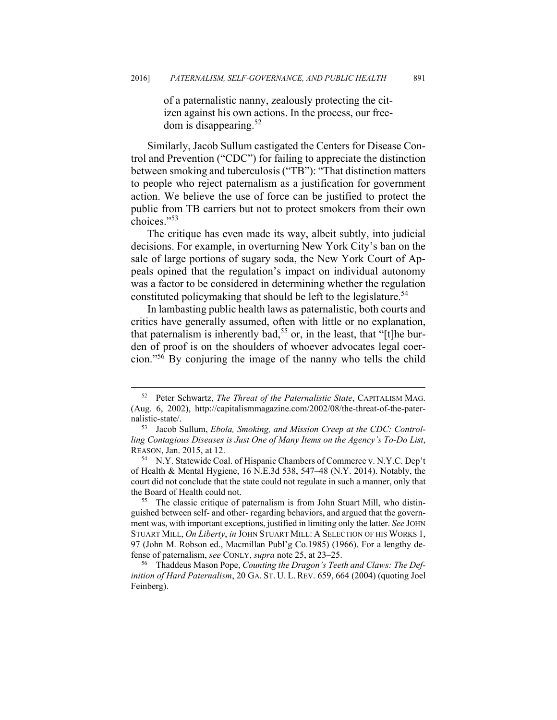of a paternalistic nanny, zealously protecting the citizen against his own actions. In the process, our freedom is disappearing.52

Similarly, Jacob Sullum castigated the Centers for Disease Control and Prevention ("CDC") for failing to appreciate the distinction between smoking and tuberculosis ("TB"): "That distinction matters to people who reject paternalism as a justification for government action. We believe the use of force can be justified to protect the public from TB carriers but not to protect smokers from their own choices."53

The critique has even made its way, albeit subtly, into judicial decisions. For example, in overturning New York City's ban on the sale of large portions of sugary soda, the New York Court of Appeals opined that the regulation's impact on individual autonomy was a factor to be considered in determining whether the regulation constituted policymaking that should be left to the legislature.<sup>54</sup>

In lambasting public health laws as paternalistic, both courts and critics have generally assumed, often with little or no explanation, that paternalism is inherently bad,<sup>55</sup> or, in the least, that "[t]he burden of proof is on the shoulders of whoever advocates legal coercion."56 By conjuring the image of the nanny who tells the child

 <sup>52</sup> Peter Schwartz, *The Threat of the Paternalistic State*, CAPITALISM MAG. (Aug. 6, 2002), http://capitalismmagazine.com/2002/08/the-threat-of-the-paternalistic-state/. 53 Jacob Sullum, *Ebola, Smoking, and Mission Creep at the CDC: Control-*

*ling Contagious Diseases is Just One of Many Items on the Agency's To-Do List*, REASON, Jan. 2015, at 12.<br><sup>54</sup> N.Y. Statewide Coal. of Hispanic Chambers of Commerce v. N.Y.C. Dep't

of Health & Mental Hygiene, 16 N.E.3d 538, 547–48 (N.Y. 2014). Notably, the court did not conclude that the state could not regulate in such a manner, only that the Board of Health could not.<br><sup>55</sup> The classic critique of paternalism is from John Stuart Mill, who distin-

guished between self- and other- regarding behaviors, and argued that the government was, with important exceptions, justified in limiting only the latter. *See* JOHN STUART MILL, *On Liberty*, *in* JOHN STUART MILL: A SELECTION OF HIS WORKS 1, 97 (John M. Robson ed., Macmillan Publ'g Co.1985) (1966). For a lengthy defense of paternalism, *see* CONLY, *supra* note 25, at 23–25. 56 Thaddeus Mason Pope, *Counting the Dragon's Teeth and Claws: The Def-*

*inition of Hard Paternalism*, 20 GA. ST. U. L. REV. 659, 664 (2004) (quoting Joel Feinberg).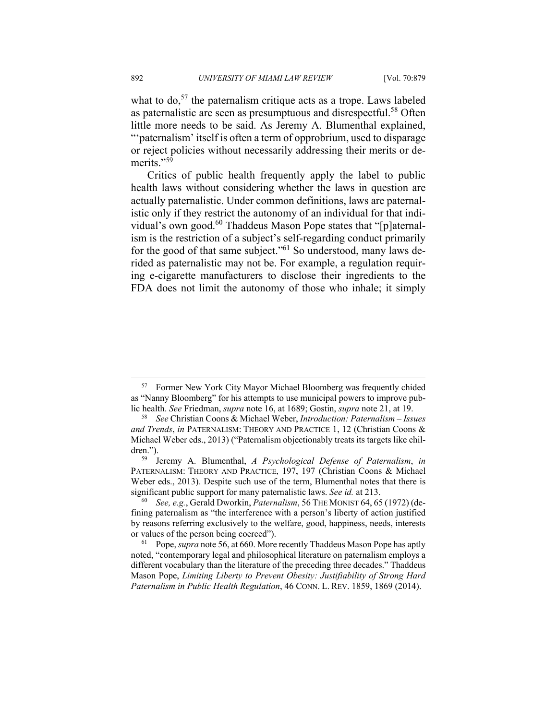what to  $do<sub>57</sub>$ , the paternalism critique acts as a trope. Laws labeled as paternalistic are seen as presumptuous and disrespectful.<sup>58</sup> Often little more needs to be said. As Jeremy A. Blumenthal explained, "'paternalism' itself is often a term of opprobrium, used to disparage or reject policies without necessarily addressing their merits or demerits."<sup>59</sup>

Critics of public health frequently apply the label to public health laws without considering whether the laws in question are actually paternalistic. Under common definitions, laws are paternalistic only if they restrict the autonomy of an individual for that individual's own good.60 Thaddeus Mason Pope states that "[p]aternalism is the restriction of a subject's self-regarding conduct primarily for the good of that same subject."61 So understood, many laws derided as paternalistic may not be. For example, a regulation requiring e-cigarette manufacturers to disclose their ingredients to the FDA does not limit the autonomy of those who inhale; it simply

 <sup>57</sup> Former New York City Mayor Michael Bloomberg was frequently chided as "Nanny Bloomberg" for his attempts to use municipal powers to improve pub-

lic health. *See* Friedman, *supra* note 16, at 1689; Gostin, *supra* note 21, at 19. 58 *See* Christian Coons & Michael Weber, *Introduction: Paternalism – Issues and Trends*, *in* PATERNALISM: THEORY AND PRACTICE 1, 12 (Christian Coons & Michael Weber eds., 2013) ("Paternalism objectionably treats its targets like children."). 59 Jeremy A. Blumenthal, *A Psychological Defense of Paternalism*, *in*

PATERNALISM: THEORY AND PRACTICE, 197, 197 (Christian Coons & Michael Weber eds., 2013). Despite such use of the term, Blumenthal notes that there is significant public support for many paternalistic laws. *See id.* at 213.<br><sup>60</sup> *See, e.g.*, Gerald Dworkin, *Paternalism*, 56 THE MONIST 64, 65 (1972) (de-

fining paternalism as "the interference with a person's liberty of action justified by reasons referring exclusively to the welfare, good, happiness, needs, interests or values of the person being coerced"). 61 Pope, *supra* note 56, at 660. More recently Thaddeus Mason Pope has aptly

noted, "contemporary legal and philosophical literature on paternalism employs a different vocabulary than the literature of the preceding three decades." Thaddeus Mason Pope, *Limiting Liberty to Prevent Obesity: Justifiability of Strong Hard Paternalism in Public Health Regulation*, 46 CONN. L. REV. 1859, 1869 (2014).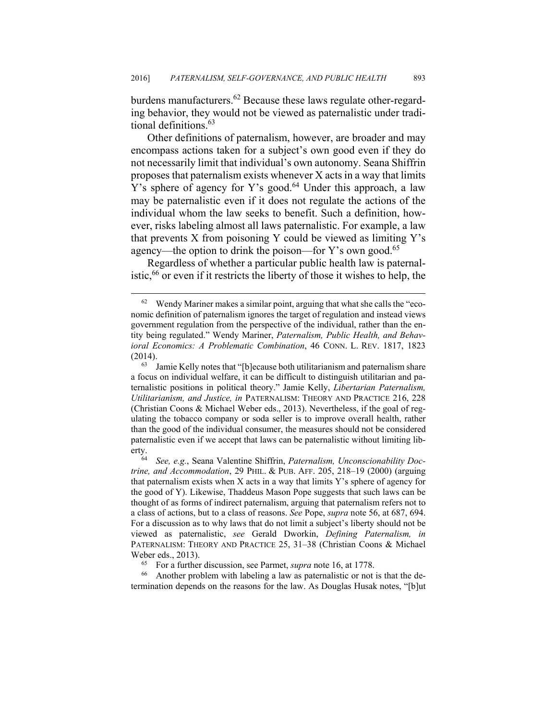burdens manufacturers.<sup>62</sup> Because these laws regulate other-regarding behavior, they would not be viewed as paternalistic under traditional definitions.<sup>63</sup>

Other definitions of paternalism, however, are broader and may encompass actions taken for a subject's own good even if they do not necessarily limit that individual's own autonomy. Seana Shiffrin proposes that paternalism exists whenever X acts in a way that limits Y's sphere of agency for Y's good.<sup>64</sup> Under this approach, a law may be paternalistic even if it does not regulate the actions of the individual whom the law seeks to benefit. Such a definition, however, risks labeling almost all laws paternalistic. For example, a law that prevents X from poisoning Y could be viewed as limiting Y's agency—the option to drink the poison—for Y's own good.<sup>65</sup>

Regardless of whether a particular public health law is paternalistic, $66$  or even if it restricts the liberty of those it wishes to help, the

Weber eds., 2013).<br><sup>65</sup> For a further discussion, see Parmet, *supra* note 16, at 1778.<br><sup>66</sup> Another problem with labeling a law as paternalistic or not is that the determination depends on the reasons for the law. As Douglas Husak notes, "[b]ut

 $62$  Wendy Mariner makes a similar point, arguing that what she calls the "economic definition of paternalism ignores the target of regulation and instead views government regulation from the perspective of the individual, rather than the entity being regulated." Wendy Mariner, *Paternalism, Public Health, and Behavioral Economics: A Problematic Combination*, 46 CONN. L. REV. 1817, 1823 (2014). 63 Jamie Kelly notes that "[b]ecause both utilitarianism and paternalism share

a focus on individual welfare, it can be difficult to distinguish utilitarian and paternalistic positions in political theory." Jamie Kelly, *Libertarian Paternalism, Utilitarianism, and Justice, in* PATERNALISM: THEORY AND PRACTICE 216, 228 (Christian Coons & Michael Weber eds., 2013). Nevertheless, if the goal of regulating the tobacco company or soda seller is to improve overall health, rather than the good of the individual consumer, the measures should not be considered paternalistic even if we accept that laws can be paternalistic without limiting liberty. 64 *See, e.g.*, Seana Valentine Shiffrin, *Paternalism, Unconscionability Doc-*

*trine, and Accommodation*, 29 PHIL. & PUB. AFF. 205, 218–19 (2000) (arguing that paternalism exists when X acts in a way that limits Y's sphere of agency for the good of Y). Likewise, Thaddeus Mason Pope suggests that such laws can be thought of as forms of indirect paternalism, arguing that paternalism refers not to a class of actions, but to a class of reasons. *See* Pope, *supra* note 56, at 687, 694. For a discussion as to why laws that do not limit a subject's liberty should not be viewed as paternalistic, *see* Gerald Dworkin, *Defining Paternalism, in* PATERNALISM: THEORY AND PRACTICE 25, 31–38 (Christian Coons & Michael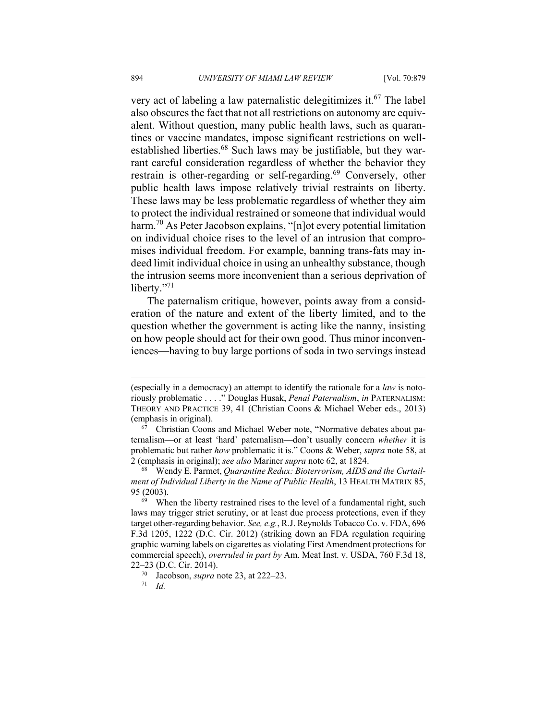very act of labeling a law paternalistic delegitimizes it.<sup>67</sup> The label also obscures the fact that not all restrictions on autonomy are equivalent. Without question, many public health laws, such as quarantines or vaccine mandates, impose significant restrictions on wellestablished liberties.<sup>68</sup> Such laws may be justifiable, but they warrant careful consideration regardless of whether the behavior they restrain is other-regarding or self-regarding.<sup>69</sup> Conversely, other public health laws impose relatively trivial restraints on liberty. These laws may be less problematic regardless of whether they aim to protect the individual restrained or someone that individual would harm.<sup>70</sup> As Peter Jacobson explains, "[n]ot every potential limitation on individual choice rises to the level of an intrusion that compromises individual freedom. For example, banning trans-fats may indeed limit individual choice in using an unhealthy substance, though the intrusion seems more inconvenient than a serious deprivation of liberty."<sup>71</sup>

The paternalism critique, however, points away from a consideration of the nature and extent of the liberty limited, and to the question whether the government is acting like the nanny, insisting on how people should act for their own good. Thus minor inconveniences—having to buy large portions of soda in two servings instead

<sup>(</sup>especially in a democracy) an attempt to identify the rationale for a *law* is notoriously problematic . . . ." Douglas Husak, *Penal Paternalism*, *in* PATERNALISM: THEORY AND PRACTICE 39, 41 (Christian Coons & Michael Weber eds., 2013) (emphasis in original). 67 Christian Coons and Michael Weber note, "Normative debates about pa-

ternalism—or at least 'hard' paternalism—don't usually concern *whether* it is problematic but rather *how* problematic it is." Coons & Weber, *supra* note 58, at 2 (emphasis in original); *see also* Mariner *supra* note 62, at 1824. 68 Wendy E. Parmet, *Quarantine Redux: Bioterrorism, AIDS and the Curtail-*

*ment of Individual Liberty in the Name of Public Health*, 13 HEALTH MATRIX 85, 95 (2003).<br><sup>69</sup> When the liberty restrained rises to the level of a fundamental right, such

laws may trigger strict scrutiny, or at least due process protections, even if they target other-regarding behavior. *See, e.g.*, R.J. Reynolds Tobacco Co. v. FDA, 696 F.3d 1205, 1222 (D.C. Cir. 2012) (striking down an FDA regulation requiring graphic warning labels on cigarettes as violating First Amendment protections for commercial speech), *overruled in part by* Am. Meat Inst. v. USDA, 760 F.3d 18, 22–23 (D.C. Cir. 2014). 70 Jacobson, *supra* note 23, at 222–23. 71 *Id.*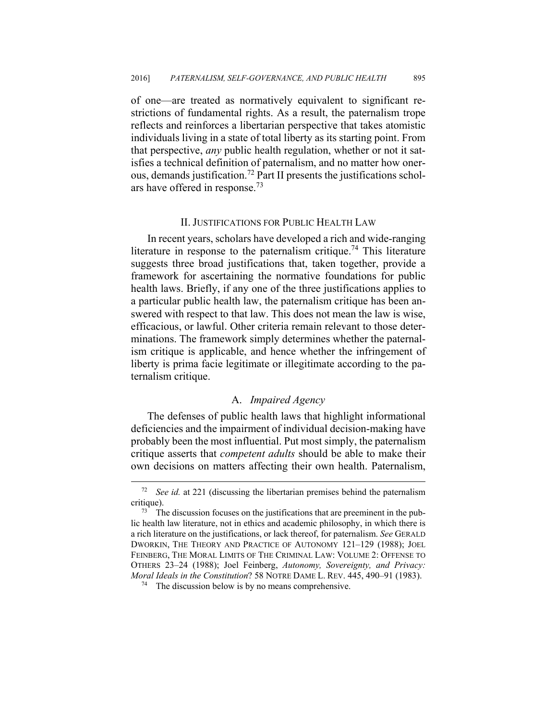of one—are treated as normatively equivalent to significant restrictions of fundamental rights. As a result, the paternalism trope reflects and reinforces a libertarian perspective that takes atomistic individuals living in a state of total liberty as its starting point. From that perspective, *any* public health regulation, whether or not it satisfies a technical definition of paternalism, and no matter how onerous, demands justification.<sup>72</sup> Part II presents the justifications scholars have offered in response.<sup>73</sup>

#### II. JUSTIFICATIONS FOR PUBLIC HEALTH LAW

In recent years, scholars have developed a rich and wide-ranging literature in response to the paternalism critique.<sup>74</sup> This literature suggests three broad justifications that, taken together, provide a framework for ascertaining the normative foundations for public health laws. Briefly, if any one of the three justifications applies to a particular public health law, the paternalism critique has been answered with respect to that law. This does not mean the law is wise, efficacious, or lawful. Other criteria remain relevant to those determinations. The framework simply determines whether the paternalism critique is applicable, and hence whether the infringement of liberty is prima facie legitimate or illegitimate according to the paternalism critique.

#### A. *Impaired Agency*

The defenses of public health laws that highlight informational deficiencies and the impairment of individual decision-making have probably been the most influential. Put most simply, the paternalism critique asserts that *competent adults* should be able to make their own decisions on matters affecting their own health. Paternalism,

 <sup>72</sup> *See id.* at 221 (discussing the libertarian premises behind the paternalism critique).<br><sup>73</sup> The discussion focuses on the justifications that are preeminent in the pub-

lic health law literature, not in ethics and academic philosophy, in which there is a rich literature on the justifications, or lack thereof, for paternalism. *See* GERALD DWORKIN, THE THEORY AND PRACTICE OF AUTONOMY 121–129 (1988); JOEL FEINBERG, THE MORAL LIMITS OF THE CRIMINAL LAW: VOLUME 2: OFFENSE TO OTHERS 23–24 (1988); Joel Feinberg, *Autonomy, Sovereignty, and Privacy: Moral Ideals in the Constitution*? 58 NOTRE DAME L. REV. 445, 490–91 (1983).<br><sup>74</sup> The discussion below is by no means comprehensive.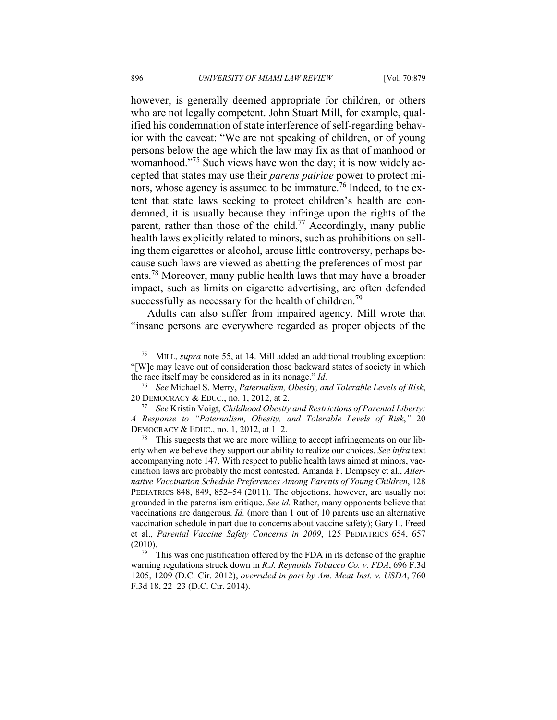however, is generally deemed appropriate for children, or others who are not legally competent. John Stuart Mill, for example, qualified his condemnation of state interference of self-regarding behavior with the caveat: "We are not speaking of children, or of young persons below the age which the law may fix as that of manhood or womanhood."<sup>75</sup> Such views have won the day; it is now widely accepted that states may use their *parens patriae* power to protect minors, whose agency is assumed to be immature.<sup>76</sup> Indeed, to the extent that state laws seeking to protect children's health are condemned, it is usually because they infringe upon the rights of the parent, rather than those of the child.<sup>77</sup> Accordingly, many public health laws explicitly related to minors, such as prohibitions on selling them cigarettes or alcohol, arouse little controversy, perhaps because such laws are viewed as abetting the preferences of most parents.78 Moreover, many public health laws that may have a broader impact, such as limits on cigarette advertising, are often defended successfully as necessary for the health of children.<sup>79</sup>

Adults can also suffer from impaired agency. Mill wrote that "insane persons are everywhere regarded as proper objects of the

 <sup>75</sup> MILL, *supra* note 55, at 14. Mill added an additional troubling exception: "[W]e may leave out of consideration those backward states of society in which the race itself may be considered as in its nonage." *Id.*

<sup>76</sup> *See* Michael S. Merry, *Paternalism, Obesity, and Tolerable Levels of Risk*, 20 DEMOCRACY & EDUC., no. 1, 2012, at 2. 77 *See* Kristin Voigt, *Childhood Obesity and Restrictions of Parental Liberty:* 

*A Response to "Paternalism, Obesity, and Tolerable Levels of Risk*,*"* 20 DEMOCRACY & EDUC., no. 1, 2012, at 1–2.<br><sup>78</sup> This suggests that we are more willing to accept infringements on our lib-

erty when we believe they support our ability to realize our choices. *See infra* text accompanying note 147. With respect to public health laws aimed at minors, vaccination laws are probably the most contested. Amanda F. Dempsey et al., *Alternative Vaccination Schedule Preferences Among Parents of Young Children*, 128 PEDIATRICS 848, 849, 852–54 (2011). The objections, however, are usually not grounded in the paternalism critique. *See id.* Rather, many opponents believe that vaccinations are dangerous. *Id.* (more than 1 out of 10 parents use an alternative vaccination schedule in part due to concerns about vaccine safety); Gary L. Freed et al., *Parental Vaccine Safety Concerns in 2009*, 125 PEDIATRICS 654, 657

<sup>(2010).&</sup>lt;br><sup>79</sup> This was one justification offered by the FDA in its defense of the graphic warning regulations struck down in *R.J. Reynolds Tobacco Co. v. FDA*, 696 F.3d 1205, 1209 (D.C. Cir. 2012), *overruled in part by Am. Meat Inst. v. USDA*, 760 F.3d 18, 22–23 (D.C. Cir. 2014).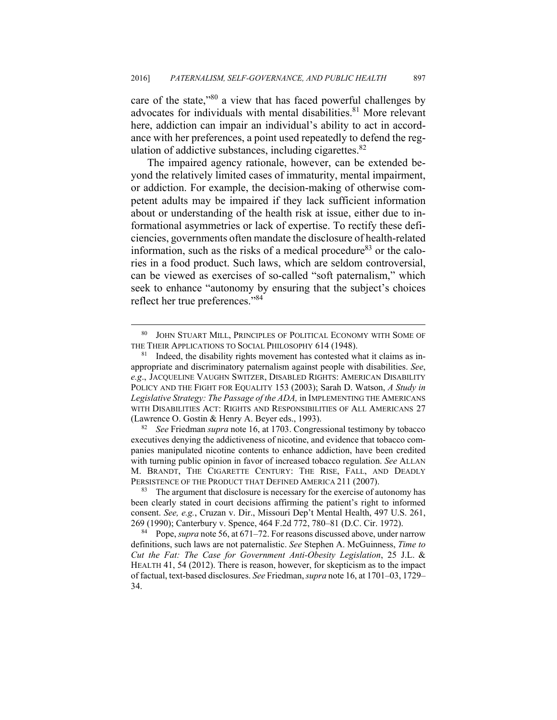care of the state,"80 a view that has faced powerful challenges by advocates for individuals with mental disabilities.<sup>81</sup> More relevant here, addiction can impair an individual's ability to act in accordance with her preferences, a point used repeatedly to defend the regulation of addictive substances, including cigarettes. $82$ 

The impaired agency rationale, however, can be extended beyond the relatively limited cases of immaturity, mental impairment, or addiction. For example, the decision-making of otherwise competent adults may be impaired if they lack sufficient information about or understanding of the health risk at issue, either due to informational asymmetries or lack of expertise. To rectify these deficiencies, governments often mandate the disclosure of health-related information, such as the risks of a medical procedure $83$  or the calories in a food product. Such laws, which are seldom controversial, can be viewed as exercises of so-called "soft paternalism," which seek to enhance "autonomy by ensuring that the subject's choices reflect her true preferences."84

 <sup>80</sup> JOHN STUART MILL, PRINCIPLES OF POLITICAL ECONOMY WITH SOME OF THE THEIR APPLICATIONS TO SOCIAL PHILOSOPHY 614 (1948).<br><sup>81</sup> Indeed, the disability rights movement has contested what it claims as in-

appropriate and discriminatory paternalism against people with disabilities. *See*, *e.g*., JACQUELINE VAUGHN SWITZER, DISABLED RIGHTS: AMERICAN DISABILITY POLICY AND THE FIGHT FOR EQUALITY 153 (2003); Sarah D. Watson, *A Study in Legislative Strategy: The Passage of the ADA,* in IMPLEMENTING THE AMERICANS WITH DISABILITIES ACT: RIGHTS AND RESPONSIBILITIES OF ALL AMERICANS 27 (Lawrence O. Gostin & Henry A. Beyer eds., 1993). 82 *See* Friedman *supra* note 16, at 1703. Congressional testimony by tobacco

executives denying the addictiveness of nicotine, and evidence that tobacco companies manipulated nicotine contents to enhance addiction, have been credited with turning public opinion in favor of increased tobacco regulation. *See* ALLAN M. BRANDT, THE CIGARETTE CENTURY: THE RISE, FALL, AND DEADLY PERSISTENCE OF THE PRODUCT THAT DEFINED AMERICA 211 (2007).<br><sup>83</sup> The argument that disclosure is necessary for the exercise of autonomy has

been clearly stated in court decisions affirming the patient's right to informed consent. *See, e.g.*, Cruzan v. Dir., Missouri Dep't Mental Health, 497 U.S. 261, 269 (1990); Canterbury v. Spence, 464 F.2d 772, 780–81 (D.C. Cir. 1972). 84 Pope, *supra* note 56, at 671–72. For reasons discussed above, under narrow

definitions, such laws are not paternalistic. *See* Stephen A. McGuinness, *Time to Cut the Fat: The Case for Government Anti-Obesity Legislation*, 25 J.L. & HEALTH 41, 54 (2012). There is reason, however, for skepticism as to the impact of factual, text-based disclosures. *See* Friedman, *supra* note 16, at 1701–03, 1729– 34.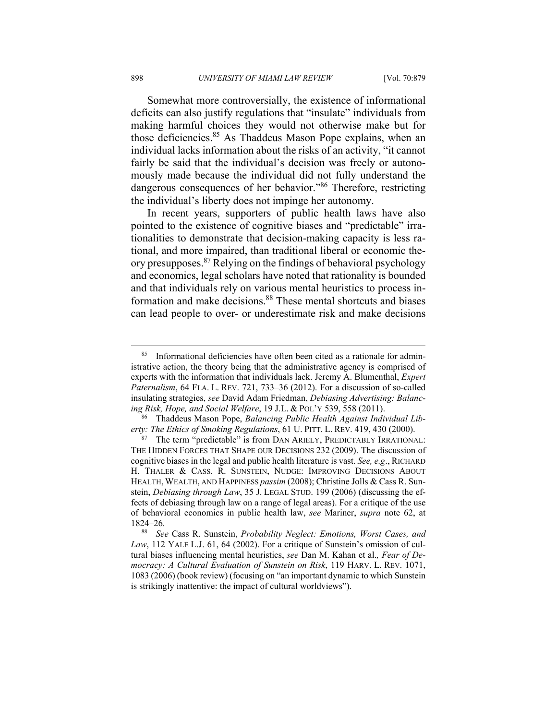Somewhat more controversially, the existence of informational deficits can also justify regulations that "insulate" individuals from making harmful choices they would not otherwise make but for those deficiencies.<sup>85</sup> As Thaddeus Mason Pope explains, when an individual lacks information about the risks of an activity, "it cannot fairly be said that the individual's decision was freely or autonomously made because the individual did not fully understand the dangerous consequences of her behavior."86 Therefore, restricting the individual's liberty does not impinge her autonomy.

In recent years, supporters of public health laws have also pointed to the existence of cognitive biases and "predictable" irrationalities to demonstrate that decision-making capacity is less rational, and more impaired, than traditional liberal or economic theory presupposes.87 Relying on the findings of behavioral psychology and economics, legal scholars have noted that rationality is bounded and that individuals rely on various mental heuristics to process information and make decisions.<sup>88</sup> These mental shortcuts and biases can lead people to over- or underestimate risk and make decisions

 <sup>85</sup> Informational deficiencies have often been cited as a rationale for administrative action, the theory being that the administrative agency is comprised of experts with the information that individuals lack. Jeremy A. Blumenthal, *Expert Paternalism*, 64 FLA. L. REV. 721, 733–36 (2012). For a discussion of so-called insulating strategies, *see* David Adam Friedman, *Debiasing Advertising: Balanc-*

*ing Risk, Hope, and Social Welfare*, 19 J.L. & POL'Y 539, 558 (2011). 86 Thaddeus Mason Pope, *Balancing Public Health Against Individual Liberty: The Ethics of Smoking Regulations*, 61 U. PITT. L. REV. 419, 430 (2000).<br><sup>87</sup> The term "predictable" is from DAN ARIELY, PREDICTABLY IRRATIONAL:

THE HIDDEN FORCES THAT SHAPE OUR DECISIONS 232 (2009). The discussion of cognitive biases in the legal and public health literature is vast. *See, e.g*., RICHARD H. THALER & CASS. R. SUNSTEIN, NUDGE: IMPROVING DECISIONS ABOUT HEALTH, WEALTH, AND HAPPINESS *passim* (2008); Christine Jolls & Cass R. Sunstein, *Debiasing through Law*, 35 J. LEGAL STUD. 199 (2006) (discussing the effects of debiasing through law on a range of legal areas). For a critique of the use of behavioral economics in public health law, *see* Mariner, *supra* note 62, at 1824–26*.*

See Cass R. Sunstein, *Probability Neglect: Emotions, Worst Cases, and Law*, 112 YALE L.J. 61, 64 (2002). For a critique of Sunstein's omission of cultural biases influencing mental heuristics, *see* Dan M. Kahan et al.*, Fear of Democracy: A Cultural Evaluation of Sunstein on Risk*, 119 HARV. L. REV. 1071, 1083 (2006) (book review) (focusing on "an important dynamic to which Sunstein is strikingly inattentive: the impact of cultural worldviews").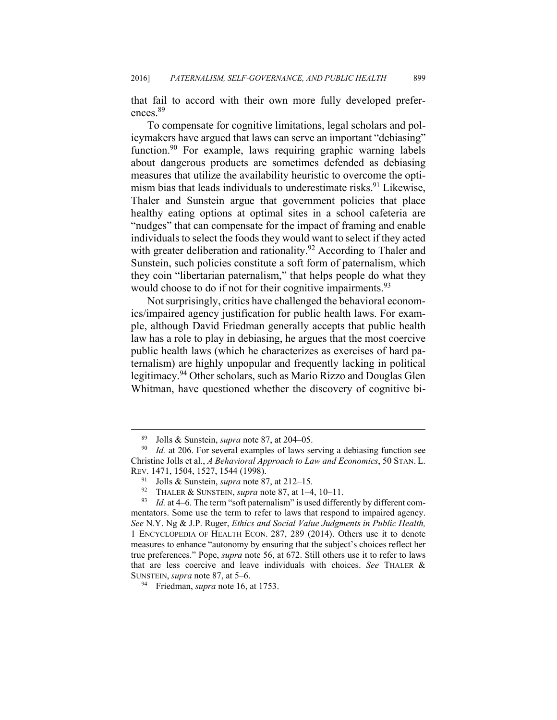that fail to accord with their own more fully developed preferences<sup>89</sup>

To compensate for cognitive limitations, legal scholars and policymakers have argued that laws can serve an important "debiasing" function.<sup>90</sup> For example, laws requiring graphic warning labels about dangerous products are sometimes defended as debiasing measures that utilize the availability heuristic to overcome the optimism bias that leads individuals to underestimate risks.<sup>91</sup> Likewise, Thaler and Sunstein argue that government policies that place healthy eating options at optimal sites in a school cafeteria are "nudges" that can compensate for the impact of framing and enable individuals to select the foods they would want to select if they acted with greater deliberation and rationality.<sup>92</sup> According to Thaler and Sunstein, such policies constitute a soft form of paternalism, which they coin "libertarian paternalism," that helps people do what they would choose to do if not for their cognitive impairments.<sup>93</sup>

Not surprisingly, critics have challenged the behavioral economics/impaired agency justification for public health laws. For example, although David Friedman generally accepts that public health law has a role to play in debiasing, he argues that the most coercive public health laws (which he characterizes as exercises of hard paternalism) are highly unpopular and frequently lacking in political legitimacy.94 Other scholars, such as Mario Rizzo and Douglas Glen Whitman, have questioned whether the discovery of cognitive bi-

 <sup>89</sup> Jolls & Sunstein, *supra* note 87, at 204–05. 90 *Id.* at 206. For several examples of laws serving a debiasing function see Christine Jolls et al., *A Behavioral Approach to Law and Economics*, 50 STAN. L. REV. 1471, 1504, 1527, 1544 (1998).<br><sup>91</sup> Jolls & Sunstein, *supra* note 87, at 212–15.

<sup>&</sup>lt;sup>92</sup> THALER & SUNSTEIN, *supra* note 87, at 1–4, 10–11.<br><sup>93</sup> Id. at 4–6. The term "soft paternalism" is used differently by different commentators. Some use the term to refer to laws that respond to impaired agency. *See* N.Y. Ng & J.P. Ruger, *Ethics and Social Value Judgments in Public Health,*  1 ENCYCLOPEDIA OF HEALTH ECON. 287, 289 (2014). Others use it to denote measures to enhance "autonomy by ensuring that the subject's choices reflect her true preferences." Pope, *supra* note 56, at 672. Still others use it to refer to laws that are less coercive and leave individuals with choices. *See* THALER & SUNSTEIN, *supra* note 87, at 5–6. 94 Friedman, *supra* note 16, at 1753.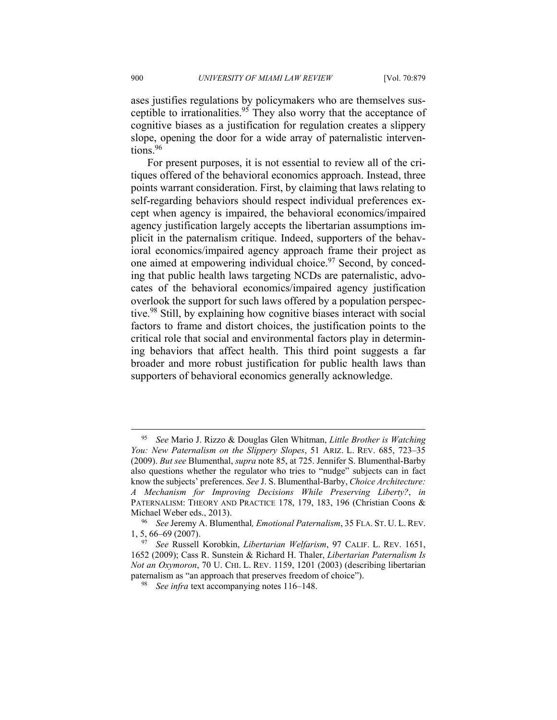ases justifies regulations by policymakers who are themselves susceptible to irrationalities.<sup>95</sup> They also worry that the acceptance of cognitive biases as a justification for regulation creates a slippery slope, opening the door for a wide array of paternalistic interventions.<sup>96</sup>

For present purposes, it is not essential to review all of the critiques offered of the behavioral economics approach. Instead, three points warrant consideration. First, by claiming that laws relating to self-regarding behaviors should respect individual preferences except when agency is impaired, the behavioral economics/impaired agency justification largely accepts the libertarian assumptions implicit in the paternalism critique. Indeed, supporters of the behavioral economics/impaired agency approach frame their project as one aimed at empowering individual choice.<sup>97</sup> Second, by conceding that public health laws targeting NCDs are paternalistic, advocates of the behavioral economics/impaired agency justification overlook the support for such laws offered by a population perspective.98 Still, by explaining how cognitive biases interact with social factors to frame and distort choices, the justification points to the critical role that social and environmental factors play in determining behaviors that affect health. This third point suggests a far broader and more robust justification for public health laws than supporters of behavioral economics generally acknowledge.

 <sup>95</sup> *See* Mario J. Rizzo & Douglas Glen Whitman, *Little Brother is Watching You: New Paternalism on the Slippery Slopes*, 51 ARIZ. L. REV. 685, 723–35 (2009). *But see* Blumenthal, *supra* note 85, at 725. Jennifer S. Blumenthal-Barby also questions whether the regulator who tries to "nudge" subjects can in fact know the subjects' preferences. *See* J. S. Blumenthal-Barby, *Choice Architecture: A Mechanism for Improving Decisions While Preserving Liberty?*, *in* PATERNALISM: THEORY AND PRACTICE 178, 179, 183, 196 (Christian Coons & Michael Weber eds., 2013). 96 *See* Jeremy A. Blumenthal*, Emotional Paternalism*, 35 FLA. ST. U. L. REV.

<sup>1, 5, 66–69 (2007). 97</sup> *See* Russell Korobkin, *Libertarian Welfarism*, 97 CALIF. L. REV. 1651,

<sup>1652 (2009);</sup> Cass R. Sunstein & Richard H. Thaler, *Libertarian Paternalism Is Not an Oxymoron*, 70 U. CHI. L. REV. 1159, 1201 (2003) (describing libertarian paternalism as "an approach that preserves freedom of choice"). 98 *See infra* text accompanying notes 116–148.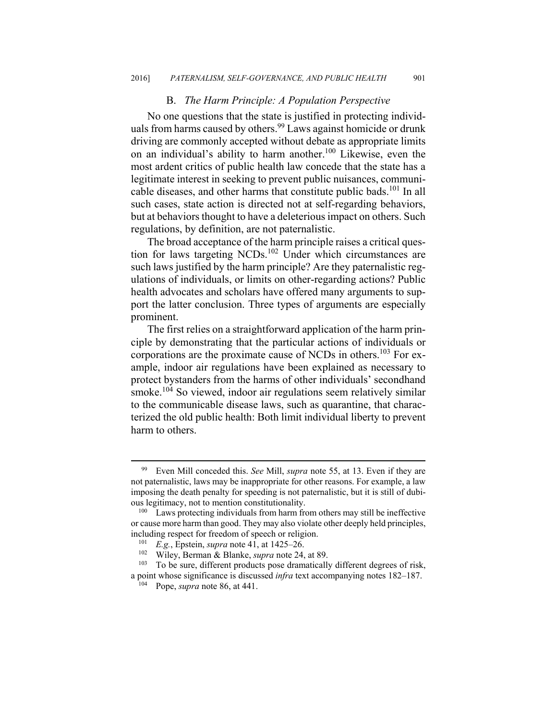#### B. *The Harm Principle: A Population Perspective*

No one questions that the state is justified in protecting individuals from harms caused by others.<sup>99</sup> Laws against homicide or drunk driving are commonly accepted without debate as appropriate limits on an individual's ability to harm another.100 Likewise, even the most ardent critics of public health law concede that the state has a legitimate interest in seeking to prevent public nuisances, communicable diseases, and other harms that constitute public bads.<sup>101</sup> In all such cases, state action is directed not at self-regarding behaviors, but at behaviors thought to have a deleterious impact on others. Such regulations, by definition, are not paternalistic.

The broad acceptance of the harm principle raises a critical question for laws targeting NCDs.<sup>102</sup> Under which circumstances are such laws justified by the harm principle? Are they paternalistic regulations of individuals, or limits on other-regarding actions? Public health advocates and scholars have offered many arguments to support the latter conclusion. Three types of arguments are especially prominent.

The first relies on a straightforward application of the harm principle by demonstrating that the particular actions of individuals or corporations are the proximate cause of NCDs in others.<sup>103</sup> For example, indoor air regulations have been explained as necessary to protect bystanders from the harms of other individuals' secondhand smoke.<sup>104</sup> So viewed, indoor air regulations seem relatively similar to the communicable disease laws, such as quarantine, that characterized the old public health: Both limit individual liberty to prevent harm to others.

 <sup>99</sup> Even Mill conceded this. *See* Mill, *supra* note 55, at 13. Even if they are not paternalistic, laws may be inappropriate for other reasons. For example, a law imposing the death penalty for speeding is not paternalistic, but it is still of dubious legitimacy, not to mention constitutionality. 100 Laws protecting individuals from harm from others may still be ineffective

or cause more harm than good. They may also violate other deeply held principles, including respect for freedom of speech or religion.<br>
<sup>101</sup> *E.g.*, Epstein, *supra* note 41, at 1425–26.<br>
<sup>102</sup> Wiley, Berman & Blanke, *supra* note 24, at 89.<br>
<sup>103</sup> To be sure, different products pose dramatically diff

a point whose significance is discussed *infra* text accompanying notes 182–187. 104 Pope, *supra* note 86, at 441.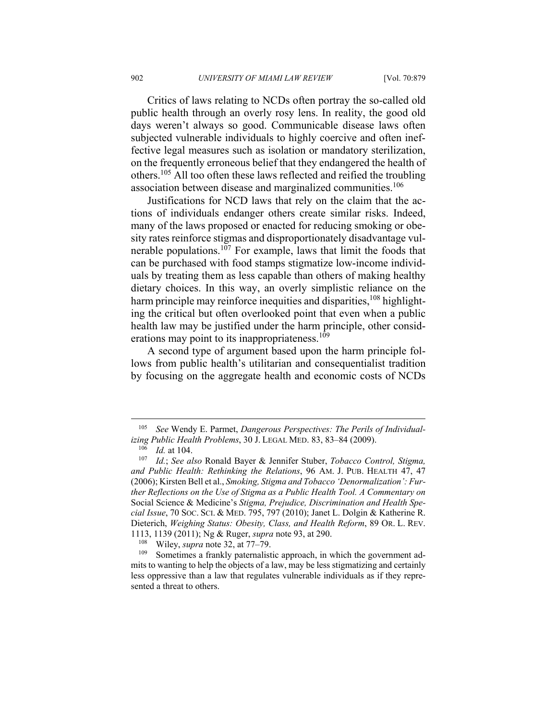Critics of laws relating to NCDs often portray the so-called old public health through an overly rosy lens. In reality, the good old days weren't always so good. Communicable disease laws often subjected vulnerable individuals to highly coercive and often ineffective legal measures such as isolation or mandatory sterilization, on the frequently erroneous belief that they endangered the health of others.105 All too often these laws reflected and reified the troubling association between disease and marginalized communities.<sup>106</sup>

Justifications for NCD laws that rely on the claim that the actions of individuals endanger others create similar risks. Indeed, many of the laws proposed or enacted for reducing smoking or obesity rates reinforce stigmas and disproportionately disadvantage vulnerable populations.107 For example, laws that limit the foods that can be purchased with food stamps stigmatize low-income individuals by treating them as less capable than others of making healthy dietary choices. In this way, an overly simplistic reliance on the harm principle may reinforce inequities and disparities,  $^{108}$  highlighting the critical but often overlooked point that even when a public health law may be justified under the harm principle, other considerations may point to its inappropriateness.<sup>109</sup>

A second type of argument based upon the harm principle follows from public health's utilitarian and consequentialist tradition by focusing on the aggregate health and economic costs of NCDs

<sup>105</sup> *See* Wendy E. Parmet, *Dangerous Perspectives: The Perils of Individualizing Public Health Problems*, 30 J. LEGAL MED. 83, 83–84 (2009). 106 *Id.* at 104. 107 *Id.*; *See also* Ronald Bayer & Jennifer Stuber, *Tobacco Control, Stigma,* 

*and Public Health: Rethinking the Relations*, 96 AM. J. PUB. HEALTH 47, 47 (2006); Kirsten Bell et al., *Smoking, Stigma and Tobacco 'Denormalization': Further Reflections on the Use of Stigma as a Public Health Tool. A Commentary on*  Social Science & Medicine's *Stigma, Prejudice, Discrimination and Health Special Issue*, 70 SOC. SCI. & MED. 795, 797 (2010); Janet L. Dolgin & Katherine R. Dieterich, *Weighing Status: Obesity, Class, and Health Reform*, 89 OR. L. REV.

<sup>1113, 1139 (2011);</sup> Ng & Ruger, *supra* note 93, at 290.<br><sup>108</sup> Wiley, *supra* note 32, at 77–79.<br><sup>109</sup> Sometimes a frankly paternalistic approach, in which the government admits to wanting to help the objects of a law, may be less stigmatizing and certainly less oppressive than a law that regulates vulnerable individuals as if they represented a threat to others.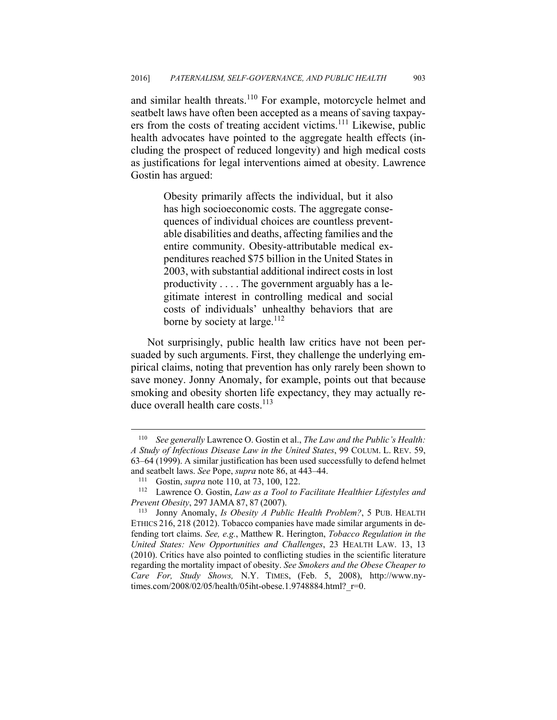and similar health threats.<sup>110</sup> For example, motorcycle helmet and seatbelt laws have often been accepted as a means of saving taxpayers from the costs of treating accident victims.111 Likewise, public health advocates have pointed to the aggregate health effects (including the prospect of reduced longevity) and high medical costs as justifications for legal interventions aimed at obesity. Lawrence Gostin has argued:

> Obesity primarily affects the individual, but it also has high socioeconomic costs. The aggregate consequences of individual choices are countless preventable disabilities and deaths, affecting families and the entire community. Obesity-attributable medical expenditures reached \$75 billion in the United States in 2003, with substantial additional indirect costs in lost productivity . . . . The government arguably has a legitimate interest in controlling medical and social costs of individuals' unhealthy behaviors that are borne by society at large.<sup>112</sup>

Not surprisingly, public health law critics have not been persuaded by such arguments. First, they challenge the underlying empirical claims, noting that prevention has only rarely been shown to save money. Jonny Anomaly, for example, points out that because smoking and obesity shorten life expectancy, they may actually reduce overall health care costs.<sup>113</sup>

1

<sup>110</sup> *See generally* Lawrence O. Gostin et al., *The Law and the Public's Health: A Study of Infectious Disease Law in the United States*, 99 COLUM. L. REV. 59, 63–64 (1999). A similar justification has been used successfully to defend helmet and seatbelt laws. *See* Pope, *supra* note 86, at 443–44.<br><sup>111</sup> Gostin, *supra* note 110, at 73, 100, 122.<br><sup>112</sup> Lawrence O. Gostin, *Law as a Tool to Facilitate Healthier Lifestyles and* 

*Prevent Obesity*, 297 JAMA 87, 87 (2007).<br><sup>113</sup> Jonny Anomaly, *Is Obesity A Public Health Problem?*, 5 PUB. HEALTH

ETHICS 216, 218 (2012). Tobacco companies have made similar arguments in defending tort claims. *See, e.g.*, Matthew R. Herington, *Tobacco Regulation in the United States: New Opportunities and Challenges*, 23 HEALTH LAW. 13, 13 (2010). Critics have also pointed to conflicting studies in the scientific literature regarding the mortality impact of obesity. *See Smokers and the Obese Cheaper to Care For, Study Shows,* N.Y. TIMES, (Feb. 5, 2008), http://www.nytimes.com/2008/02/05/health/05iht-obese.1.9748884.html? r=0.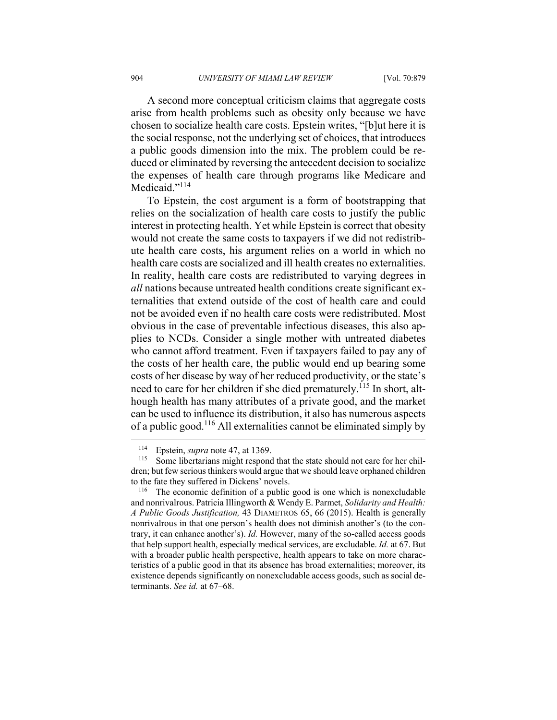A second more conceptual criticism claims that aggregate costs arise from health problems such as obesity only because we have chosen to socialize health care costs. Epstein writes, "[b]ut here it is the social response, not the underlying set of choices, that introduces a public goods dimension into the mix. The problem could be reduced or eliminated by reversing the antecedent decision to socialize the expenses of health care through programs like Medicare and Medicaid."<sup>114</sup>

To Epstein, the cost argument is a form of bootstrapping that relies on the socialization of health care costs to justify the public interest in protecting health. Yet while Epstein is correct that obesity would not create the same costs to taxpayers if we did not redistribute health care costs, his argument relies on a world in which no health care costs are socialized and ill health creates no externalities. In reality, health care costs are redistributed to varying degrees in *all* nations because untreated health conditions create significant externalities that extend outside of the cost of health care and could not be avoided even if no health care costs were redistributed. Most obvious in the case of preventable infectious diseases, this also applies to NCDs. Consider a single mother with untreated diabetes who cannot afford treatment. Even if taxpayers failed to pay any of the costs of her health care, the public would end up bearing some costs of her disease by way of her reduced productivity, or the state's need to care for her children if she died prematurely.<sup>115</sup> In short, although health has many attributes of a private good, and the market can be used to influence its distribution, it also has numerous aspects of a public good.116 All externalities cannot be eliminated simply by

<sup>&</sup>lt;sup>114</sup> Epstein, *supra* note 47, at 1369.<br><sup>115</sup> Some libertarians might respond that the state should not care for her children; but few serious thinkers would argue that we should leave orphaned children to the fate they suffered in Dickens' novels.<br><sup>116</sup> The economic definition of a public good is one which is nonexcludable

and nonrivalrous. Patricia Illingworth & Wendy E. Parmet, *Solidarity and Health: A Public Goods Justification,* 43 DIAMETROS 65, 66 (2015). Health is generally nonrivalrous in that one person's health does not diminish another's (to the contrary, it can enhance another's). *Id.* However, many of the so-called access goods that help support health, especially medical services, are excludable. *Id.* at 67. But with a broader public health perspective, health appears to take on more characteristics of a public good in that its absence has broad externalities; moreover, its existence depends significantly on nonexcludable access goods, such as social determinants. *See id.* at 67–68.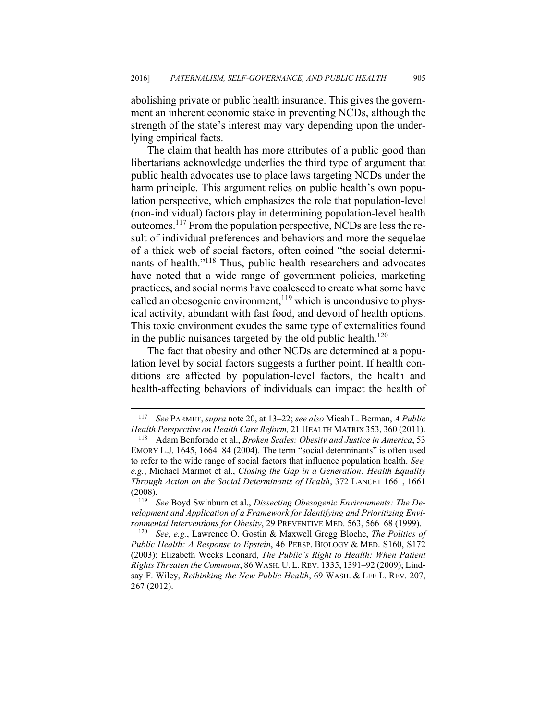abolishing private or public health insurance. This gives the government an inherent economic stake in preventing NCDs, although the strength of the state's interest may vary depending upon the underlying empirical facts.

The claim that health has more attributes of a public good than libertarians acknowledge underlies the third type of argument that public health advocates use to place laws targeting NCDs under the harm principle. This argument relies on public health's own population perspective, which emphasizes the role that population-level (non-individual) factors play in determining population-level health outcomes.117 From the population perspective, NCDs are less the result of individual preferences and behaviors and more the sequelae of a thick web of social factors, often coined "the social determinants of health."118 Thus, public health researchers and advocates have noted that a wide range of government policies, marketing practices, and social norms have coalesced to create what some have called an obesogenic environment,  $119$  which is uncondusive to physical activity, abundant with fast food, and devoid of health options. This toxic environment exudes the same type of externalities found in the public nuisances targeted by the old public health.<sup>120</sup>

The fact that obesity and other NCDs are determined at a population level by social factors suggests a further point. If health conditions are affected by population-level factors, the health and health-affecting behaviors of individuals can impact the health of

<sup>117</sup> *See* PARMET, *supra* note 20, at 13–22; *see also* Micah L. Berman, *A Public Health Perspective on Health Care Reform, 21 HEALTH MATRIX 353, 360 (2011).* <sup>118</sup> Adam Benforado et al., *Broken Scales: Obesity and Justice in America, 53* 

EMORY L.J. 1645, 1664–84 (2004). The term "social determinants" is often used to refer to the wide range of social factors that influence population health. *See, e.g.*, Michael Marmot et al., *Closing the Gap in a Generation: Health Equality Through Action on the Social Determinants of Health*, 372 LANCET 1661, 1661 (2008). 119 *See* Boyd Swinburn et al., *Dissecting Obesogenic Environments: The De-*

*velopment and Application of a Framework for Identifying and Prioritizing Environmental Interventions for Obesity*, 29 PREVENTIVE MED. 563, 566–68 (1999). 120 *See, e.g.*, Lawrence O. Gostin & Maxwell Gregg Bloche, *The Politics of* 

*Public Health: A Response to Epstein*, 46 PERSP. BIOLOGY & MED. S160, S172 (2003); Elizabeth Weeks Leonard, *The Public's Right to Health: When Patient Rights Threaten the Commons*, 86 WASH. U.L.REV. 1335, 1391–92 (2009); Lindsay F. Wiley, *Rethinking the New Public Health*, 69 WASH. & LEE L. REV. 207, 267 (2012).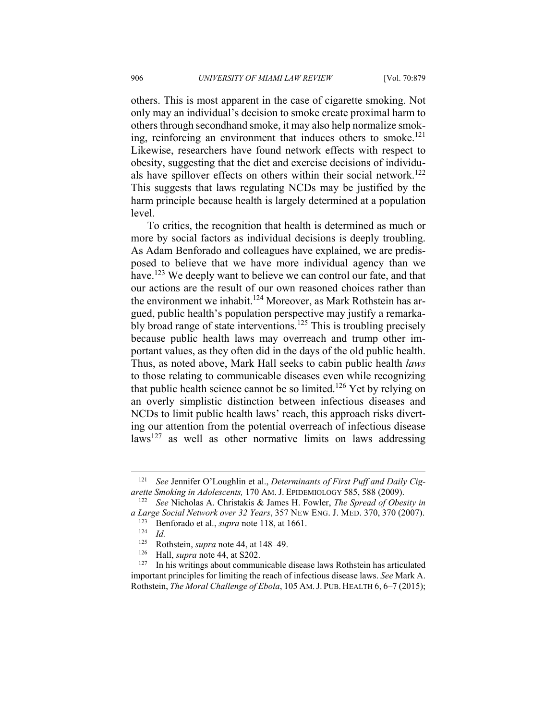others. This is most apparent in the case of cigarette smoking. Not only may an individual's decision to smoke create proximal harm to others through secondhand smoke, it may also help normalize smoking, reinforcing an environment that induces others to smoke.<sup>121</sup> Likewise, researchers have found network effects with respect to obesity, suggesting that the diet and exercise decisions of individuals have spillover effects on others within their social network.<sup>122</sup> This suggests that laws regulating NCDs may be justified by the harm principle because health is largely determined at a population level.

To critics, the recognition that health is determined as much or more by social factors as individual decisions is deeply troubling. As Adam Benforado and colleagues have explained, we are predisposed to believe that we have more individual agency than we have.<sup>123</sup> We deeply want to believe we can control our fate, and that our actions are the result of our own reasoned choices rather than the environment we inhabit.<sup>124</sup> Moreover, as Mark Rothstein has argued, public health's population perspective may justify a remarkably broad range of state interventions.<sup>125</sup> This is troubling precisely because public health laws may overreach and trump other important values, as they often did in the days of the old public health. Thus, as noted above, Mark Hall seeks to cabin public health *laws* to those relating to communicable diseases even while recognizing that public health science cannot be so limited.<sup>126</sup> Yet by relying on an overly simplistic distinction between infectious diseases and NCDs to limit public health laws' reach, this approach risks diverting our attention from the potential overreach of infectious disease  $laws<sup>127</sup>$  as well as other normative limits on laws addressing

<sup>121</sup> *See* Jennifer O'Loughlin et al., *Determinants of First Puff and Daily Cigarette Smoking in Adolescents,* 170 AM. J. EPIDEMIOLOGY 585, 588 (2009). 122 *See* Nicholas A. Christakis & James H. Fowler, *The Spread of Obesity in* 

*a Large Social Network over 32 Years*, 357 NEW ENG. J. MED. 370, 370 (2007).<br><sup>123</sup> Benforado et al., *supra* note 118, at 1661.<br><sup>124</sup> *Id.* 125 Bothstain *supra* note 44 at 148, 49

<sup>125</sup> Rothstein, *supra* note 44, at 148–49.<br>
126 Hall, *supra* note 44, at S202.<br>
127 In his writings about communicable disease laws Rothstein has articulated important principles for limiting the reach of infectious disease laws. *See* Mark A. Rothstein, *The Moral Challenge of Ebola*, 105 AM.J. PUB. HEALTH 6, 6–7 (2015);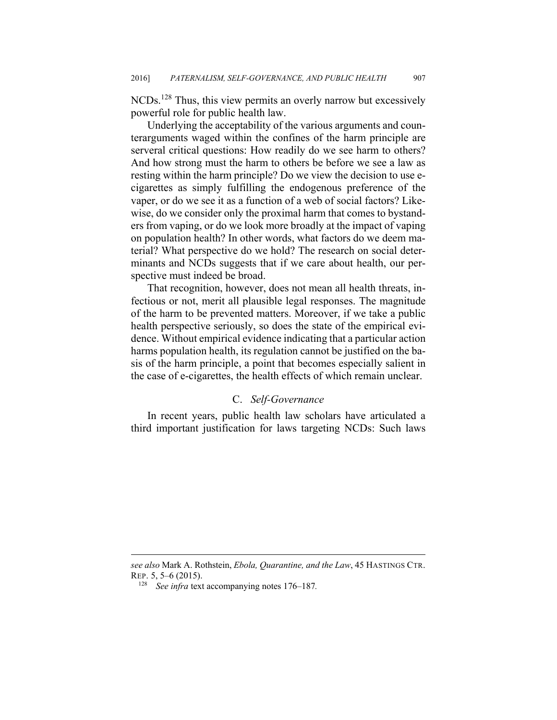NCDs.128 Thus, this view permits an overly narrow but excessively powerful role for public health law.

Underlying the acceptability of the various arguments and counterarguments waged within the confines of the harm principle are serveral critical questions: How readily do we see harm to others? And how strong must the harm to others be before we see a law as resting within the harm principle? Do we view the decision to use ecigarettes as simply fulfilling the endogenous preference of the vaper, or do we see it as a function of a web of social factors? Likewise, do we consider only the proximal harm that comes to bystanders from vaping, or do we look more broadly at the impact of vaping on population health? In other words, what factors do we deem material? What perspective do we hold? The research on social determinants and NCDs suggests that if we care about health, our perspective must indeed be broad.

That recognition, however, does not mean all health threats, infectious or not, merit all plausible legal responses. The magnitude of the harm to be prevented matters. Moreover, if we take a public health perspective seriously, so does the state of the empirical evidence. Without empirical evidence indicating that a particular action harms population health, its regulation cannot be justified on the basis of the harm principle, a point that becomes especially salient in the case of e-cigarettes, the health effects of which remain unclear.

#### C. *Self-Governance*

In recent years, public health law scholars have articulated a third important justification for laws targeting NCDs: Such laws

*see also* Mark A. Rothstein, *Ebola, Quarantine, and the Law*, 45 HASTINGS CTR. REP. 5, 5–6 (2015). 128 *See infra* text accompanying notes 176–187*.*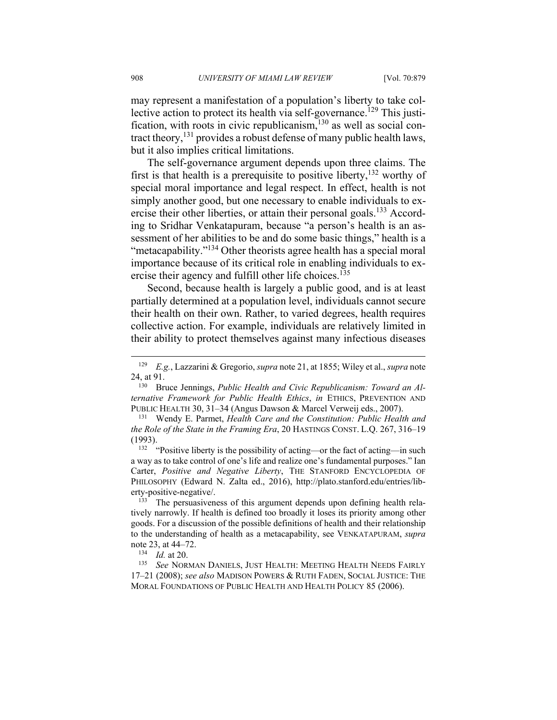may represent a manifestation of a population's liberty to take collective action to protect its health via self-governance.<sup>129</sup> This justification, with roots in civic republicanism, $130$  as well as social contract theory,<sup>131</sup> provides a robust defense of many public health laws, but it also implies critical limitations.

The self-governance argument depends upon three claims. The first is that health is a prerequisite to positive liberty,  $132$  worthy of special moral importance and legal respect. In effect, health is not simply another good, but one necessary to enable individuals to exercise their other liberties, or attain their personal goals.<sup>133</sup> According to Sridhar Venkatapuram, because "a person's health is an assessment of her abilities to be and do some basic things," health is a "metacapability."134 Other theorists agree health has a special moral importance because of its critical role in enabling individuals to exercise their agency and fulfill other life choices.<sup>135</sup>

Second, because health is largely a public good, and is at least partially determined at a population level, individuals cannot secure their health on their own. Rather, to varied degrees, health requires collective action. For example, individuals are relatively limited in their ability to protect themselves against many infectious diseases

a way as to take control of one's life and realize one's fundamental purposes." Ian Carter, *Positive and Negative Liberty*, THE STANFORD ENCYCLOPEDIA OF PHILOSOPHY (Edward N. Zalta ed., 2016), http://plato.stanford.edu/entries/liberty-positive-negative/.<br><sup>133</sup> The persuasiveness of this argument depends upon defining health rela-

tively narrowly. If health is defined too broadly it loses its priority among other goods. For a discussion of the possible definitions of health and their relationship to the understanding of health as a metacapability, see VENKATAPURAM, *supra*  note 23, at 44–72.<br><sup>134</sup> *Id.* at 20.<br><sup>135</sup> See NORMAN DANIELS, JUST HEALTH: MEETING HEALTH NEEDS FAIRLY

17–21 (2008); *see also* MADISON POWERS & RUTH FADEN, SOCIAL JUSTICE: THE MORAL FOUNDATIONS OF PUBLIC HEALTH AND HEALTH POLICY 85 (2006).

1

<sup>129</sup> *E.g.*, Lazzarini & Gregorio, *supra* note 21, at 1855; Wiley et al., *supra* note 24, at 91. 130 Bruce Jennings, *Public Health and Civic Republicanism: Toward an Al-*

*ternative Framework for Public Health Ethics*, *in* ETHICS, PREVENTION AND PUBLIC HEALTH 30, 31–34 (Angus Dawson & Marcel Verweij eds., 2007).

<sup>131</sup> Wendy E. Parmet, *Health Care and the Constitution: Public Health and the Role of the State in the Framing Era*, 20 HASTINGS CONST. L.Q. 267, 316–19 (1993).<br><sup>132</sup> "Positive liberty is the possibility of acting—or the fact of acting—in such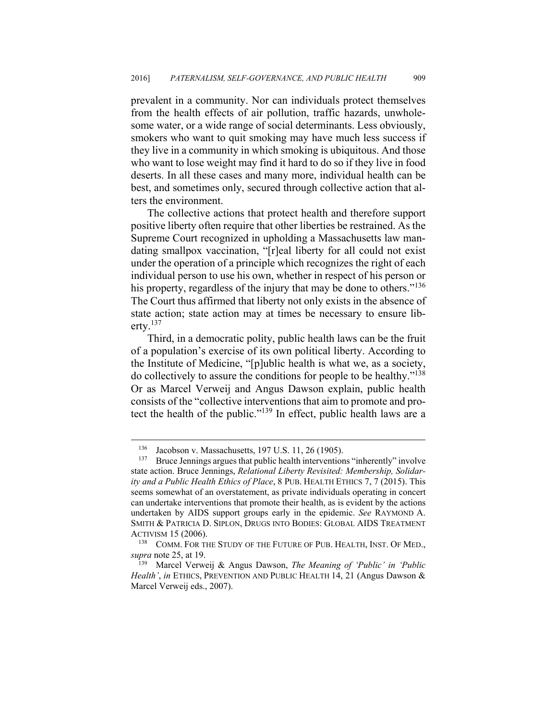prevalent in a community. Nor can individuals protect themselves from the health effects of air pollution, traffic hazards, unwholesome water, or a wide range of social determinants. Less obviously, smokers who want to quit smoking may have much less success if they live in a community in which smoking is ubiquitous. And those who want to lose weight may find it hard to do so if they live in food deserts. In all these cases and many more, individual health can be best, and sometimes only, secured through collective action that alters the environment.

The collective actions that protect health and therefore support positive liberty often require that other liberties be restrained. As the Supreme Court recognized in upholding a Massachusetts law mandating smallpox vaccination, "[r]eal liberty for all could not exist under the operation of a principle which recognizes the right of each individual person to use his own, whether in respect of his person or his property, regardless of the injury that may be done to others."<sup>136</sup> The Court thus affirmed that liberty not only exists in the absence of state action; state action may at times be necessary to ensure liberty. $137$ 

Third, in a democratic polity, public health laws can be the fruit of a population's exercise of its own political liberty. According to the Institute of Medicine, "[p]ublic health is what we, as a society, do collectively to assure the conditions for people to be healthy."138 Or as Marcel Verweij and Angus Dawson explain, public health consists of the "collective interventions that aim to promote and protect the health of the public."139 In effect, public health laws are a

<u>.</u>

<sup>&</sup>lt;sup>136</sup> Jacobson v. Massachusetts, 197 U.S. 11, 26 (1905).<br><sup>137</sup> Bruce Jennings argues that public health interventions "inherently" involve state action. Bruce Jennings, *Relational Liberty Revisited: Membership, Solidarity and a Public Health Ethics of Place*, 8 PUB. HEALTH ETHICS 7, 7 (2015). This seems somewhat of an overstatement, as private individuals operating in concert can undertake interventions that promote their health, as is evident by the actions undertaken by AIDS support groups early in the epidemic. *See* RAYMOND A. SMITH & PATRICIA D. SIPLON, DRUGS INTO BODIES: GLOBAL AIDS TREATMENT

ACTIVISM 15 (2006).<br><sup>138</sup> COMM. FOR THE STUDY OF THE FUTURE OF PUB. HEALTH, INST. OF MED., *supra* note 25, at 19.<br><sup>139</sup> Marcel Verweij & Angus Dawson, *The Meaning of 'Public' in 'Public* 

*Health'*, *in* ETHICS, PREVENTION AND PUBLIC HEALTH 14, 21 (Angus Dawson & Marcel Verweij eds., 2007).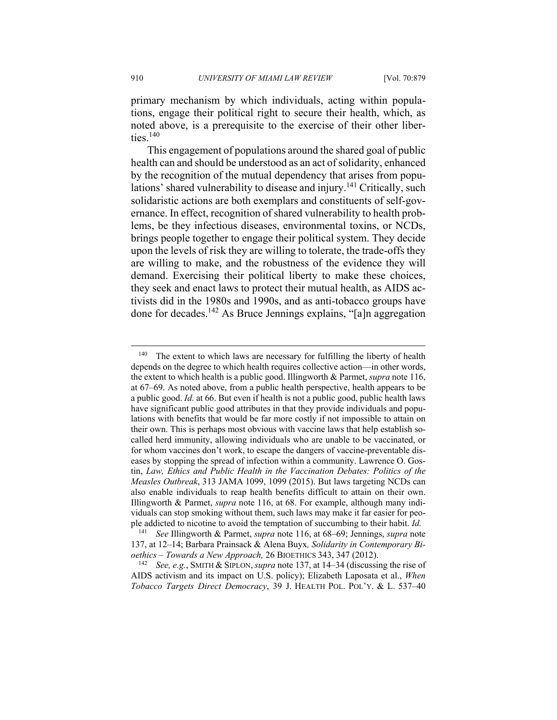primary mechanism by which individuals, acting within populations, engage their political right to secure their health, which, as noted above, is a prerequisite to the exercise of their other liberties.<sup>140</sup>

This engagement of populations around the shared goal of public health can and should be understood as an act of solidarity, enhanced by the recognition of the mutual dependency that arises from populations' shared vulnerability to disease and injury.<sup>141</sup> Critically, such solidaristic actions are both exemplars and constituents of self-governance. In effect, recognition of shared vulnerability to health problems, be they infectious diseases, environmental toxins, or NCDs, brings people together to engage their political system. They decide upon the levels of risk they are willing to tolerate, the trade-offs they are willing to make, and the robustness of the evidence they will demand. Exercising their political liberty to make these choices, they seek and enact laws to protect their mutual health, as AIDS activists did in the 1980s and 1990s, and as anti-tobacco groups have done for decades.142 As Bruce Jennings explains, "[a]n aggregation

<sup>&</sup>lt;sup>140</sup> The extent to which laws are necessary for fulfilling the liberty of health depends on the degree to which health requires collective action—in other words, the extent to which health is a public good. Illingworth & Parmet, *supra* note 116, at 67–69. As noted above, from a public health perspective, health appears to be a public good. *Id.* at 66. But even if health is not a public good, public health laws have significant public good attributes in that they provide individuals and populations with benefits that would be far more costly if not impossible to attain on their own. This is perhaps most obvious with vaccine laws that help establish socalled herd immunity, allowing individuals who are unable to be vaccinated, or for whom vaccines don't work, to escape the dangers of vaccine-preventable diseases by stopping the spread of infection within a community. Lawrence O. Gostin, *Law, Ethics and Public Health in the Vaccination Debates: Politics of the Measles Outbreak*, 313 JAMA 1099, 1099 (2015). But laws targeting NCDs can also enable individuals to reap health benefits difficult to attain on their own. Illingworth & Parmet, *supra* note 116, at 68. For example, although many individuals can stop smoking without them, such laws may make it far easier for people addicted to nicotine to avoid the temptation of succumbing to their habit. *Id.* 

<sup>141</sup> *See* Illingworth & Parmet, *supra* note 116, at 68–69; Jennings, *supra* note 137, at 12–14; Barbara Prainsack & Alena Buyx*, Solidarity in Contemporary Bi-*

*oethics* – *Towards a New Approach,* 26 BIOETHICS 343, 347 (2012). 142 *See, e.g.*, SMITH & SIPLON,*supra* note 137, at 14–34 (discussing the rise of AIDS activism and its impact on U.S. policy); Elizabeth Laposata et al., *When Tobacco Targets Direct Democracy*, 39 J. HEALTH POL. POL'Y. & L. 537–40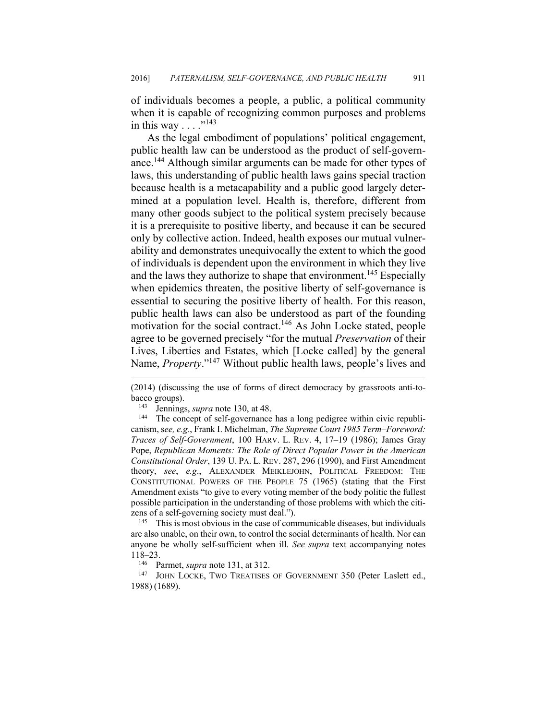of individuals becomes a people, a public, a political community when it is capable of recognizing common purposes and problems in this way . . . ."<sup>143</sup>

As the legal embodiment of populations' political engagement, public health law can be understood as the product of self-governance.144 Although similar arguments can be made for other types of laws, this understanding of public health laws gains special traction because health is a metacapability and a public good largely determined at a population level. Health is, therefore, different from many other goods subject to the political system precisely because it is a prerequisite to positive liberty, and because it can be secured only by collective action. Indeed, health exposes our mutual vulnerability and demonstrates unequivocally the extent to which the good of individuals is dependent upon the environment in which they live and the laws they authorize to shape that environment.<sup>145</sup> Especially when epidemics threaten, the positive liberty of self-governance is essential to securing the positive liberty of health. For this reason, public health laws can also be understood as part of the founding motivation for the social contract.<sup>146</sup> As John Locke stated, people agree to be governed precisely "for the mutual *Preservation* of their Lives, Liberties and Estates, which [Locke called] by the general Name, *Property*."147 Without public health laws, people's lives and

 $\overline{a}$ 

canism, s*ee, e.g.*, Frank I. Michelman, *The Supreme Court 1985 Term–Foreword: Traces of Self-Government*, 100 HARV. L. REV. 4, 17–19 (1986); James Gray Pope, *Republican Moments: The Role of Direct Popular Power in the American Constitutional Order*, 139 U. PA. L. REV. 287, 296 (1990), and First Amendment theory, *see*, *e.g*., ALEXANDER MEIKLEJOHN, POLITICAL FREEDOM: THE CONSTITUTIONAL POWERS OF THE PEOPLE 75 (1965) (stating that the First Amendment exists "to give to every voting member of the body politic the fullest possible participation in the understanding of those problems with which the citizens of a self-governing society must deal.").<br><sup>145</sup> This is most obvious in the case of communicable diseases, but individuals

are also unable, on their own, to control the social determinants of health. Nor can anyone be wholly self-sufficient when ill. *See supra* text accompanying notes 118–23.<br><sup>146</sup> Parmet, *supra* note 131, at 312.<br><sup>147</sup> JOHN LOCKE, TWO TREATISES OF GOVERNMENT 350 (Peter Laslett ed.,

1988) (1689).

<sup>(2014) (</sup>discussing the use of forms of direct democracy by grassroots anti-tobacco groups).<br><sup>143</sup> Jennings, *supra* note 130, at 48.<br><sup>144</sup> The concept of self-governance has a long pedigree within civic republi-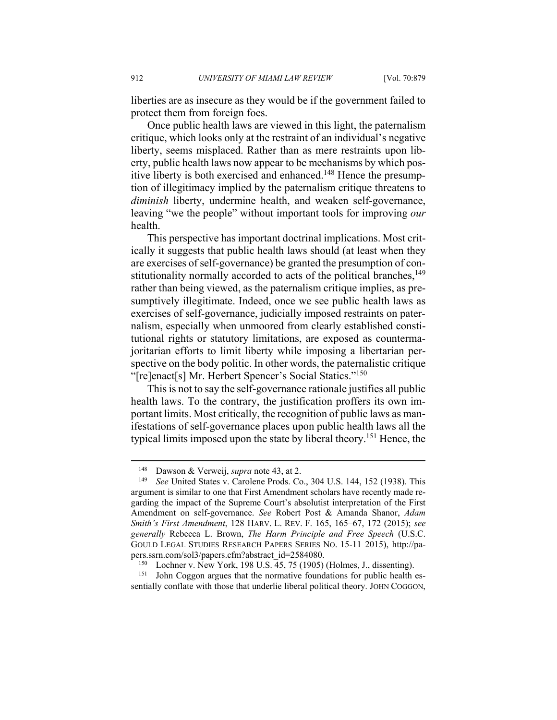liberties are as insecure as they would be if the government failed to protect them from foreign foes.

Once public health laws are viewed in this light, the paternalism critique, which looks only at the restraint of an individual's negative liberty, seems misplaced. Rather than as mere restraints upon liberty, public health laws now appear to be mechanisms by which positive liberty is both exercised and enhanced.<sup>148</sup> Hence the presumption of illegitimacy implied by the paternalism critique threatens to *diminish* liberty, undermine health, and weaken self-governance, leaving "we the people" without important tools for improving *our* health.

This perspective has important doctrinal implications. Most critically it suggests that public health laws should (at least when they are exercises of self-governance) be granted the presumption of constitutionality normally accorded to acts of the political branches,<sup>149</sup> rather than being viewed, as the paternalism critique implies, as presumptively illegitimate. Indeed, once we see public health laws as exercises of self-governance, judicially imposed restraints on paternalism, especially when unmoored from clearly established constitutional rights or statutory limitations, are exposed as countermajoritarian efforts to limit liberty while imposing a libertarian perspective on the body politic. In other words, the paternalistic critique "[re]enact[s] Mr. Herbert Spencer's Social Statics."<sup>150</sup>

This is not to say the self-governance rationale justifies all public health laws. To the contrary, the justification proffers its own important limits. Most critically, the recognition of public laws as manifestations of self-governance places upon public health laws all the typical limits imposed upon the state by liberal theory.<sup>151</sup> Hence, the

<sup>148</sup> Dawson & Verweij, *supra* note 43, at 2. 149 *See* United States v. Carolene Prods. Co., 304 U.S. 144, 152 (1938). This argument is similar to one that First Amendment scholars have recently made regarding the impact of the Supreme Court's absolutist interpretation of the First Amendment on self-governance. *See* Robert Post & Amanda Shanor, *Adam Smith's First Amendment*, 128 HARV. L. REV. F. 165, 165–67, 172 (2015); *see generally* Rebecca L. Brown, *The Harm Principle and Free Speech* (U.S.C. GOULD LEGAL STUDIES RESEARCH PAPERS SERIES NO. 15-11 2015), http://pa-

pers.ssrn.com/sol3/papers.cfm?abstract\_id=2584080.<br><sup>150</sup> Lochner v. New York, 198 U.S. 45, 75 (1905) (Holmes, J., dissenting).<br><sup>151</sup> John Coggon argues that the normative foundations for public health es-

sentially conflate with those that underlie liberal political theory. JOHN COGGON,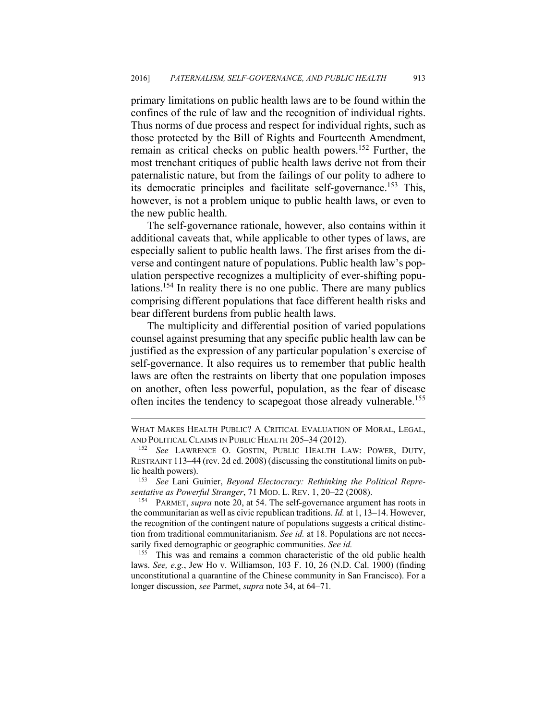primary limitations on public health laws are to be found within the confines of the rule of law and the recognition of individual rights. Thus norms of due process and respect for individual rights, such as those protected by the Bill of Rights and Fourteenth Amendment, remain as critical checks on public health powers.152 Further, the most trenchant critiques of public health laws derive not from their paternalistic nature, but from the failings of our polity to adhere to its democratic principles and facilitate self-governance.153 This, however, is not a problem unique to public health laws, or even to the new public health.

The self-governance rationale, however, also contains within it additional caveats that, while applicable to other types of laws, are especially salient to public health laws. The first arises from the diverse and contingent nature of populations. Public health law's population perspective recognizes a multiplicity of ever-shifting populations.<sup>154</sup> In reality there is no one public. There are many publics comprising different populations that face different health risks and bear different burdens from public health laws.

The multiplicity and differential position of varied populations counsel against presuming that any specific public health law can be justified as the expression of any particular population's exercise of self-governance. It also requires us to remember that public health laws are often the restraints on liberty that one population imposes on another, often less powerful, population, as the fear of disease often incites the tendency to scapegoat those already vulnerable.<sup>155</sup>

 $\overline{a}$ 

the communitarian as well as civic republican traditions. *Id.* at 1, 13–14. However, the recognition of the contingent nature of populations suggests a critical distinction from traditional communitarianism. *See id.* at 18. Populations are not necessarily fixed demographic or geographic communities. *See id.*

<sup>155</sup> This was and remains a common characteristic of the old public health laws. *See, e.g.*, Jew Ho v. Williamson, 103 F. 10, 26 (N.D. Cal. 1900) (finding unconstitutional a quarantine of the Chinese community in San Francisco). For a longer discussion, *see* Parmet, *supra* note 34, at 64–71*.* 

WHAT MAKES HEALTH PUBLIC? A CRITICAL EVALUATION OF MORAL, LEGAL, AND POLITICAL CLAIMS IN PUBLIC HEALTH 205–34 (2012). 152 *See* LAWRENCE O. GOSTIN, PUBLIC HEALTH LAW: POWER, DUTY,

RESTRAINT 113–44 (rev. 2d ed. 2008) (discussing the constitutional limits on public health powers). 153 *See* Lani Guinier, *Beyond Electocracy: Rethinking the Political Repre-*

*sentative as Powerful Stranger*, 71 MOD. L. REV. 1, 20–22 (2008).<br><sup>154</sup> PARMET, *supra* note 20, at 54. The self-governance argument has roots in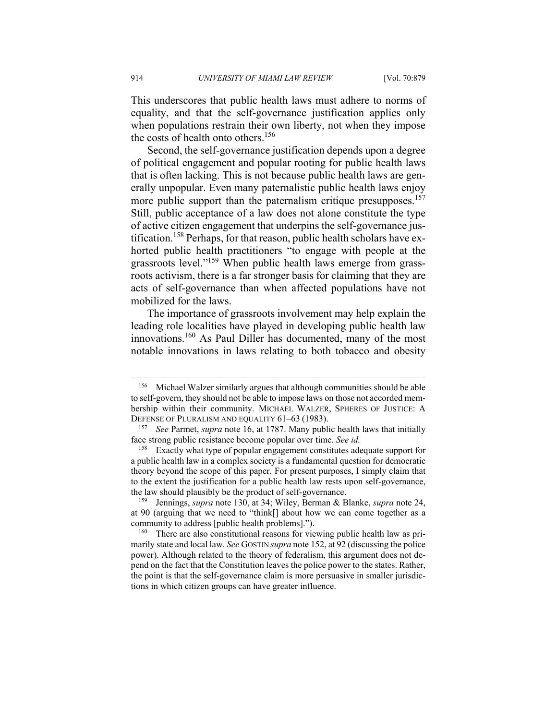This underscores that public health laws must adhere to norms of equality, and that the self-governance justification applies only when populations restrain their own liberty, not when they impose the costs of health onto others.<sup>156</sup>

Second, the self-governance justification depends upon a degree of political engagement and popular rooting for public health laws that is often lacking. This is not because public health laws are generally unpopular. Even many paternalistic public health laws enjoy more public support than the paternalism critique presupposes.<sup>157</sup> Still, public acceptance of a law does not alone constitute the type of active citizen engagement that underpins the self-governance justification.158 Perhaps, for that reason, public health scholars have exhorted public health practitioners "to engage with people at the grassroots level."159 When public health laws emerge from grassroots activism, there is a far stronger basis for claiming that they are acts of self-governance than when affected populations have not mobilized for the laws.

The importance of grassroots involvement may help explain the leading role localities have played in developing public health law innovations.160 As Paul Diller has documented, many of the most notable innovations in laws relating to both tobacco and obesity

<sup>156</sup> Michael Walzer similarly argues that although communities should be able to self-govern, they should not be able to impose laws on those not accorded membership within their community. MICHAEL WALZER, SPHERES OF JUSTICE: A DEFENSE OF PLURALISM AND EQUALITY 61–63 (1983). 157 *See* Parmet, *supra* note 16, at 1787. Many public health laws that initially

face strong public resistance become popular over time. *See id.* 

<sup>&</sup>lt;sup>158</sup> Exactly what type of popular engagement constitutes adequate support for a public health law in a complex society is a fundamental question for democratic theory beyond the scope of this paper. For present purposes, I simply claim that to the extent the justification for a public health law rests upon self-governance, the law should plausibly be the product of self-governance. 159 Jennings, *supra* note 130, at 34; Wiley, Berman & Blanke, *supra* note 24,

at 90 (arguing that we need to "think[] about how we can come together as a community to address [public health problems].").

 $^{160}$  There are also constitutional reasons for viewing public health law as primarily state and local law. *See* GOSTIN *supra* note 152, at 92 (discussing the police power). Although related to the theory of federalism, this argument does not depend on the fact that the Constitution leaves the police power to the states. Rather, the point is that the self-governance claim is more persuasive in smaller jurisdictions in which citizen groups can have greater influence.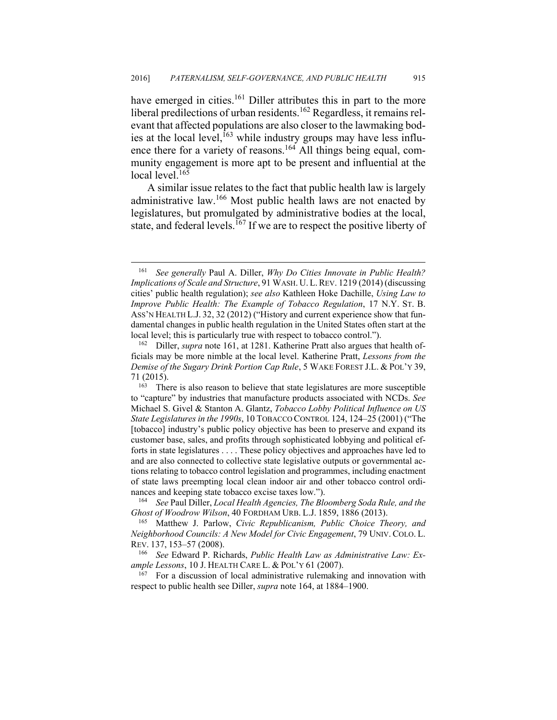have emerged in cities.<sup>161</sup> Diller attributes this in part to the more liberal predilections of urban residents.<sup>162</sup> Regardless, it remains relevant that affected populations are also closer to the lawmaking bodies at the local level,  $163$  while industry groups may have less influence there for a variety of reasons.<sup>164</sup> All things being equal, community engagement is more apt to be present and influential at the local level.<sup>165</sup>

A similar issue relates to the fact that public health law is largely administrative law.166 Most public health laws are not enacted by legislatures, but promulgated by administrative bodies at the local, state, and federal levels.<sup>167</sup> If we are to respect the positive liberty of

 $\overline{a}$ 

*Ghost of Woodrow Wilson, 40 FORDHAM URB. L.J. 1859, 1886 (2013).* <sup>165</sup> Matthew J. Parlow, *Civic Republicanism, Public Choice Theory, and* 

*Neighborhood Councils: A New Model for Civic Engagement*, 79 UNIV. COLO. L. REV. 137, 153–57 (2008). 166 *See* Edward P. Richards, *Public Health Law as Administrative Law: Ex-*

*ample Lessons*, 10 J. HEALTH CARE L. & POL'Y 61 (2007).<br><sup>167</sup> For a discussion of local administrative rulemaking and innovation with

respect to public health see Diller, *supra* note 164, at 1884–1900.

<sup>161</sup> *See generally* Paul A. Diller, *Why Do Cities Innovate in Public Health? Implications of Scale and Structure*, 91 WASH. U.L.REV. 1219 (2014) (discussing cities' public health regulation); *see also* Kathleen Hoke Dachille, *Using Law to Improve Public Health: The Example of Tobacco Regulation*, 17 N.Y. ST. B. ASS'N HEALTH L.J. 32, 32 (2012) ("History and current experience show that fundamental changes in public health regulation in the United States often start at the local level; this is particularly true with respect to tobacco control.").<br><sup>162</sup> Diller, *supra* note 161, at 1281. Katherine Pratt also argues that health of-

ficials may be more nimble at the local level. Katherine Pratt, *Lessons from the Demise of the Sugary Drink Portion Cap Rule*, 5 WAKE FOREST J.L. & POL'Y 39, 71 (2015).<br> $163$  There is also reason to believe that state legislatures are more susceptible

to "capture" by industries that manufacture products associated with NCDs. *See*  Michael S. Givel & Stanton A. Glantz, *Tobacco Lobby Political Influence on US State Legislatures in the 1990s*, 10 TOBACCO CONTROL 124, 124–25 (2001) ("The [tobacco] industry's public policy objective has been to preserve and expand its customer base, sales, and profits through sophisticated lobbying and political efforts in state legislatures . . . . These policy objectives and approaches have led to and are also connected to collective state legislative outputs or governmental actions relating to tobacco control legislation and programmes, including enactment of state laws preempting local clean indoor air and other tobacco control ordinances and keeping state tobacco excise taxes low.").<br><sup>164</sup> See Paul Diller, *Local Health Agencies, The Bloomberg Soda Rule, and the*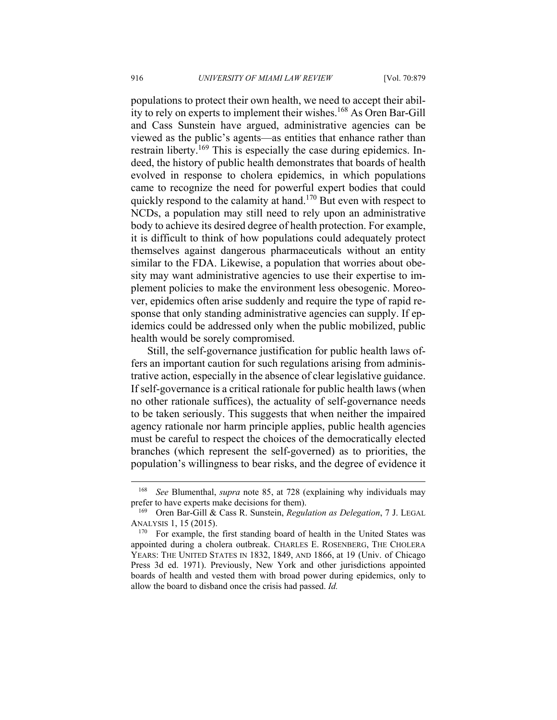populations to protect their own health, we need to accept their ability to rely on experts to implement their wishes.<sup>168</sup> As Oren Bar-Gill and Cass Sunstein have argued, administrative agencies can be viewed as the public's agents—as entities that enhance rather than restrain liberty.<sup>169</sup> This is especially the case during epidemics. Indeed, the history of public health demonstrates that boards of health evolved in response to cholera epidemics, in which populations came to recognize the need for powerful expert bodies that could quickly respond to the calamity at hand.<sup>170</sup> But even with respect to NCDs, a population may still need to rely upon an administrative body to achieve its desired degree of health protection. For example, it is difficult to think of how populations could adequately protect themselves against dangerous pharmaceuticals without an entity similar to the FDA. Likewise, a population that worries about obesity may want administrative agencies to use their expertise to implement policies to make the environment less obesogenic. Moreover, epidemics often arise suddenly and require the type of rapid response that only standing administrative agencies can supply. If epidemics could be addressed only when the public mobilized, public health would be sorely compromised.

Still, the self-governance justification for public health laws offers an important caution for such regulations arising from administrative action, especially in the absence of clear legislative guidance. If self-governance is a critical rationale for public health laws (when no other rationale suffices), the actuality of self-governance needs to be taken seriously. This suggests that when neither the impaired agency rationale nor harm principle applies, public health agencies must be careful to respect the choices of the democratically elected branches (which represent the self-governed) as to priorities, the population's willingness to bear risks, and the degree of evidence it

<sup>168</sup> *See* Blumenthal, *supra* note 85, at 728 (explaining why individuals may prefer to have experts make decisions for them).<br><sup>169</sup> Oren Bar-Gill & Cass R. Sunstein, *Regulation as Delegation*, 7 J. LEGAL

ANALYSIS 1, 15 (2015).<br><sup>170</sup> For example, the first standing board of health in the United States was

appointed during a cholera outbreak. CHARLES E. ROSENBERG, THE CHOLERA YEARS: THE UNITED STATES IN 1832, 1849, AND 1866, at 19 (Univ. of Chicago Press 3d ed. 1971). Previously, New York and other jurisdictions appointed boards of health and vested them with broad power during epidemics, only to allow the board to disband once the crisis had passed. *Id.*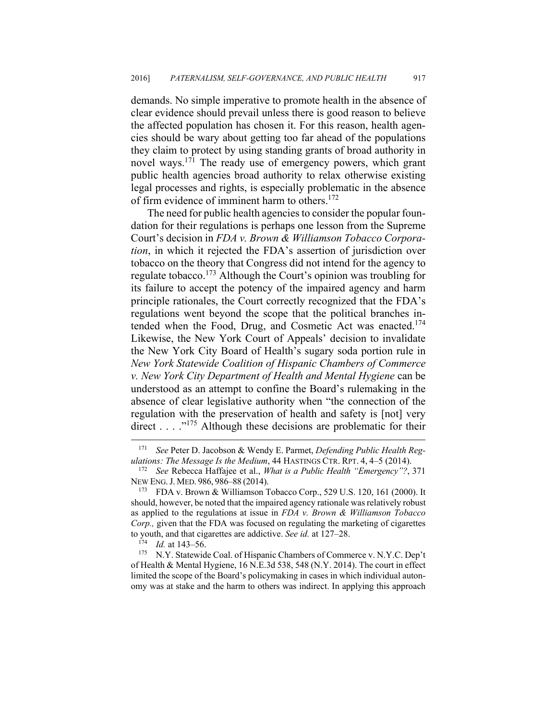demands. No simple imperative to promote health in the absence of clear evidence should prevail unless there is good reason to believe the affected population has chosen it. For this reason, health agencies should be wary about getting too far ahead of the populations they claim to protect by using standing grants of broad authority in novel ways.171 The ready use of emergency powers, which grant public health agencies broad authority to relax otherwise existing legal processes and rights, is especially problematic in the absence of firm evidence of imminent harm to others.<sup>172</sup>

The need for public health agencies to consider the popular foundation for their regulations is perhaps one lesson from the Supreme Court's decision in *FDA v. Brown & Williamson Tobacco Corporation*, in which it rejected the FDA's assertion of jurisdiction over tobacco on the theory that Congress did not intend for the agency to regulate tobacco.173 Although the Court's opinion was troubling for its failure to accept the potency of the impaired agency and harm principle rationales, the Court correctly recognized that the FDA's regulations went beyond the scope that the political branches intended when the Food, Drug, and Cosmetic Act was enacted.<sup>174</sup> Likewise, the New York Court of Appeals' decision to invalidate the New York City Board of Health's sugary soda portion rule in *New York Statewide Coalition of Hispanic Chambers of Commerce v. New York City Department of Health and Mental Hygiene* can be understood as an attempt to confine the Board's rulemaking in the absence of clear legislative authority when "the connection of the regulation with the preservation of health and safety is [not] very direct  $\dots$  . . .<sup>175</sup> Although these decisions are problematic for their

<sup>171</sup> *See* Peter D. Jacobson & Wendy E. Parmet, *Defending Public Health Reg-*

*ulations: The Message Is the Medium*, 44 HASTINGS CTR. RPT. 4, 4–5 (2014). 172 *See* Rebecca Haffajee et al., *What is a Public Health "Emergency"?*, <sup>371</sup> NEW ENG. J. MED. 986, 986–88 (2014).<br><sup>173</sup> FDA v. Brown & Williamson Tobacco Corp., 529 U.S. 120, 161 (2000). It

should, however, be noted that the impaired agency rationale was relatively robust as applied to the regulations at issue in *FDA v. Brown & Williamson Tobacco Corp.,* given that the FDA was focused on regulating the marketing of cigarettes to youth, and that cigarettes are addictive. *See id.* at 127–28.<br><sup>174</sup> *Id.* at 143–56. <br><sup>175</sup> N.Y. Statewide Coal. of Hispanic Chambers of Commerce v. N.Y.C. Dep't

of Health & Mental Hygiene, 16 N.E.3d 538, 548 (N.Y. 2014). The court in effect limited the scope of the Board's policymaking in cases in which individual autonomy was at stake and the harm to others was indirect. In applying this approach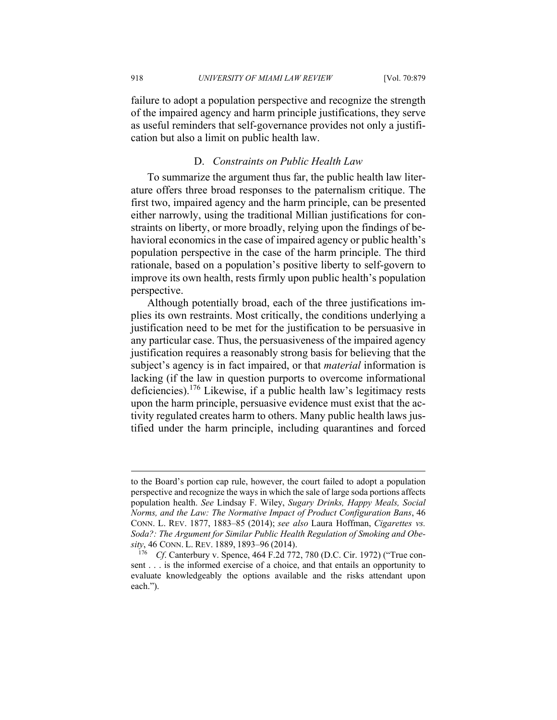failure to adopt a population perspective and recognize the strength of the impaired agency and harm principle justifications, they serve as useful reminders that self-governance provides not only a justification but also a limit on public health law.

# D. *Constraints on Public Health Law*

To summarize the argument thus far, the public health law literature offers three broad responses to the paternalism critique. The first two, impaired agency and the harm principle, can be presented either narrowly, using the traditional Millian justifications for constraints on liberty, or more broadly, relying upon the findings of behavioral economics in the case of impaired agency or public health's population perspective in the case of the harm principle. The third rationale, based on a population's positive liberty to self-govern to improve its own health, rests firmly upon public health's population perspective.

Although potentially broad, each of the three justifications implies its own restraints. Most critically, the conditions underlying a justification need to be met for the justification to be persuasive in any particular case. Thus, the persuasiveness of the impaired agency justification requires a reasonably strong basis for believing that the subject's agency is in fact impaired, or that *material* information is lacking (if the law in question purports to overcome informational deficiencies).176 Likewise, if a public health law's legitimacy rests upon the harm principle, persuasive evidence must exist that the activity regulated creates harm to others. Many public health laws justified under the harm principle, including quarantines and forced

to the Board's portion cap rule, however, the court failed to adopt a population perspective and recognize the ways in which the sale of large soda portions affects population health. *See* Lindsay F. Wiley, *Sugary Drinks, Happy Meals, Social Norms, and the Law: The Normative Impact of Product Configuration Bans*, 46 CONN. L. REV. 1877, 1883–85 (2014); *see also* Laura Hoffman, *Cigarettes vs. Soda?: The Argument for Similar Public Health Regulation of Smoking and Obesity*, 46 CONN. L. REV. 1889, 1893–96 (2014). 176 *Cf*. Canterbury v. Spence, 464 F.2d 772, 780 (D.C. Cir. 1972) ("True con-

sent . . . is the informed exercise of a choice, and that entails an opportunity to evaluate knowledgeably the options available and the risks attendant upon each.").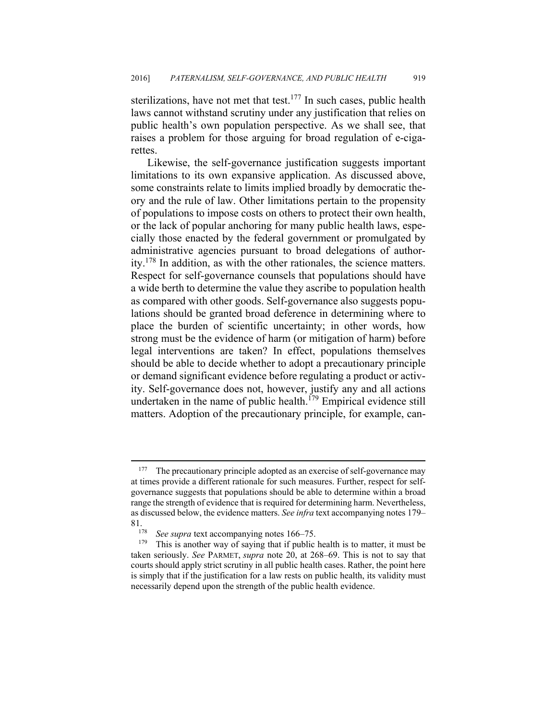sterilizations, have not met that test.<sup>177</sup> In such cases, public health laws cannot withstand scrutiny under any justification that relies on public health's own population perspective. As we shall see, that raises a problem for those arguing for broad regulation of e-cigarettes.

Likewise, the self-governance justification suggests important limitations to its own expansive application. As discussed above, some constraints relate to limits implied broadly by democratic theory and the rule of law. Other limitations pertain to the propensity of populations to impose costs on others to protect their own health, or the lack of popular anchoring for many public health laws, especially those enacted by the federal government or promulgated by administrative agencies pursuant to broad delegations of authority.178 In addition, as with the other rationales, the science matters. Respect for self-governance counsels that populations should have a wide berth to determine the value they ascribe to population health as compared with other goods. Self-governance also suggests populations should be granted broad deference in determining where to place the burden of scientific uncertainty; in other words, how strong must be the evidence of harm (or mitigation of harm) before legal interventions are taken? In effect, populations themselves should be able to decide whether to adopt a precautionary principle or demand significant evidence before regulating a product or activity. Self-governance does not, however, justify any and all actions undertaken in the name of public health.<sup>179</sup> Empirical evidence still matters. Adoption of the precautionary principle, for example, can-

<sup>&</sup>lt;sup>177</sup> The precautionary principle adopted as an exercise of self-governance may at times provide a different rationale for such measures. Further, respect for selfgovernance suggests that populations should be able to determine within a broad range the strength of evidence that is required for determining harm. Nevertheless, as discussed below, the evidence matters. *See infra* text accompanying notes 179– 81.<br><sup>178</sup> See supra text accompanying notes 166–75.<br><sup>179</sup> This is another way of saying that if public health is to matter, it must be

taken seriously. *See* PARMET, *supra* note 20, at 268–69. This is not to say that courts should apply strict scrutiny in all public health cases. Rather, the point here is simply that if the justification for a law rests on public health, its validity must necessarily depend upon the strength of the public health evidence.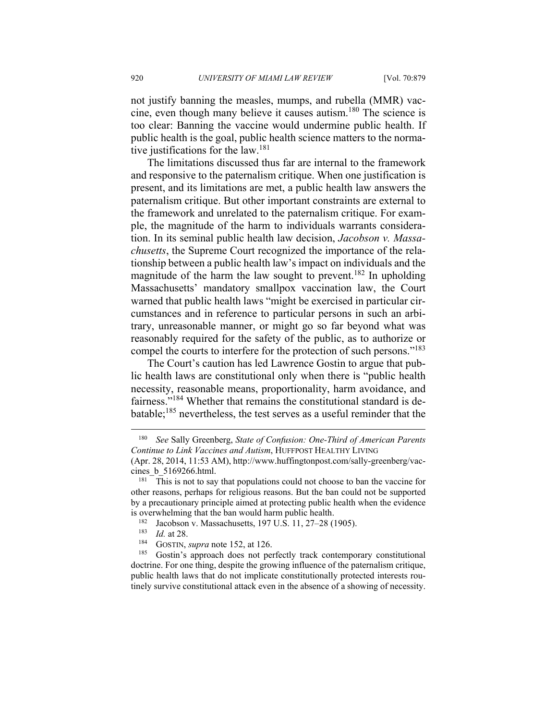not justify banning the measles, mumps, and rubella (MMR) vaccine, even though many believe it causes autism.180 The science is too clear: Banning the vaccine would undermine public health. If public health is the goal, public health science matters to the normative justifications for the law.<sup>181</sup>

The limitations discussed thus far are internal to the framework and responsive to the paternalism critique. When one justification is present, and its limitations are met, a public health law answers the paternalism critique. But other important constraints are external to the framework and unrelated to the paternalism critique. For example, the magnitude of the harm to individuals warrants consideration. In its seminal public health law decision, *Jacobson v. Massachusetts*, the Supreme Court recognized the importance of the relationship between a public health law's impact on individuals and the magnitude of the harm the law sought to prevent.<sup>182</sup> In upholding Massachusetts' mandatory smallpox vaccination law, the Court warned that public health laws "might be exercised in particular circumstances and in reference to particular persons in such an arbitrary, unreasonable manner, or might go so far beyond what was reasonably required for the safety of the public, as to authorize or compel the courts to interfere for the protection of such persons."<sup>183</sup>

The Court's caution has led Lawrence Gostin to argue that public health laws are constitutional only when there is "public health necessity, reasonable means, proportionality, harm avoidance, and fairness."184 Whether that remains the constitutional standard is debatable;185 nevertheless, the test serves as a useful reminder that the

<sup>180</sup> *See* Sally Greenberg, *State of Confusion: One-Third of American Parents Continue to Link Vaccines and Autism*, HUFFPOST HEALTHY LIVING

<sup>(</sup>Apr. 28, 2014, 11:53 AM), http://www.huffingtonpost.com/sally-greenberg/vaccines\_b\_5169266.html.<br><sup>181</sup> This is not to say that populations could not choose to ban the vaccine for

other reasons, perhaps for religious reasons. But the ban could not be supported by a precautionary principle aimed at protecting public health when the evidence

is overwhelming that the ban would harm public health.<br><sup>182</sup> Jacobson v. Massachusetts, 197 U.S. 11, 27–28 (1905).<br><sup>183</sup> *Id.* at 28.<br><sup>184</sup> GOSTIN, *supra* note 152, at 126.<br><sup>185</sup> Gostin's approach does not perfectly trac doctrine. For one thing, despite the growing influence of the paternalism critique, public health laws that do not implicate constitutionally protected interests routinely survive constitutional attack even in the absence of a showing of necessity.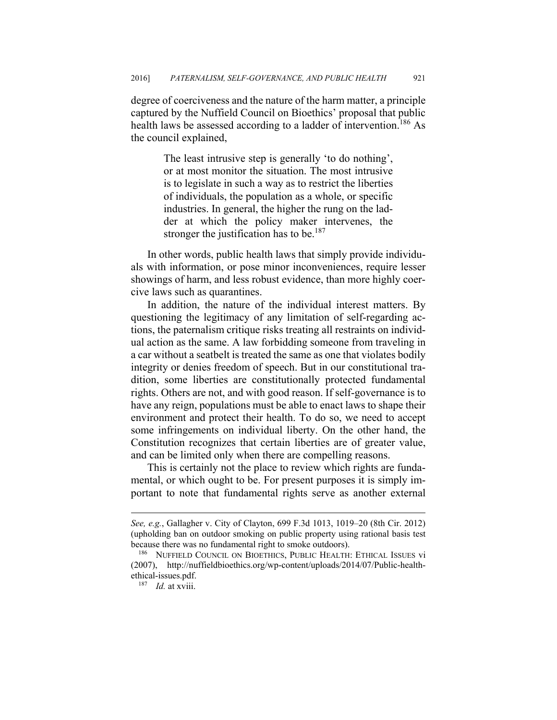degree of coerciveness and the nature of the harm matter, a principle captured by the Nuffield Council on Bioethics' proposal that public health laws be assessed according to a ladder of intervention.<sup>186</sup> As the council explained,

> The least intrusive step is generally 'to do nothing', or at most monitor the situation. The most intrusive is to legislate in such a way as to restrict the liberties of individuals, the population as a whole, or specific industries. In general, the higher the rung on the ladder at which the policy maker intervenes, the stronger the justification has to be.<sup>187</sup>

In other words, public health laws that simply provide individuals with information, or pose minor inconveniences, require lesser showings of harm, and less robust evidence, than more highly coercive laws such as quarantines.

In addition, the nature of the individual interest matters. By questioning the legitimacy of any limitation of self-regarding actions, the paternalism critique risks treating all restraints on individual action as the same. A law forbidding someone from traveling in a car without a seatbelt is treated the same as one that violates bodily integrity or denies freedom of speech. But in our constitutional tradition, some liberties are constitutionally protected fundamental rights. Others are not, and with good reason. If self-governance is to have any reign, populations must be able to enact laws to shape their environment and protect their health. To do so, we need to accept some infringements on individual liberty. On the other hand, the Constitution recognizes that certain liberties are of greater value, and can be limited only when there are compelling reasons.

This is certainly not the place to review which rights are fundamental, or which ought to be. For present purposes it is simply important to note that fundamental rights serve as another external

*See, e.g.*, Gallagher v. City of Clayton, 699 F.3d 1013, 1019–20 (8th Cir. 2012) (upholding ban on outdoor smoking on public property using rational basis test because there was no fundamental right to smoke outdoors).<br><sup>186</sup> NUFFIELD COUNCIL ON BIOETHICS, PUBLIC HEALTH: ETHICAL ISSUES vi

<sup>(2007),</sup> http://nuffieldbioethics.org/wp-content/uploads/2014/07/Public-healthethical-issues.pdf. 187 *Id.* at xviii.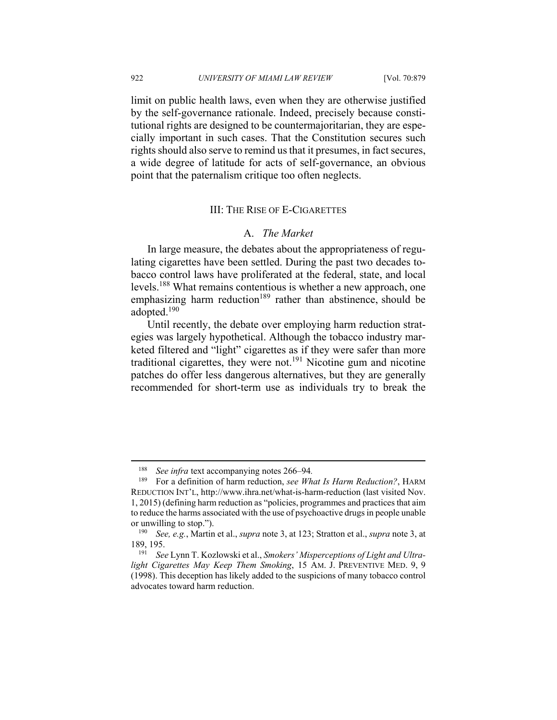$\overline{a}$ 

limit on public health laws, even when they are otherwise justified by the self-governance rationale. Indeed, precisely because constitutional rights are designed to be countermajoritarian, they are especially important in such cases. That the Constitution secures such rights should also serve to remind us that it presumes, in fact secures, a wide degree of latitude for acts of self-governance, an obvious point that the paternalism critique too often neglects.

# III: THE RISE OF E-CIGARETTES

#### A. *The Market*

In large measure, the debates about the appropriateness of regulating cigarettes have been settled. During the past two decades tobacco control laws have proliferated at the federal, state, and local levels.188 What remains contentious is whether a new approach, one emphasizing harm reduction<sup>189</sup> rather than abstinence, should be adopted.190

Until recently, the debate over employing harm reduction strategies was largely hypothetical. Although the tobacco industry marketed filtered and "light" cigarettes as if they were safer than more traditional cigarettes, they were not.191 Nicotine gum and nicotine patches do offer less dangerous alternatives, but they are generally recommended for short-term use as individuals try to break the

<sup>&</sup>lt;sup>188</sup> *See infra* text accompanying notes 266–94.<br><sup>189</sup> For a definition of harm reduction *see Wh* 

<sup>189</sup> For a definition of harm reduction, *see What Is Harm Reduction?*, HARM REDUCTION INT'L, http://www.ihra.net/what-is-harm-reduction (last visited Nov. 1, 2015) (defining harm reduction as "policies, programmes and practices that aim to reduce the harms associated with the use of psychoactive drugs in people unable

or unwilling to stop."). 190 *See, e.g.*, Martin et al., *supra* note 3, at 123; Stratton et al., *supra* note 3, at 189, 195. 191 *See* Lynn T. Kozlowski et al., *Smokers' Misperceptions of Light and Ultra-*

*light Cigarettes May Keep Them Smoking*, 15 AM. J. PREVENTIVE MED. 9, 9 (1998). This deception has likely added to the suspicions of many tobacco control advocates toward harm reduction.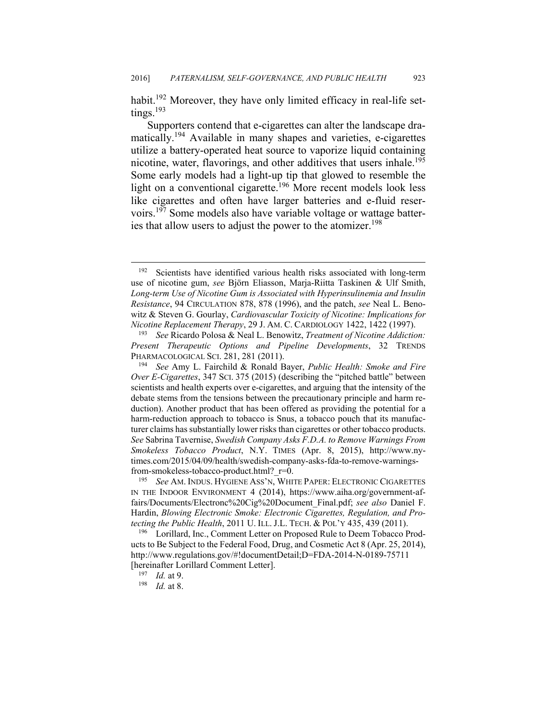habit.<sup>192</sup> Moreover, they have only limited efficacy in real-life setting<sub>s.</sub><sup>193</sup>

Supporters contend that e-cigarettes can alter the landscape dramatically.194 Available in many shapes and varieties, e-cigarettes utilize a battery-operated heat source to vaporize liquid containing nicotine, water, flavorings, and other additives that users inhale.<sup>195</sup> Some early models had a light-up tip that glowed to resemble the light on a conventional cigarette.<sup>196</sup> More recent models look less like cigarettes and often have larger batteries and e-fluid reservoirs.197 Some models also have variable voltage or wattage batteries that allow users to adjust the power to the atomizer.<sup>198</sup>

<sup>192</sup> Scientists have identified various health risks associated with long-term use of nicotine gum, *see* Björn Eliasson, Marja-Riitta Taskinen & Ulf Smith, *Long-term Use of Nicotine Gum is Associated with Hyperinsulinemia and Insulin Resistance*, 94 CIRCULATION 878, 878 (1996), and the patch, *see* Neal L. Benowitz & Steven G. Gourlay, *Cardiovascular Toxicity of Nicotine: Implications for Nicotine Replacement Therapy*, 29 J. AM. C. CARDIOLOGY 1422, 1422 (1997). 193 *See* Ricardo Polosa & Neal L. Benowitz, *Treatment of Nicotine Addiction:* 

*Present Therapeutic Options and Pipeline Developments*, 32 TRENDS PHARMACOLOGICAL SCI. 281, 281 (2011). 194 *See* Amy L. Fairchild & Ronald Bayer, *Public Health: Smoke and Fire* 

*Over E-Cigarettes*, 347 SCI. 375 (2015) (describing the "pitched battle" between scientists and health experts over e-cigarettes, and arguing that the intensity of the debate stems from the tensions between the precautionary principle and harm reduction). Another product that has been offered as providing the potential for a harm-reduction approach to tobacco is Snus, a tobacco pouch that its manufacturer claims has substantially lower risks than cigarettes or other tobacco products. *See* Sabrina Tavernise, *Swedish Company Asks F.D.A. to Remove Warnings From Smokeless Tobacco Product*, N.Y. TIMES (Apr. 8, 2015), http://www.nytimes.com/2015/04/09/health/swedish-company-asks-fda-to-remove-warningsfrom-smokeless-tobacco-product.html?\_r=0. 195 *See* AM. INDUS. HYGIENE ASS'N, WHITE PAPER: ELECTRONIC CIGARETTES

IN THE INDOOR ENVIRONMENT 4 (2014), https://www.aiha.org/government-affairs/Documents/Electronc%20Cig%20Document\_Final.pdf; *see also* Daniel F. Hardin, *Blowing Electronic Smoke: Electronic Cigarettes, Regulation, and Protecting the Public Health*, 2011 U. ILL. J.L. TECH. & POL'Y 435, 439 (2011).<br><sup>196</sup> Lorillard, Inc., Comment Letter on Proposed Rule to Deem Tobacco Prod-

ucts to Be Subject to the Federal Food, Drug, and Cosmetic Act 8 (Apr. 25, 2014), http://www.regulations.gov/#!documentDetail;D=FDA-2014-N-0189-75711 [hereinafter Lorillard Comment Letter]. 197 *Id.* at 9. 198 *Id.* at 8.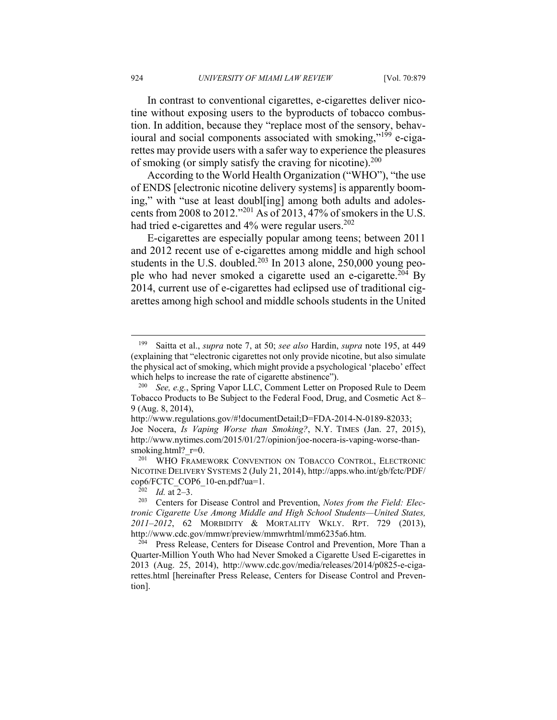In contrast to conventional cigarettes, e-cigarettes deliver nicotine without exposing users to the byproducts of tobacco combustion. In addition, because they "replace most of the sensory, behavioural and social components associated with smoking,"<sup>199</sup> e-cigarettes may provide users with a safer way to experience the pleasures of smoking (or simply satisfy the craving for nicotine).<sup>200</sup>

According to the World Health Organization ("WHO"), "the use of ENDS [electronic nicotine delivery systems] is apparently booming," with "use at least doubl[ing] among both adults and adolescents from 2008 to 2012."201 As of 2013, 47% of smokers in the U.S. had tried e-cigarettes and  $4\%$  were regular users.<sup>202</sup>

E-cigarettes are especially popular among teens; between 2011 and 2012 recent use of e-cigarettes among middle and high school students in the U.S. doubled.<sup>203</sup> In 2013 alone, 250,000 young people who had never smoked a cigarette used an e-cigarette.<sup>204</sup> By 2014, current use of e-cigarettes had eclipsed use of traditional cigarettes among high school and middle schools students in the United

<sup>199</sup> Saitta et al., *supra* note 7, at 50; *see also* Hardin, *supra* note 195, at 449 (explaining that "electronic cigarettes not only provide nicotine, but also simulate the physical act of smoking, which might provide a psychological 'placebo' effect

which helps to increase the rate of cigarette abstinence").<br><sup>200</sup> *See, e.g.*, Spring Vapor LLC, Comment Letter on Proposed Rule to Deem Tobacco Products to Be Subject to the Federal Food, Drug, and Cosmetic Act 8– 9 (Aug. 8, 2014),

http://www.regulations.gov/#!documentDetail;D=FDA-2014-N-0189-82033;

Joe Nocera, *Is Vaping Worse than Smoking?*, N.Y. TIMES (Jan. 27, 2015), http://www.nytimes.com/2015/01/27/opinion/joe-nocera-is-vaping-worse-thansmoking.html? r=0.

<sup>&</sup>lt;sup>201</sup> WHO FRAMEWORK CONVENTION ON TOBACCO CONTROL, ELECTRONIC NICOTINE DELIVERY SYSTEMS 2 (July 21, 2014), http://apps.who.int/gb/fctc/PDF/ cop6/FCTC\_COP6\_10-en.pdf?ua=1.<br><sup>202</sup> *Id.* at 2–3.<br><sup>203</sup> Centers for Disease Control and Prevention, *Notes from the Field: Elec-*

*tronic Cigarette Use Among Middle and High School Students—United States, 2011–2012*, 62 MORBIDITY & MORTALITY WKLY. RPT. 729 (2013), http://www.cdc.gov/mmwr/preview/mmwrhtml/mm6235a6.htm.<br><sup>204</sup> Press Release, Centers for Disease Control and Prevention, More Than a

Quarter-Million Youth Who had Never Smoked a Cigarette Used E-cigarettes in 2013 (Aug. 25, 2014), http://www.cdc.gov/media/releases/2014/p0825-e-cigarettes.html [hereinafter Press Release, Centers for Disease Control and Prevention].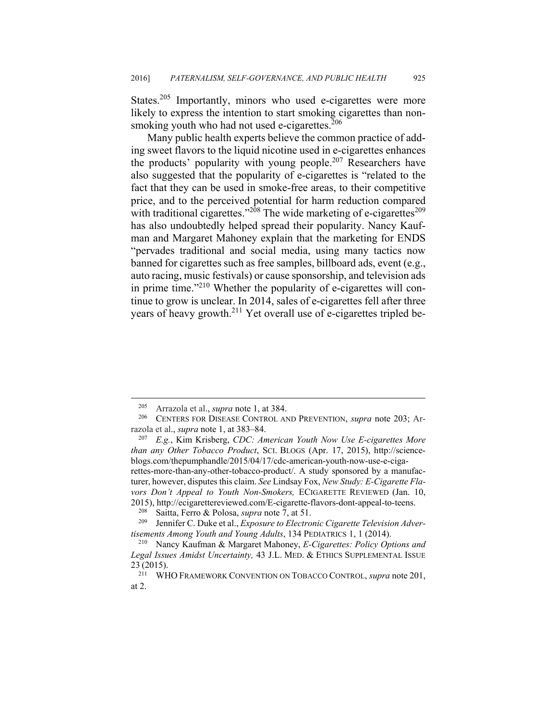States.<sup>205</sup> Importantly, minors who used e-cigarettes were more likely to express the intention to start smoking cigarettes than nonsmoking youth who had not used e-cigarettes. $206$ 

Many public health experts believe the common practice of adding sweet flavors to the liquid nicotine used in e-cigarettes enhances the products' popularity with young people.<sup>207</sup> Researchers have also suggested that the popularity of e-cigarettes is "related to the fact that they can be used in smoke-free areas, to their competitive price, and to the perceived potential for harm reduction compared with traditional cigarettes."<sup>208</sup> The wide marketing of e-cigarettes<sup>209</sup> has also undoubtedly helped spread their popularity. Nancy Kaufman and Margaret Mahoney explain that the marketing for ENDS "pervades traditional and social media, using many tactics now banned for cigarettes such as free samples, billboard ads, event (e.g., auto racing, music festivals) or cause sponsorship, and television ads in prime time."210 Whether the popularity of e-cigarettes will continue to grow is unclear. In 2014, sales of e-cigarettes fell after three years of heavy growth.<sup>211</sup> Yet overall use of e-cigarettes tripled be-

<sup>205</sup> Arrazola et al., *supra* note 1, at 384. 206 CENTERS FOR DISEASE CONTROL AND PREVENTION, *supra* note 203; Arrazola et al., *supra* note 1, at 383–84. 207 *E.g.*, Kim Krisberg, *CDC: American Youth Now Use E-cigarettes More* 

*than any Other Tobacco Product*, SCI. BLOGS (Apr. 17, 2015), http://scienceblogs.com/thepumphandle/2015/04/17/cdc-american-youth-now-use-e-cigarettes-more-than-any-other-tobacco-product/. A study sponsored by a manufacturer, however, disputes this claim. *See* Lindsay Fox, *New Study: E-Cigarette Flavors Don't Appeal to Youth Non-Smokers,* ECIGARETTE REVIEWED (Jan. 10,

<sup>2015),</sup> http://ecigarettereviewed.com/E-cigarette-flavors-dont-appeal-to-teens.<br><sup>208</sup> Saitta, Ferro & Polosa, *supra* note 7, at 51.<br><sup>209</sup> Jennifer C. Duke et al., *Exposure to Electronic Cigarette Television Advertisements Among Youth and Young Adults*, 134 PEDIATRICS 1, 1 (2014).<br><sup>210</sup> Nancy Kaufman & Margaret Mahoney, *E-Cigarettes: Policy Options and* 

*Legal Issues Amidst Uncertainty,* 43 J.L. MED. & ETHICS SUPPLEMENTAL ISSUE  $23(2015)$ .<br><sup>211</sup> W<sub>E</sub>

<sup>211</sup> WHO FRAMEWORK CONVENTION ON TOBACCO CONTROL, *supra* note 201, at 2.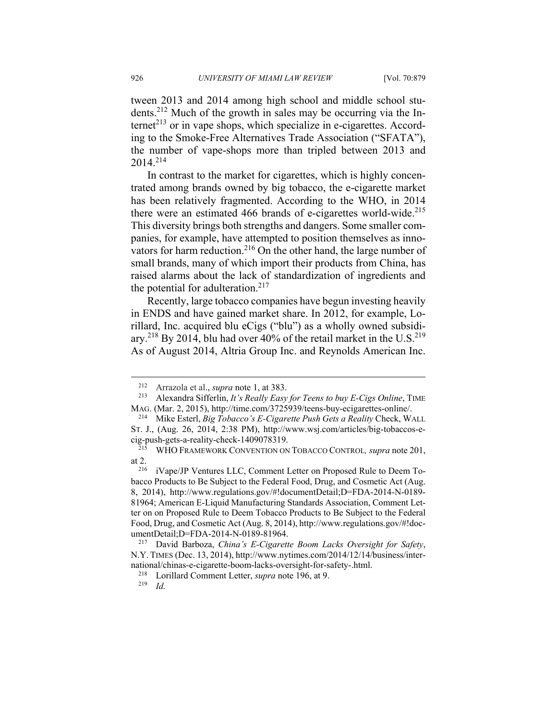tween 2013 and 2014 among high school and middle school students.212 Much of the growth in sales may be occurring via the In $t$ ernet<sup> $213$ </sup> or in vape shops, which specialize in e-cigarettes. According to the Smoke-Free Alternatives Trade Association ("SFATA"), the number of vape-shops more than tripled between 2013 and 2014.214

In contrast to the market for cigarettes, which is highly concentrated among brands owned by big tobacco, the e-cigarette market has been relatively fragmented. According to the WHO, in 2014 there were an estimated 466 brands of e-cigarettes world-wide.<sup>215</sup> This diversity brings both strengths and dangers. Some smaller companies, for example, have attempted to position themselves as innovators for harm reduction.<sup>216</sup> On the other hand, the large number of small brands, many of which import their products from China, has raised alarms about the lack of standardization of ingredients and the potential for adulteration. $217$ 

Recently, large tobacco companies have begun investing heavily in ENDS and have gained market share. In 2012, for example, Lorillard, Inc. acquired blu eCigs ("blu") as a wholly owned subsidiary.<sup>218</sup> By 2014, blu had over 40% of the retail market in the U.S.<sup>219</sup> As of August 2014, Altria Group Inc. and Reynolds American Inc.

<sup>212</sup> Arrazola et al., *supra* note 1, at 383. 213 Alexandra Sifferlin, *It's Really Easy for Teens to buy E-Cigs Online*, TIME MAG. (Mar. 2, 2015), http://time.com/3725939/teens-buy-ecigarettes-online/. 214 Mike Esterl, *Big Tobacco's E-Cigarette Push Gets a Reality* Check, WALL

ST. J., (Aug. 26, 2014, 2:38 PM), http://www.wsj.com/articles/big-tobaccos-ecig-push-gets-a-reality-check-1409078319. 215 WHO FRAMEWORK CONVENTION ON TOBACCO CONTROL*, supra* note 201,

at 2. 216 iVape/JP Ventures LLC, Comment Letter on Proposed Rule to Deem To-

bacco Products to Be Subject to the Federal Food, Drug, and Cosmetic Act (Aug. 8, 2014), http://www.regulations.gov/#!documentDetail;D=FDA-2014-N-0189- 81964; American E-Liquid Manufacturing Standards Association, Comment Letter on on Proposed Rule to Deem Tobacco Products to Be Subject to the Federal Food, Drug, and Cosmetic Act (Aug. 8, 2014), http://www.regulations.gov/#!documentDetail;D=FDA-2014-N-0189-81964. 217 David Barboza, *China's E-Cigarette Boom Lacks Oversight for Safety*,

N.Y. TIMES (Dec. 13, 2014), http://www.nytimes.com/2014/12/14/business/international/chinas-e-cigarette-boom-lacks-oversight-for-safety-.html.<br><sup>218</sup> Lorillard Comment Letter, *supra* note 196, at 9.<br>*Id*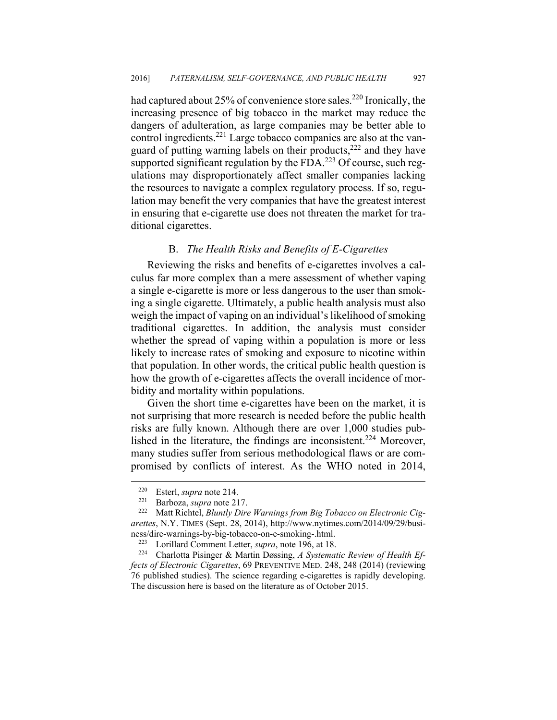had captured about 25% of convenience store sales.<sup>220</sup> Ironically, the increasing presence of big tobacco in the market may reduce the dangers of adulteration, as large companies may be better able to control ingredients.<sup>221</sup> Large tobacco companies are also at the vanguard of putting warning labels on their products,222 and they have supported significant regulation by the  $FDA$ .<sup>223</sup> Of course, such regulations may disproportionately affect smaller companies lacking the resources to navigate a complex regulatory process. If so, regulation may benefit the very companies that have the greatest interest in ensuring that e-cigarette use does not threaten the market for traditional cigarettes.

## B. *The Health Risks and Benefits of E-Cigarettes*

Reviewing the risks and benefits of e-cigarettes involves a calculus far more complex than a mere assessment of whether vaping a single e-cigarette is more or less dangerous to the user than smoking a single cigarette. Ultimately, a public health analysis must also weigh the impact of vaping on an individual's likelihood of smoking traditional cigarettes. In addition, the analysis must consider whether the spread of vaping within a population is more or less likely to increase rates of smoking and exposure to nicotine within that population. In other words, the critical public health question is how the growth of e-cigarettes affects the overall incidence of morbidity and mortality within populations.

Given the short time e-cigarettes have been on the market, it is not surprising that more research is needed before the public health risks are fully known. Although there are over 1,000 studies published in the literature, the findings are inconsistent.<sup>224</sup> Moreover, many studies suffer from serious methodological flaws or are compromised by conflicts of interest. As the WHO noted in 2014,

<sup>220</sup> Esterl, *supra* note 214. 221 Barboza, *supra* note 217. 222 Matt Richtel, *Bluntly Dire Warnings from Big Tobacco on Electronic Cigarettes*, N.Y. TIMES (Sept. 28, 2014), http://www.nytimes.com/2014/09/29/business/dire-warnings-by-big-tobacco-on-e-smoking-.html.<br><sup>223</sup> Lorillard Comment Letter, *supra*, note 196, at 18.<br><sup>224</sup> Charlotta Pisinger & Martin Døssing, *A Systematic Review of Health Ef-*

*fects of Electronic Cigarettes*, 69 PREVENTIVE MED. 248, 248 (2014) (reviewing 76 published studies). The science regarding e-cigarettes is rapidly developing. The discussion here is based on the literature as of October 2015.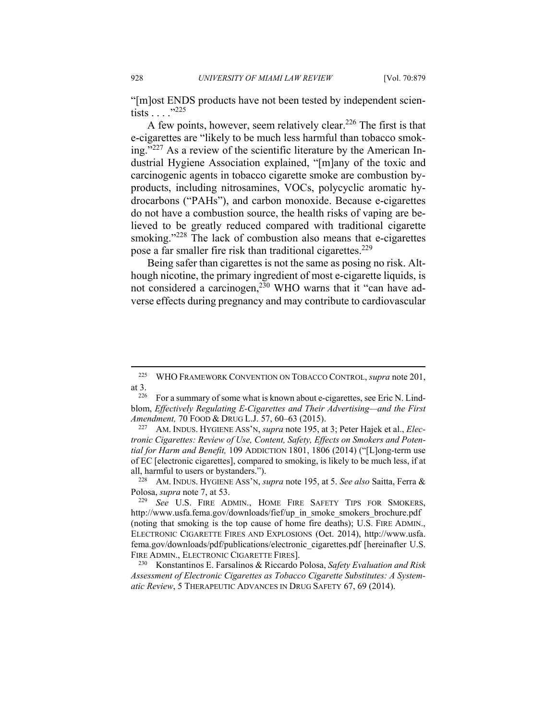"[m]ost ENDS products have not been tested by independent scientists . . . ."225

A few points, however, seem relatively clear.226 The first is that e-cigarettes are "likely to be much less harmful than tobacco smoking."227 As a review of the scientific literature by the American Industrial Hygiene Association explained, "[m]any of the toxic and carcinogenic agents in tobacco cigarette smoke are combustion byproducts, including nitrosamines, VOCs, polycyclic aromatic hydrocarbons ("PAHs"), and carbon monoxide. Because e-cigarettes do not have a combustion source, the health risks of vaping are believed to be greatly reduced compared with traditional cigarette smoking."<sup>228</sup> The lack of combustion also means that e-cigarettes pose a far smaller fire risk than traditional cigarettes.<sup>229</sup>

Being safer than cigarettes is not the same as posing no risk. Although nicotine, the primary ingredient of most e-cigarette liquids, is not considered a carcinogen,<sup>230</sup> WHO warns that it "can have adverse effects during pregnancy and may contribute to cardiovascular

1

<sup>225</sup> WHO FRAMEWORK CONVENTION ON TOBACCO CONTROL, *supra* note 201, at 3.  $\frac{226}{226}$  For a summary of some what is known about e-cigarettes, see Eric N. Lind-

blom, *Effectively Regulating E-Cigarettes and Their Advertising—and the First Amendment,* 70 FOOD & DRUG L.J. 57, 60–63 (2015).<br><sup>227</sup> AM. INDUS. HYGIENE ASS'N, *supra* note 195, at 3; Peter Hajek et al., *Elec*-

*tronic Cigarettes: Review of Use, Content, Safety, Effects on Smokers and Potential for Harm and Benefit,* 109 ADDICTION 1801, 1806 (2014) ("[L]ong-term use of EC [electronic cigarettes], compared to smoking, is likely to be much less, if at all, harmful to users or bystanders."). 228 AM. INDUS. HYGIENE ASS'N, *supra* note 195, at 5. *See also* Saitta, Ferra &

Polosa, *supra* note 7, at 53. 229 *See* U.S. FIRE ADMIN., HOME FIRE SAFETY TIPS FOR SMOKERS,

http://www.usfa.fema.gov/downloads/fief/up\_in\_smoke\_smokers\_brochure.pdf (noting that smoking is the top cause of home fire deaths); U.S. FIRE ADMIN., ELECTRONIC CIGARETTE FIRES AND EXPLOSIONS (Oct. 2014), http://www.usfa. fema.gov/downloads/pdf/publications/electronic\_cigarettes.pdf [hereinafter U.S.

<sup>&</sup>lt;sup>230</sup> Konstantinos E. Farsalinos & Riccardo Polosa, *Safety Evaluation and Risk Assessment of Electronic Cigarettes as Tobacco Cigarette Substitutes: A Systematic Review*, 5 THERAPEUTIC ADVANCES IN DRUG SAFETY 67, 69 (2014).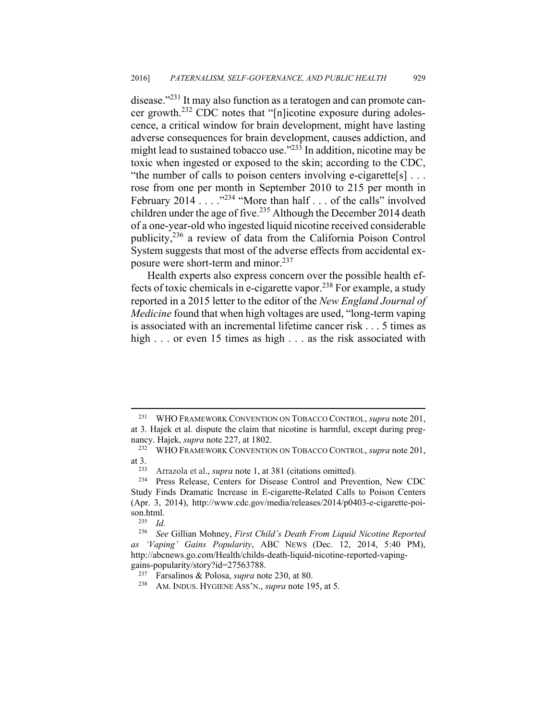disease."<sup>231</sup> It may also function as a teratogen and can promote cancer growth.232 CDC notes that "[n]icotine exposure during adolescence, a critical window for brain development, might have lasting adverse consequences for brain development, causes addiction, and might lead to sustained tobacco use."<sup>233</sup> In addition, nicotine may be toxic when ingested or exposed to the skin; according to the CDC, "the number of calls to poison centers involving e-cigarette[s]  $\dots$ rose from one per month in September 2010 to 215 per month in February 2014 . . . . <sup>234</sup> "More than half . . . of the calls" involved children under the age of five.<sup>235</sup> Although the December 2014 death of a one-year-old who ingested liquid nicotine received considerable publicity,236 a review of data from the California Poison Control System suggests that most of the adverse effects from accidental exposure were short-term and minor.<sup>237</sup>

Health experts also express concern over the possible health effects of toxic chemicals in e-cigarette vapor.238 For example, a study reported in a 2015 letter to the editor of the *New England Journal of Medicine* found that when high voltages are used, "long-term vaping is associated with an incremental lifetime cancer risk . . . 5 times as high . . . or even 15 times as high . . . as the risk associated with

<sup>231</sup> WHO FRAMEWORK CONVENTION ON TOBACCO CONTROL, *supra* note 201, at 3. Hajek et al. dispute the claim that nicotine is harmful, except during pregnancy. Hajek, *supra* note 227, at 1802.<br><sup>232</sup> WHO FRAMEWORK CONVENTION ON TOBACCO CONTROL, *supra* note 201,

at 3. 233 Arrazola et al., *supra* note 1, at 381 (citations omitted). 234 Press Release, Centers for Disease Control and Prevention, New CDC

Study Finds Dramatic Increase in E-cigarette-Related Calls to Poison Centers (Apr. 3, 2014), http://www.cdc.gov/media/releases/2014/p0403-e-cigarette-poison.html. 235 *Id.*

<sup>236</sup> *See* Gillian Mohney, *First Child's Death From Liquid Nicotine Reported as 'Vaping' Gains Popularity*, ABC NEWS (Dec. 12, 2014, 5:40 PM), http://abcnews.go.com/Health/childs-death-liquid-nicotine-reported-vapinggains-popularity/story?id=27563788.<br><sup>237</sup> Farsalinos & Polosa, *supra* note 230, at 80.<br><sup>238</sup> AM. INDUS. HYGIENE ASS'N., *supra* note 195, at 5.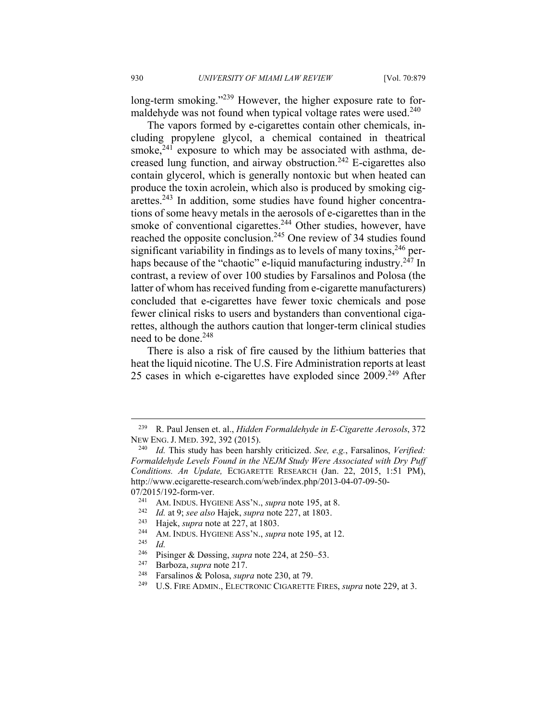long-term smoking."<sup>239</sup> However, the higher exposure rate to formaldehyde was not found when typical voltage rates were used. $240$ 

The vapors formed by e-cigarettes contain other chemicals, including propylene glycol, a chemical contained in theatrical smoke, $241$  exposure to which may be associated with asthma, decreased lung function, and airway obstruction.242 E-cigarettes also contain glycerol, which is generally nontoxic but when heated can produce the toxin acrolein, which also is produced by smoking cigarettes.<sup>243</sup> In addition, some studies have found higher concentrations of some heavy metals in the aerosols of e-cigarettes than in the smoke of conventional cigarettes.<sup>244</sup> Other studies, however, have reached the opposite conclusion.<sup>245</sup> One review of 34 studies found significant variability in findings as to levels of many toxins,  $246$  perhaps because of the "chaotic" e-liquid manufacturing industry.<sup>247</sup> In contrast, a review of over 100 studies by Farsalinos and Polosa (the latter of whom has received funding from e-cigarette manufacturers) concluded that e-cigarettes have fewer toxic chemicals and pose fewer clinical risks to users and bystanders than conventional cigarettes, although the authors caution that longer-term clinical studies need to be done.<sup>248</sup>

There is also a risk of fire caused by the lithium batteries that heat the liquid nicotine. The U.S. Fire Administration reports at least 25 cases in which e-cigarettes have exploded since 2009.<sup>249</sup> After

<sup>239</sup> R. Paul Jensen et. al., *Hidden Formaldehyde in E-Cigarette Aerosols*, 372 NEW ENG. J. MED. 392, 392 (2015). 240 *Id.* This study has been harshly criticized. *See, e.g.*, Farsalinos, *Verified:* 

*Formaldehyde Levels Found in the NEJM Study Were Associated with Dry Puff Conditions. An Update,* ECIGARETTE RESEARCH (Jan. 22, 2015, 1:51 PM), http://www.ecigarette-research.com/web/index.php/2013-04-07-09-50- 07/2015/192-form-ver.<br>
<sup>241</sup> AM. INDUS. HYGIENE ASS'N., *supra* note 195, at 8.<br>
<sup>242</sup> Id. at 9; *see also* Hajek, *supra* note 227, at 1803.<br>
<sup>243</sup> Hajek, *supra* note at 227, at 1803.<br>
<sup>244</sup> AM. INDUS. HYGIENE ASS'N.,

<sup>&</sup>lt;sup>246</sup> Pisinger & Døssing, *supra* note 224, at 250–53.<br><sup>247</sup> Barboza, *supra* note 217.<br><sup>248</sup> Farsalinos & Polosa, *supra* note 230, at 79.<br><sup>249</sup> U.S. FIRE ADMIN., ELECTRONIC CIGARETTE FIRES, *supra* note 229, at 3.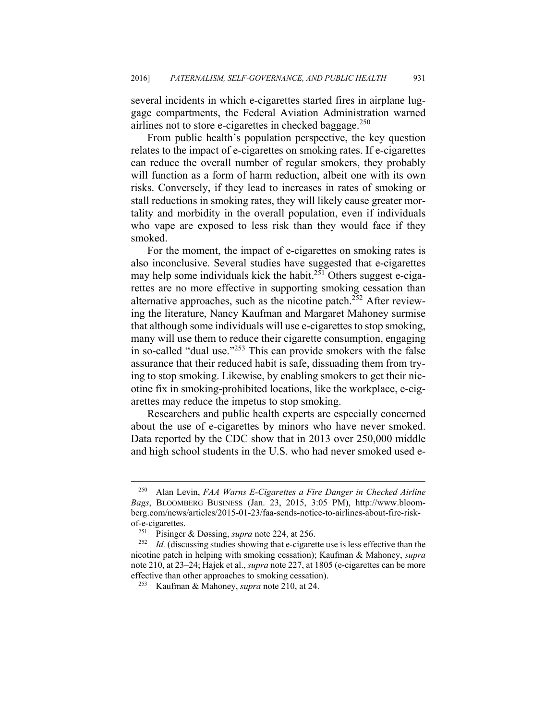several incidents in which e-cigarettes started fires in airplane luggage compartments, the Federal Aviation Administration warned airlines not to store e-cigarettes in checked baggage.<sup>250</sup>

From public health's population perspective, the key question relates to the impact of e-cigarettes on smoking rates. If e-cigarettes can reduce the overall number of regular smokers, they probably will function as a form of harm reduction, albeit one with its own risks. Conversely, if they lead to increases in rates of smoking or stall reductions in smoking rates, they will likely cause greater mortality and morbidity in the overall population, even if individuals who vape are exposed to less risk than they would face if they smoked.

For the moment, the impact of e-cigarettes on smoking rates is also inconclusive. Several studies have suggested that e-cigarettes may help some individuals kick the habit.<sup>251</sup> Others suggest e-cigarettes are no more effective in supporting smoking cessation than alternative approaches, such as the nicotine patch. $252$  After reviewing the literature, Nancy Kaufman and Margaret Mahoney surmise that although some individuals will use e-cigarettes to stop smoking, many will use them to reduce their cigarette consumption, engaging in so-called "dual use."253 This can provide smokers with the false assurance that their reduced habit is safe, dissuading them from trying to stop smoking. Likewise, by enabling smokers to get their nicotine fix in smoking-prohibited locations, like the workplace, e-cigarettes may reduce the impetus to stop smoking.

Researchers and public health experts are especially concerned about the use of e-cigarettes by minors who have never smoked. Data reported by the CDC show that in 2013 over 250,000 middle and high school students in the U.S. who had never smoked used e-

<sup>250</sup> Alan Levin, *FAA Warns E-Cigarettes a Fire Danger in Checked Airline Bags*, BLOOMBERG BUSINESS (Jan. 23, 2015, 3:05 PM), http://www.bloomberg.com/news/articles/2015-01-23/faa-sends-notice-to-airlines-about-fire-riskof-e-cigarettes.<br><sup>251</sup> Pisinger & Døssing, *supra* note 224, at 256.<br><sup>252</sup> *Id.* (discussing studies showing that e-cigarette use is less effective than the

nicotine patch in helping with smoking cessation); Kaufman & Mahoney, *supra*  note 210, at 23–24; Hajek et al., *supra* note 227, at 1805 (e-cigarettes can be more effective than other approaches to smoking cessation). 253 Kaufman & Mahoney, *supra* note 210, at 24.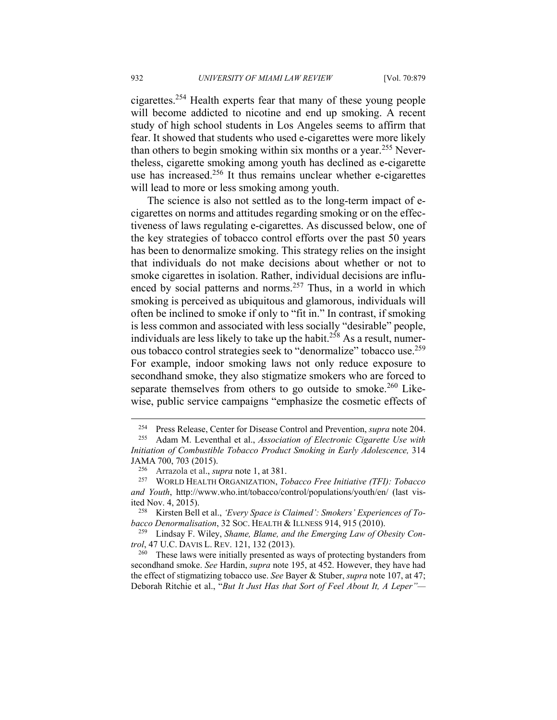cigarettes.254 Health experts fear that many of these young people will become addicted to nicotine and end up smoking. A recent study of high school students in Los Angeles seems to affirm that fear. It showed that students who used e-cigarettes were more likely than others to begin smoking within six months or a year.<sup>255</sup> Nevertheless, cigarette smoking among youth has declined as e-cigarette use has increased.<sup>256</sup> It thus remains unclear whether e-cigarettes will lead to more or less smoking among youth.

The science is also not settled as to the long-term impact of ecigarettes on norms and attitudes regarding smoking or on the effectiveness of laws regulating e-cigarettes. As discussed below, one of the key strategies of tobacco control efforts over the past 50 years has been to denormalize smoking. This strategy relies on the insight that individuals do not make decisions about whether or not to smoke cigarettes in isolation. Rather, individual decisions are influenced by social patterns and norms.<sup>257</sup> Thus, in a world in which smoking is perceived as ubiquitous and glamorous, individuals will often be inclined to smoke if only to "fit in." In contrast, if smoking is less common and associated with less socially "desirable" people, individuals are less likely to take up the habit.<sup>258</sup> As a result, numerous tobacco control strategies seek to "denormalize" tobacco use.259 For example, indoor smoking laws not only reduce exposure to secondhand smoke, they also stigmatize smokers who are forced to separate themselves from others to go outside to smoke.<sup>260</sup> Likewise, public service campaigns "emphasize the cosmetic effects of

*trol*, 47 U.C. DAVIS L. REV. 121, 132 (2013).<br><sup>260</sup> These laws were initially presented as ways of protecting bystanders from

secondhand smoke. *See* Hardin, *supra* note 195, at 452. However, they have had the effect of stigmatizing tobacco use. *See* Bayer & Stuber, *supra* note 107, at 47; Deborah Ritchie et al., "*But It Just Has that Sort of Feel About It, A Leper"—*

<sup>254</sup> Press Release, Center for Disease Control and Prevention, *supra* note 204. 255 Adam M. Leventhal et al., *Association of Electronic Cigarette Use with* 

*Initiation of Combustible Tobacco Product Smoking in Early Adolescence,* 314 JAMA 700, 703 (2015). 256 Arrazola et al., *supra* note 1, at 381. 257 WORLD HEALTH ORGANIZATION, *Tobacco Free Initiative (TFI): Tobacco* 

*and Youth*, http://www.who.int/tobacco/control/populations/youth/en/ (last vis-

ited Nov. 4, 2015).<br><sup>258</sup> Kirsten Bell et al., *'Every Space is Claimed': Smokers' Experiences of Tobacco Denormalisation*, 32 SOC. HEALTH & ILLNESS 914, 915 (2010). 259 Lindsay F. Wiley, *Shame, Blame, and the Emerging Law of Obesity Con-*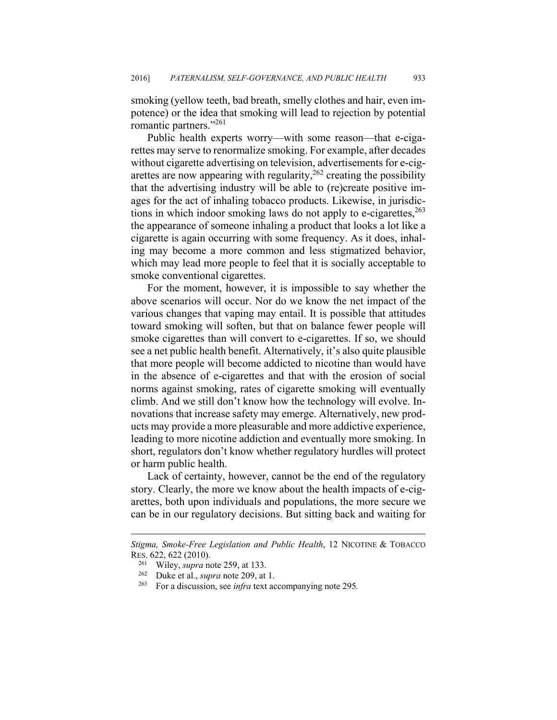smoking (yellow teeth, bad breath, smelly clothes and hair, even impotence) or the idea that smoking will lead to rejection by potential romantic partners."261

Public health experts worry—with some reason—that e-cigarettes may serve to renormalize smoking. For example, after decades without cigarette advertising on television, advertisements for e-cigarettes are now appearing with regularity,  $262$  creating the possibility that the advertising industry will be able to (re)create positive images for the act of inhaling tobacco products. Likewise, in jurisdictions in which indoor smoking laws do not apply to e-cigarettes, $263$ the appearance of someone inhaling a product that looks a lot like a cigarette is again occurring with some frequency. As it does, inhaling may become a more common and less stigmatized behavior, which may lead more people to feel that it is socially acceptable to smoke conventional cigarettes.

For the moment, however, it is impossible to say whether the above scenarios will occur. Nor do we know the net impact of the various changes that vaping may entail. It is possible that attitudes toward smoking will soften, but that on balance fewer people will smoke cigarettes than will convert to e-cigarettes. If so, we should see a net public health benefit. Alternatively, it's also quite plausible that more people will become addicted to nicotine than would have in the absence of e-cigarettes and that with the erosion of social norms against smoking, rates of cigarette smoking will eventually climb. And we still don't know how the technology will evolve. Innovations that increase safety may emerge. Alternatively, new products may provide a more pleasurable and more addictive experience, leading to more nicotine addiction and eventually more smoking. In short, regulators don't know whether regulatory hurdles will protect or harm public health.

Lack of certainty, however, cannot be the end of the regulatory story. Clearly, the more we know about the health impacts of e-cigarettes, both upon individuals and populations, the more secure we can be in our regulatory decisions. But sitting back and waiting for

*Stigma, Smoke-Free Legislation and Public Health*, 12 NICOTINE & TOBACCO RES. 622, 622 (2010).

<sup>&</sup>lt;sup>261</sup> Wiley, *supra* note 259, at 133.<br><sup>262</sup> Duke et al., *supra* note 209, at 1.<br><sup>263</sup> For a discussion, see *infra* text accompanying note 295.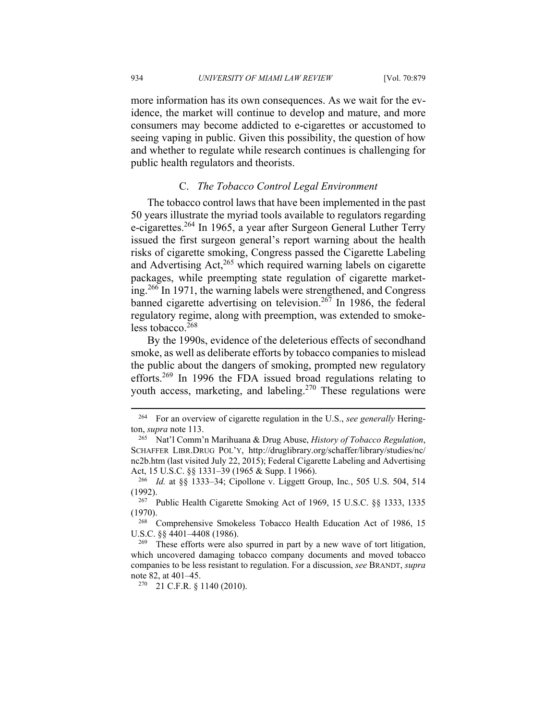more information has its own consequences. As we wait for the evidence, the market will continue to develop and mature, and more consumers may become addicted to e-cigarettes or accustomed to seeing vaping in public. Given this possibility, the question of how and whether to regulate while research continues is challenging for public health regulators and theorists.

# C. *The Tobacco Control Legal Environment*

The tobacco control laws that have been implemented in the past 50 years illustrate the myriad tools available to regulators regarding e-cigarettes.<sup>264</sup> In 1965, a year after Surgeon General Luther Terry issued the first surgeon general's report warning about the health risks of cigarette smoking, Congress passed the Cigarette Labeling and Advertising Act, $265$  which required warning labels on cigarette packages, while preempting state regulation of cigarette marketing.266 In 1971, the warning labels were strengthened, and Congress banned cigarette advertising on television.<sup>267</sup> In 1986, the federal regulatory regime, along with preemption, was extended to smokeless tobacco. $268$ 

By the 1990s, evidence of the deleterious effects of secondhand smoke, as well as deliberate efforts by tobacco companies to mislead the public about the dangers of smoking, prompted new regulatory efforts.269 In 1996 the FDA issued broad regulations relating to youth access, marketing, and labeling.<sup>270</sup> These regulations were

<sup>264</sup> For an overview of cigarette regulation in the U.S., *see generally* Herington, *supra* note 113. 265 Nat'l Comm'n Marihuana & Drug Abuse, *History of Tobacco Regulation*,

SCHAFFER LIBR.DRUG POL'Y, http://druglibrary.org/schaffer/library/studies/nc/ nc2b.htm (last visited July 22, 2015); Federal Cigarette Labeling and Advertising Act, 15 U.S.C. §§ 1331–39 (1965 & Supp. I 1966). 266 *Id.* at §§ 1333–34; Cipollone v. Liggett Group, Inc*.*, 505 U.S. 504, 514

<sup>(1992). 267</sup> Public Health Cigarette Smoking Act of 1969, 15 U.S.C. §§ 1333, 1335

<sup>(1970).&</sup>lt;br><sup>268</sup> Comprehensive Smokeless Tobacco Health Education Act of 1986, 15

U.S.C.  $\S\S 4401-4408$  (1986).<br><sup>269</sup> These efforts were also spurred in part by a new wave of tort litigation,

which uncovered damaging tobacco company documents and moved tobacco companies to be less resistant to regulation. For a discussion, *see* BRANDT, *supra*  note 82, at 401–45.<br><sup>270</sup> 21 C.F.R. § 1140 (2010).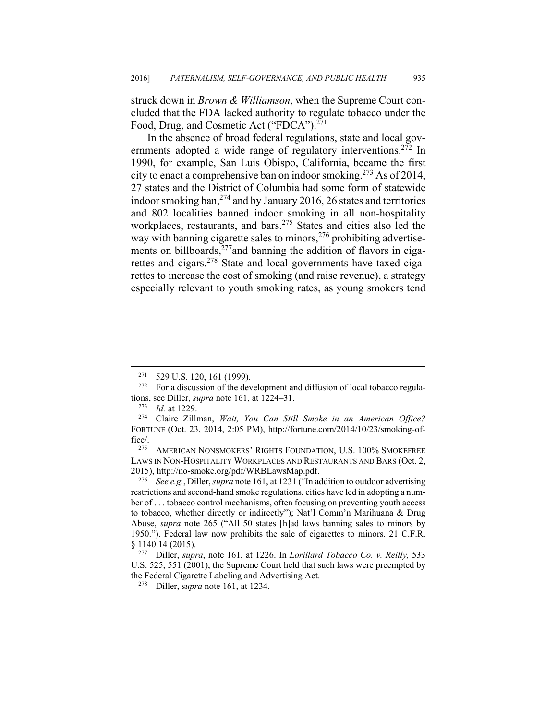struck down in *Brown & Williamson*, when the Supreme Court concluded that the FDA lacked authority to regulate tobacco under the Food, Drug, and Cosmetic Act ("FDCA").<sup>271</sup>

In the absence of broad federal regulations, state and local governments adopted a wide range of regulatory interventions.<sup>272</sup> In 1990, for example, San Luis Obispo, California, became the first city to enact a comprehensive ban on indoor smoking.<sup>273</sup> As of 2014, 27 states and the District of Columbia had some form of statewide indoor smoking ban,  $274$  and by January 2016, 26 states and territories and 802 localities banned indoor smoking in all non-hospitality workplaces, restaurants, and bars.<sup>275</sup> States and cities also led the way with banning cigarette sales to minors,  $276$  prohibiting advertisements on billboards, $277$  and banning the addition of flavors in cigarettes and cigars.278 State and local governments have taxed cigarettes to increase the cost of smoking (and raise revenue), a strategy especially relevant to youth smoking rates, as young smokers tend

<sup>&</sup>lt;sup>271</sup> 529 U.S. 120, 161 (1999).<br><sup>272</sup> For a discussion of the development and diffusion of local tobacco regulations, see Diller, *supra* note 161, at 1224–31.<br><sup>273</sup> Id. at 1229.<br><sup>274</sup> Claire Zillman, *Wait, You Can Still Smoke in an American Office?* 

FORTUNE (Oct. 23, 2014, 2:05 PM), http://fortune.com/2014/10/23/smoking-office/. 275 AMERICAN NONSMOKERS' RIGHTS FOUNDATION, U.S. 100% SMOKEFREE

LAWS IN NON-HOSPITALITY WORKPLACES AND RESTAURANTS AND BARS (Oct. 2, 2015), http://no-smoke.org/pdf/WRBLawsMap.pdf. 276 *See e.g.*, Diller, *supra* note 161, at 1231 ("In addition to outdoor advertising

restrictions and second-hand smoke regulations, cities have led in adopting a number of . . . tobacco control mechanisms, often focusing on preventing youth access to tobacco, whether directly or indirectly"); Nat'l Comm'n Marihuana & Drug Abuse, *supra* note 265 ("All 50 states [h]ad laws banning sales to minors by 1950."). Federal law now prohibits the sale of cigarettes to minors. 21 C.F.R. § 1140.14 (2015). 277 Diller, *supra*, note 161, at 1226. In *Lorillard Tobacco Co. v. Reilly,*<sup>533</sup>

U.S. 525, 551 (2001), the Supreme Court held that such laws were preempted by the Federal Cigarette Labeling and Advertising Act. 278 Diller, s*upra* note 161, at 1234.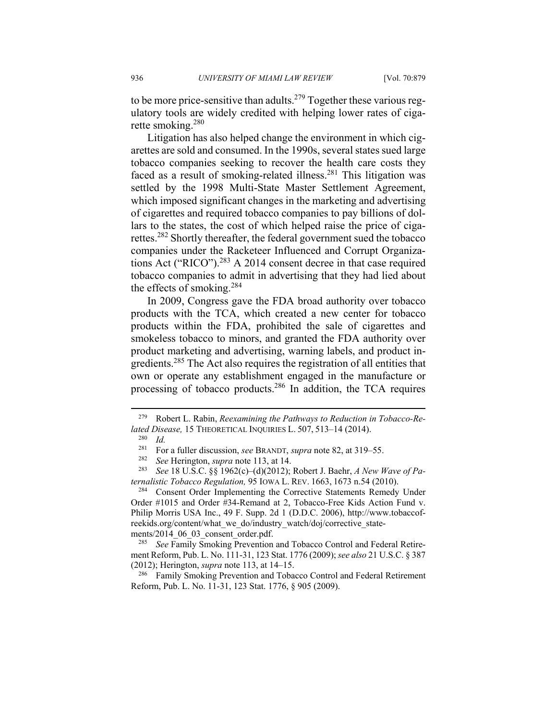to be more price-sensitive than adults.<sup>279</sup> Together these various regulatory tools are widely credited with helping lower rates of cigarette smoking.280

Litigation has also helped change the environment in which cigarettes are sold and consumed. In the 1990s, several states sued large tobacco companies seeking to recover the health care costs they faced as a result of smoking-related illness.<sup>281</sup> This litigation was settled by the 1998 Multi-State Master Settlement Agreement, which imposed significant changes in the marketing and advertising of cigarettes and required tobacco companies to pay billions of dollars to the states, the cost of which helped raise the price of cigarettes.282 Shortly thereafter, the federal government sued the tobacco companies under the Racketeer Influenced and Corrupt Organizations Act ("RICO").283 A 2014 consent decree in that case required tobacco companies to admit in advertising that they had lied about the effects of smoking.<sup>284</sup>

In 2009, Congress gave the FDA broad authority over tobacco products with the TCA, which created a new center for tobacco products within the FDA, prohibited the sale of cigarettes and smokeless tobacco to minors, and granted the FDA authority over product marketing and advertising, warning labels, and product ingredients.285 The Act also requires the registration of all entities that own or operate any establishment engaged in the manufacture or processing of tobacco products.286 In addition, the TCA requires

<u>.</u>

*ternalistic Tobacco Regulation, 95 IOWA L. REV. 1663, 1673 n.54 (2010).*<br><sup>284</sup> Consent Order Implementing the Corrective Statements Remedy Under Order #1015 and Order #34-Remand at 2, Tobacco-Free Kids Action Fund v. Philip Morris USA Inc., 49 F. Supp. 2d 1 (D.D.C. 2006), http://www.tobaccofreekids.org/content/what\_we\_do/industry\_watch/doj/corrective\_statements/2014\_06\_03\_consent\_order.pdf.<br><sup>285</sup> See Family Smoking Prevention and Tobacco Control and Federal Retire-

ment Reform, Pub. L. No. 111-31, 123 Stat. 1776 (2009); *see also* 21 U.S.C. § 387 (2012); Herington, *supra* note 113, at 14–15.<br><sup>286</sup> Family Smoking Prevention and Tobacco Control and Federal Retirement

Reform, Pub. L. No. 11-31, 123 Stat. 1776, § 905 (2009).

<sup>279</sup> Robert L. Rabin, *Reexamining the Pathways to Reduction in Tobacco-Related Disease,* 15 THEORETICAL INQUIRIES L. 507, 513–14 (2014).<br><sup>280</sup> *Id. Enr.* a fuller discussion, see BRANDT, sunga pote 82, at 319–

<sup>&</sup>lt;sup>281</sup> For a fuller discussion, *see* BRANDT, *supra* note 82, at 319–55.<br><sup>282</sup> *See* Herington, *supra* note 113, at 14.<br><sup>283</sup> *See* 18 U.S.C. §§ 1962(c)–(d)(2012); Robert J. Baehr, A New Wave of Pa-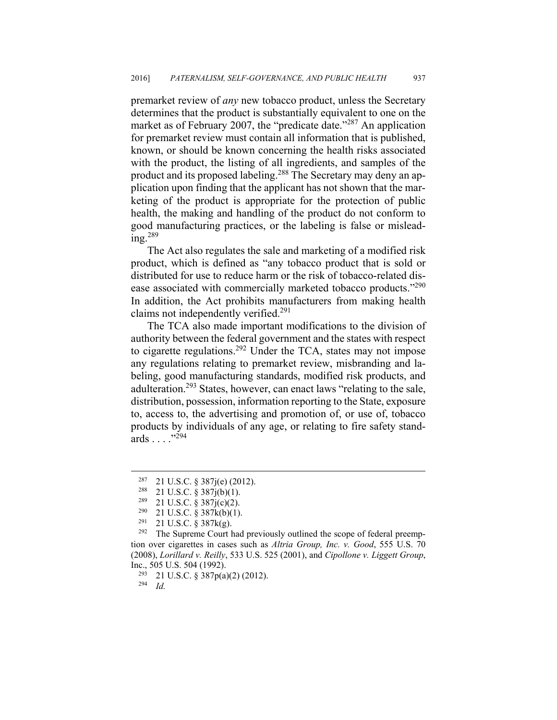premarket review of *any* new tobacco product, unless the Secretary determines that the product is substantially equivalent to one on the market as of February 2007, the "predicate date."<sup>287</sup> An application for premarket review must contain all information that is published, known, or should be known concerning the health risks associated with the product, the listing of all ingredients, and samples of the product and its proposed labeling.288 The Secretary may deny an application upon finding that the applicant has not shown that the marketing of the product is appropriate for the protection of public health, the making and handling of the product do not conform to good manufacturing practices, or the labeling is false or mislead $ine<sup>289</sup>$ 

The Act also regulates the sale and marketing of a modified risk product, which is defined as "any tobacco product that is sold or distributed for use to reduce harm or the risk of tobacco-related disease associated with commercially marketed tobacco products."<sup>290</sup> In addition, the Act prohibits manufacturers from making health claims not independently verified.<sup>291</sup>

The TCA also made important modifications to the division of authority between the federal government and the states with respect to cigarette regulations.292 Under the TCA, states may not impose any regulations relating to premarket review, misbranding and labeling, good manufacturing standards, modified risk products, and adulteration.293 States, however, can enact laws "relating to the sale, distribution, possession, information reporting to the State, exposure to, access to, the advertising and promotion of, or use of, tobacco products by individuals of any age, or relating to fire safety standards . . . ."294

294 *Id.*

<sup>&</sup>lt;sup>287</sup> 21 U.S.C. § 387j(e) (2012).<br><sup>288</sup> 21 U.S.C. § 387j(b)(1).

 $^{289}$  21 U.S.C. § 387j(c)(2).<br><sup>290</sup> 21 U.S.C. § 387k(b)(1)

<sup>&</sup>lt;sup>290</sup> 21 U.S.C. § 387k(b)(1).<br><sup>291</sup> 21 U.S.C. § 387k(g).<br><sup>292</sup> The Supreme Court had previously outlined the scope of federal preemption over cigarettes in cases such as *Altria Group, Inc. v. Good*, 555 U.S. 70 (2008), *Lorillard v. Reilly*, 533 U.S. 525 (2001), and *Cipollone v. Liggett Group*, Inc., 505 U.S. 504 (1992).<br><sup>293</sup> 21 U.S.C. § 387p(a)(2) (2012).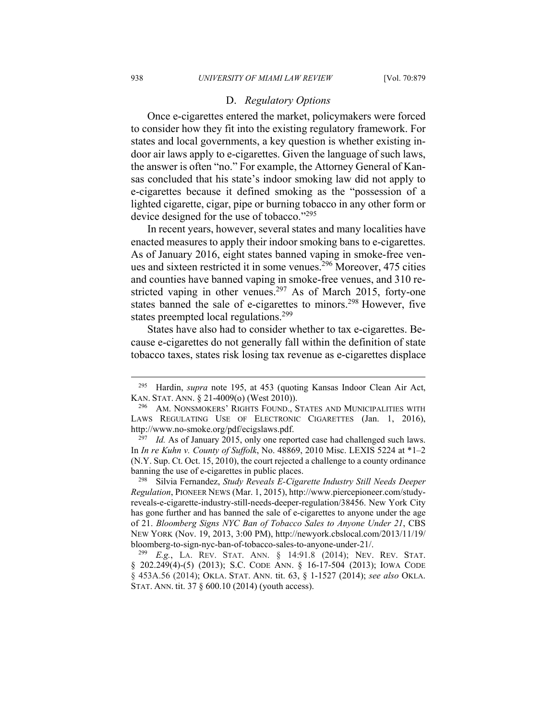#### D. *Regulatory Options*

Once e-cigarettes entered the market, policymakers were forced to consider how they fit into the existing regulatory framework. For states and local governments, a key question is whether existing indoor air laws apply to e-cigarettes. Given the language of such laws, the answer is often "no." For example, the Attorney General of Kansas concluded that his state's indoor smoking law did not apply to e-cigarettes because it defined smoking as the "possession of a lighted cigarette, cigar, pipe or burning tobacco in any other form or device designed for the use of tobacco."<sup>295</sup>

In recent years, however, several states and many localities have enacted measures to apply their indoor smoking bans to e-cigarettes. As of January 2016, eight states banned vaping in smoke-free venues and sixteen restricted it in some venues.<sup>296</sup> Moreover, 475 cities and counties have banned vaping in smoke-free venues, and 310 restricted vaping in other venues.<sup>297</sup> As of March 2015, forty-one states banned the sale of e-cigarettes to minors.<sup>298</sup> However, five states preempted local regulations.<sup>299</sup>

States have also had to consider whether to tax e-cigarettes. Because e-cigarettes do not generally fall within the definition of state tobacco taxes, states risk losing tax revenue as e-cigarettes displace

*Regulation*, PIONEER NEWS (Mar. 1, 2015), http://www.piercepioneer.com/studyreveals-e-cigarette-industry-still-needs-deeper-regulation/38456. New York City has gone further and has banned the sale of e-cigarettes to anyone under the age of 21. *Bloomberg Signs NYC Ban of Tobacco Sales to Anyone Under 21*, CBS NEW YORK (Nov. 19, 2013, 3:00 PM), http://newyork.cbslocal.com/2013/11/19/

<sup>295</sup> Hardin, *supra* note 195, at 453 (quoting Kansas Indoor Clean Air Act, KAN. STAT. ANN. § 21-4009(o) (West 2010)).<br><sup>296</sup> AM. NONSMOKERS' RIGHTS FOUND., STATES AND MUNICIPALITIES WITH

LAWS REGULATING USE OF ELECTRONIC CIGARETTES (Jan. 1, 2016), http://www.no-smoke.org/pdf/ecigslaws.pdf. 297 *Id.* As of January 2015, only one reported case had challenged such laws.

In *In re Kuhn v. County of Suffolk*, No. 48869, 2010 Misc. LEXIS 5224 at \*1–2 (N.Y. Sup. Ct. Oct. 15, 2010), the court rejected a challenge to a county ordinance banning the use of e-cigarettes in public places. 298 Silvia Fernandez, *Study Reveals E-Cigarette Industry Still Needs Deeper* 

bloomberg-to-sign-nyc-ban-of-tobacco-sales-to-anyone-under-21/. 299 *E.g.*, LA. REV. STAT. ANN. § 14:91.8 (2014); NEV. REV. STAT. § 202.249(4)-(5) (2013); S.C. CODE ANN. § 16-17-504 (2013); IOWA CODE § 453A.56 (2014); OKLA. STAT. ANN. tit. 63, § 1-1527 (2014); *see also* OKLA. STAT. ANN. tit. 37 § 600.10 (2014) (youth access).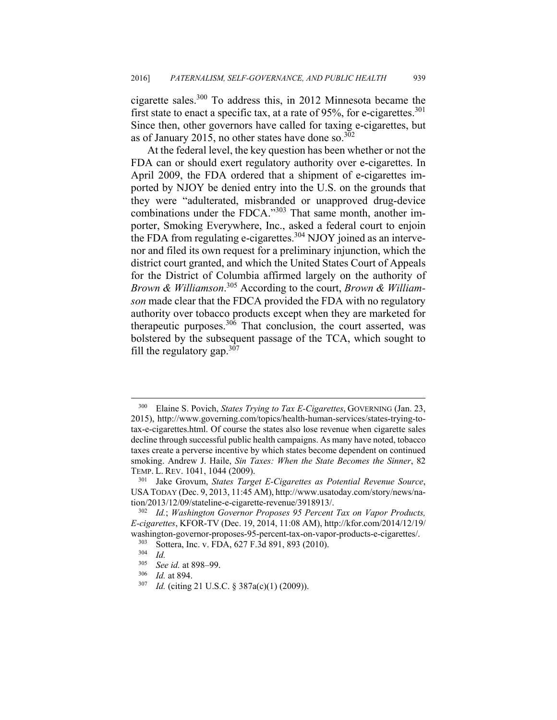cigarette sales.300 To address this, in 2012 Minnesota became the first state to enact a specific tax, at a rate of 95%, for e-cigarettes.<sup>301</sup> Since then, other governors have called for taxing e-cigarettes, but as of January 2015, no other states have done so. $302$ 

At the federal level, the key question has been whether or not the FDA can or should exert regulatory authority over e-cigarettes. In April 2009, the FDA ordered that a shipment of e-cigarettes imported by NJOY be denied entry into the U.S. on the grounds that they were "adulterated, misbranded or unapproved drug-device combinations under the FDCA."303 That same month, another importer, Smoking Everywhere, Inc., asked a federal court to enjoin the FDA from regulating e-cigarettes.<sup>304</sup> NJOY joined as an intervenor and filed its own request for a preliminary injunction, which the district court granted, and which the United States Court of Appeals for the District of Columbia affirmed largely on the authority of *Brown & Williamson*. <sup>305</sup> According to the court, *Brown & Williamson* made clear that the FDCA provided the FDA with no regulatory authority over tobacco products except when they are marketed for therapeutic purposes.<sup>306</sup> That conclusion, the court asserted, was bolstered by the subsequent passage of the TCA, which sought to fill the regulatory gap.  $307$ 

<sup>300</sup> Elaine S. Povich, *States Trying to Tax E-Cigarettes*, GOVERNING (Jan. 23, 2015), http://www.governing.com/topics/health-human-services/states-trying-totax-e-cigarettes.html. Of course the states also lose revenue when cigarette sales decline through successful public health campaigns. As many have noted, tobacco taxes create a perverse incentive by which states become dependent on continued smoking. Andrew J. Haile, *Sin Taxes: When the State Becomes the Sinner*, 82 TEMP. L. REV. 1041, 1044 (2009). 301 Jake Grovum, *States Target E-Cigarettes as Potential Revenue Source*,

USA TODAY (Dec. 9, 2013, 11:45 AM), http://www.usatoday.com/story/news/nation/2013/12/09/stateline-e-cigarette-revenue/3918913/. 302 *Id.*; *Washington Governor Proposes 95 Percent Tax on Vapor Products,* 

*E-cigarettes*, KFOR-TV (Dec. 19, 2014, 11:08 AM), http://kfor.com/2014/12/19/ washington-governor-proposes-95-percent-tax-on-vapor-products-e-cigarettes/.<br><sup>303</sup> Sottera, Inc. v. FDA, 627 F.3d 891, 893 (2010).<br><sup>304</sup> *Id.*<br><sup>305</sup> Seg id. at 898, 99

<sup>305</sup> *See id.* at 898–99. 306 *Id.* at 894. 307 *Id.* (citing 21 U.S.C. § 387a(c)(1) (2009)).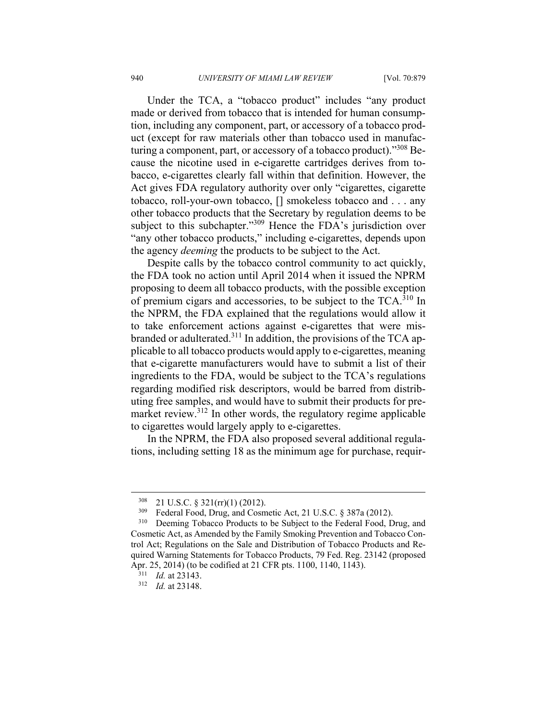Under the TCA, a "tobacco product" includes "any product made or derived from tobacco that is intended for human consumption, including any component, part, or accessory of a tobacco product (except for raw materials other than tobacco used in manufacturing a component, part, or accessory of a tobacco product)."308 Because the nicotine used in e-cigarette cartridges derives from tobacco, e-cigarettes clearly fall within that definition. However, the Act gives FDA regulatory authority over only "cigarettes, cigarette tobacco, roll-your-own tobacco, [] smokeless tobacco and . . . any other tobacco products that the Secretary by regulation deems to be subject to this subchapter."<sup>309</sup> Hence the FDA's jurisdiction over "any other tobacco products," including e-cigarettes, depends upon the agency *deeming* the products to be subject to the Act.

Despite calls by the tobacco control community to act quickly, the FDA took no action until April 2014 when it issued the NPRM proposing to deem all tobacco products, with the possible exception of premium cigars and accessories, to be subject to the  $TCA$ <sup>310</sup> In the NPRM, the FDA explained that the regulations would allow it to take enforcement actions against e-cigarettes that were misbranded or adulterated.311 In addition, the provisions of the TCA applicable to all tobacco products would apply to e-cigarettes, meaning that e-cigarette manufacturers would have to submit a list of their ingredients to the FDA, would be subject to the TCA's regulations regarding modified risk descriptors, would be barred from distributing free samples, and would have to submit their products for premarket review.<sup>312</sup> In other words, the regulatory regime applicable to cigarettes would largely apply to e-cigarettes.

In the NPRM, the FDA also proposed several additional regulations, including setting 18 as the minimum age for purchase, requir-

<sup>&</sup>lt;sup>308</sup> 21 U.S.C. § 321(rr)(1) (2012).<br><sup>309</sup> Federal Food, Drug, and Cosmetic Act, 21 U.S.C. § 387a (2012).<br><sup>310</sup> Deeming Tobacco Products to be Subject to the Federal Food, Drug, and Cosmetic Act, as Amended by the Family Smoking Prevention and Tobacco Control Act; Regulations on the Sale and Distribution of Tobacco Products and Required Warning Statements for Tobacco Products, 79 Fed. Reg. 23142 (proposed Apr. 25, 2014) (to be codified at 21 CFR pts. 1100, 1140, 1143). 311 *Id.* at 23143. 312 *Id.* at 23148.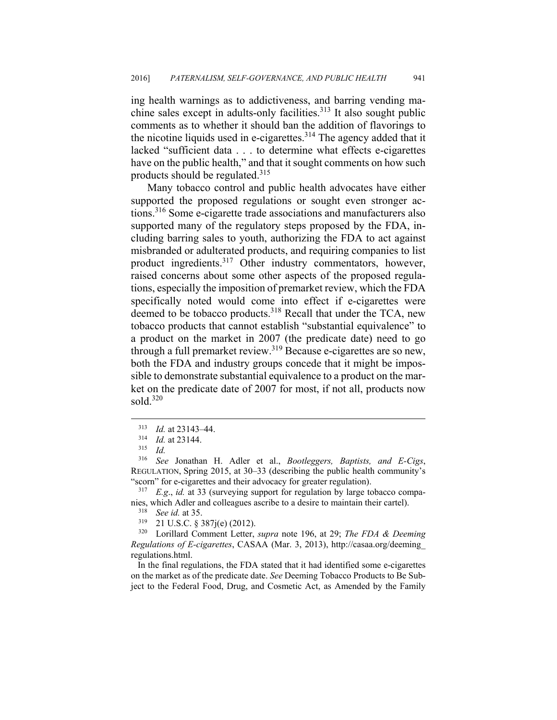ing health warnings as to addictiveness, and barring vending machine sales except in adults-only facilities.<sup>313</sup> It also sought public comments as to whether it should ban the addition of flavorings to the nicotine liquids used in e-cigarettes.<sup>314</sup> The agency added that it lacked "sufficient data . . . to determine what effects e-cigarettes have on the public health," and that it sought comments on how such products should be regulated.<sup>315</sup>

Many tobacco control and public health advocates have either supported the proposed regulations or sought even stronger actions.316 Some e-cigarette trade associations and manufacturers also supported many of the regulatory steps proposed by the FDA, including barring sales to youth, authorizing the FDA to act against misbranded or adulterated products, and requiring companies to list product ingredients.<sup>317</sup> Other industry commentators, however, raised concerns about some other aspects of the proposed regulations, especially the imposition of premarket review, which the FDA specifically noted would come into effect if e-cigarettes were deemed to be tobacco products.<sup>318</sup> Recall that under the TCA, new tobacco products that cannot establish "substantial equivalence" to a product on the market in 2007 (the predicate date) need to go through a full premarket review.<sup>319</sup> Because e-cigarettes are so new, both the FDA and industry groups concede that it might be impossible to demonstrate substantial equivalence to a product on the market on the predicate date of 2007 for most, if not all, products now sold. $320$ 

 $\overline{a}$ 

nies, which Adler and colleagues ascribe to a desire to maintain their cartel).<br><sup>318</sup> *See id.* at 35.<br><sup>319</sup> 21 U.S.C. § 387j(e) (2012).<br><sup>320</sup> Lorillard Comment Letter, *supra* note 196, at 29; *The FDA & Deeming* 

 In the final regulations, the FDA stated that it had identified some e-cigarettes on the market as of the predicate date. *See* Deeming Tobacco Products to Be Subject to the Federal Food, Drug, and Cosmetic Act, as Amended by the Family

<sup>313</sup> *Id.* at 23143–44. 314 *Id.* at 23144. 315 *Id.*

<sup>316</sup> *See* Jonathan H. Adler et al., *Bootleggers, Baptists, and E-Cigs*, REGULATION, Spring 2015, at 30–33 (describing the public health community's "scorn" for e-cigarettes and their advocacy for greater regulation). 317 *E.g*., *id.* at 33 (surveying support for regulation by large tobacco compa-

*Regulations of E-cigarettes*, CASAA (Mar. 3, 2013), http://casaa.org/deeming\_ regulations.html.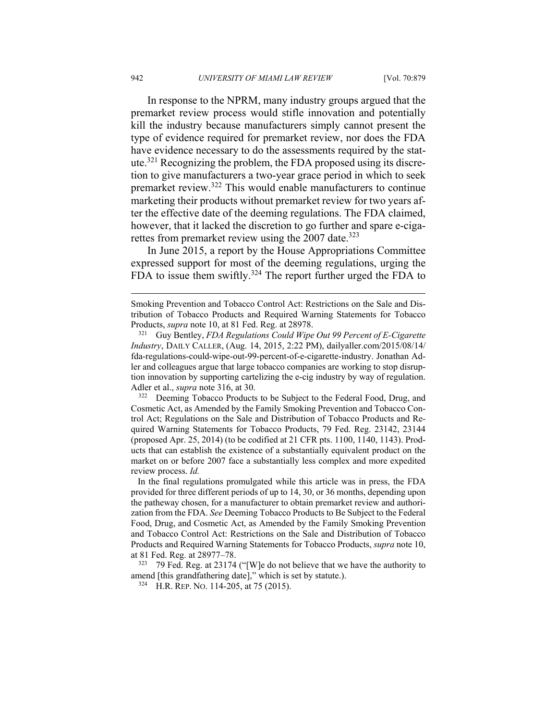In response to the NPRM, many industry groups argued that the premarket review process would stifle innovation and potentially kill the industry because manufacturers simply cannot present the type of evidence required for premarket review, nor does the FDA have evidence necessary to do the assessments required by the statute.321 Recognizing the problem, the FDA proposed using its discretion to give manufacturers a two-year grace period in which to seek premarket review.322 This would enable manufacturers to continue marketing their products without premarket review for two years after the effective date of the deeming regulations. The FDA claimed, however, that it lacked the discretion to go further and spare e-cigarettes from premarket review using the  $2007$  date.<sup>323</sup>

In June 2015, a report by the House Appropriations Committee expressed support for most of the deeming regulations, urging the FDA to issue them swiftly.<sup>324</sup> The report further urged the FDA to

Cosmetic Act, as Amended by the Family Smoking Prevention and Tobacco Control Act; Regulations on the Sale and Distribution of Tobacco Products and Required Warning Statements for Tobacco Products, 79 Fed. Reg. 23142, 23144 (proposed Apr. 25, 2014) (to be codified at 21 CFR pts. 1100, 1140, 1143). Products that can establish the existence of a substantially equivalent product on the market on or before 2007 face a substantially less complex and more expedited review process. *Id.*

 In the final regulations promulgated while this article was in press, the FDA provided for three different periods of up to 14, 30, or 36 months, depending upon the patheway chosen, for a manufacturer to obtain premarket review and authorization from the FDA. *See* Deeming Tobacco Products to Be Subject to the Federal Food, Drug, and Cosmetic Act, as Amended by the Family Smoking Prevention and Tobacco Control Act: Restrictions on the Sale and Distribution of Tobacco Products and Required Warning Statements for Tobacco Products, *supra* note 10, at 81 Fed. Reg. at 28977–78.<br><sup>323</sup> 79 Fed. Reg. at 23174 ("[W]e do not believe that we have the authority to

amend [this grandfathering date]," which is set by statute.).<br><sup>324</sup> H.R. REP. NO. 114-205, at 75 (2015).

Smoking Prevention and Tobacco Control Act: Restrictions on the Sale and Distribution of Tobacco Products and Required Warning Statements for Tobacco Products, *supra* note 10, at 81 Fed. Reg. at 28978. 321 Guy Bentley, *FDA Regulations Could Wipe Out 99 Percent of E-Cigarette* 

*Industry*, DAILY CALLER, (Aug. 14, 2015, 2:22 PM), dailyaller.com/2015/08/14/ fda-regulations-could-wipe-out-99-percent-of-e-cigarette-industry. Jonathan Adler and colleagues argue that large tobacco companies are working to stop disruption innovation by supporting cartelizing the e-cig industry by way of regulation. Adler et al., *supra* note 316, at 30.<br><sup>322</sup> Deeming Tobacco Products to be Subject to the Federal Food, Drug, and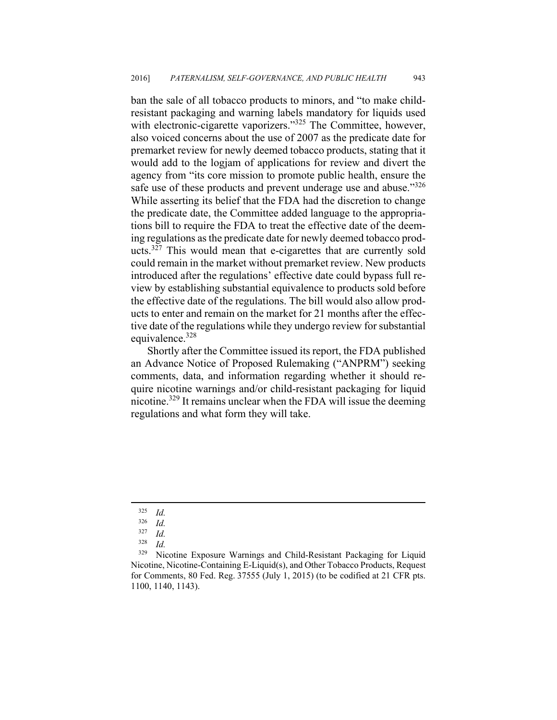ban the sale of all tobacco products to minors, and "to make childresistant packaging and warning labels mandatory for liquids used with electronic-cigarette vaporizers."<sup>325</sup> The Committee, however, also voiced concerns about the use of 2007 as the predicate date for premarket review for newly deemed tobacco products, stating that it would add to the logjam of applications for review and divert the agency from "its core mission to promote public health, ensure the safe use of these products and prevent underage use and abuse."<sup>326</sup> While asserting its belief that the FDA had the discretion to change the predicate date, the Committee added language to the appropriations bill to require the FDA to treat the effective date of the deeming regulations as the predicate date for newly deemed tobacco products.<sup>327</sup> This would mean that e-cigarettes that are currently sold could remain in the market without premarket review. New products introduced after the regulations' effective date could bypass full review by establishing substantial equivalence to products sold before the effective date of the regulations. The bill would also allow products to enter and remain on the market for 21 months after the effective date of the regulations while they undergo review for substantial equivalence.<sup>328</sup>

Shortly after the Committee issued its report, the FDA published an Advance Notice of Proposed Rulemaking ("ANPRM") seeking comments, data, and information regarding whether it should require nicotine warnings and/or child-resistant packaging for liquid nicotine.<sup>329</sup> It remains unclear when the FDA will issue the deeming regulations and what form they will take.

<sup>325</sup> *Id.* 

<sup>326</sup> *Id.* 

 $\frac{327}{328}$  *Id.* 

*Id.* 

<sup>&</sup>lt;sup>329</sup> Nicotine Exposure Warnings and Child-Resistant Packaging for Liquid Nicotine, Nicotine-Containing E-Liquid(s), and Other Tobacco Products, Request for Comments,  $80$  Fed. Reg.  $37555$  (July 1, 2015) (to be codified at 21 CFR pts. 1100, 1140, 1143).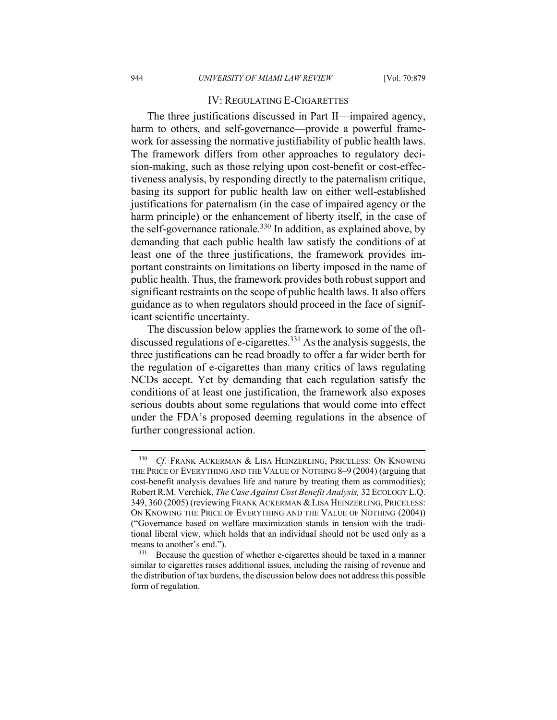## IV: REGULATING E-CIGARETTES

The three justifications discussed in Part II—impaired agency, harm to others, and self-governance—provide a powerful framework for assessing the normative justifiability of public health laws. The framework differs from other approaches to regulatory decision-making, such as those relying upon cost-benefit or cost-effectiveness analysis, by responding directly to the paternalism critique, basing its support for public health law on either well-established justifications for paternalism (in the case of impaired agency or the harm principle) or the enhancement of liberty itself, in the case of the self-governance rationale.<sup>330</sup> In addition, as explained above, by demanding that each public health law satisfy the conditions of at least one of the three justifications, the framework provides important constraints on limitations on liberty imposed in the name of public health. Thus, the framework provides both robust support and significant restraints on the scope of public health laws. It also offers guidance as to when regulators should proceed in the face of significant scientific uncertainty.

The discussion below applies the framework to some of the oftdiscussed regulations of e-cigarettes.<sup>331</sup> As the analysis suggests, the three justifications can be read broadly to offer a far wider berth for the regulation of e-cigarettes than many critics of laws regulating NCDs accept. Yet by demanding that each regulation satisfy the conditions of at least one justification, the framework also exposes serious doubts about some regulations that would come into effect under the FDA's proposed deeming regulations in the absence of further congressional action.

<sup>330</sup> *Cf.* FRANK ACKERMAN & LISA HEINZERLING, PRICELESS: ON KNOWING THE PRICE OF EVERYTHING AND THE VALUE OF NOTHING 8–9 (2004) (arguing that cost-benefit analysis devalues life and nature by treating them as commodities); Robert R.M. Verchick, *The Case Against Cost Benefit Analysis,* 32 ECOLOGY L.Q. 349, 360 (2005) (reviewing FRANK ACKERMAN & LISA HEINZERLING, PRICELESS: ON KNOWING THE PRICE OF EVERYTHING AND THE VALUE OF NOTHING (2004)) ("Governance based on welfare maximization stands in tension with the traditional liberal view, which holds that an individual should not be used only as a means to another's end.").<br><sup>331</sup> Because the question of whether e-cigarettes should be taxed in a manner

similar to cigarettes raises additional issues, including the raising of revenue and the distribution of tax burdens, the discussion below does not address this possible form of regulation.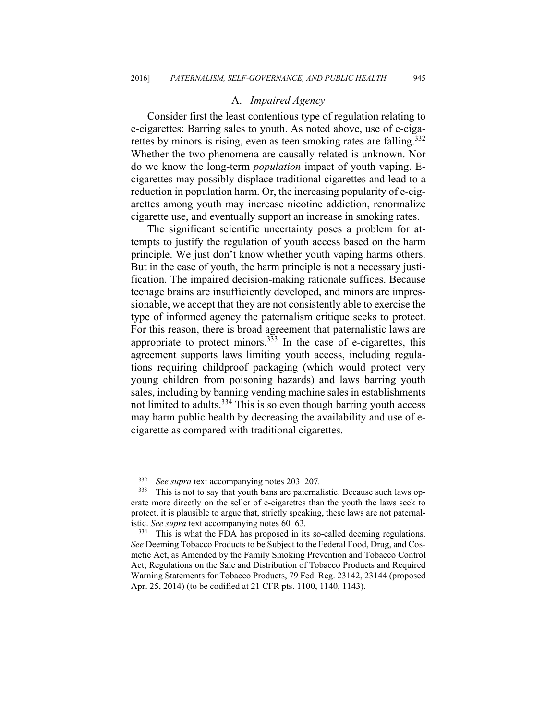## A. *Impaired Agency*

Consider first the least contentious type of regulation relating to e-cigarettes: Barring sales to youth. As noted above, use of e-cigarettes by minors is rising, even as teen smoking rates are falling.<sup>332</sup> Whether the two phenomena are causally related is unknown. Nor do we know the long-term *population* impact of youth vaping. Ecigarettes may possibly displace traditional cigarettes and lead to a reduction in population harm. Or, the increasing popularity of e-cigarettes among youth may increase nicotine addiction, renormalize cigarette use, and eventually support an increase in smoking rates.

The significant scientific uncertainty poses a problem for attempts to justify the regulation of youth access based on the harm principle. We just don't know whether youth vaping harms others. But in the case of youth, the harm principle is not a necessary justification. The impaired decision-making rationale suffices. Because teenage brains are insufficiently developed, and minors are impressionable, we accept that they are not consistently able to exercise the type of informed agency the paternalism critique seeks to protect. For this reason, there is broad agreement that paternalistic laws are appropriate to protect minors. $333$  In the case of e-cigarettes, this agreement supports laws limiting youth access, including regulations requiring childproof packaging (which would protect very young children from poisoning hazards) and laws barring youth sales, including by banning vending machine sales in establishments not limited to adults.<sup>334</sup> This is so even though barring youth access may harm public health by decreasing the availability and use of ecigarette as compared with traditional cigarettes.

<sup>332</sup> *See supra* text accompanying notes 203–207*.* 

This is not to say that youth bans are paternalistic. Because such laws operate more directly on the seller of e-cigarettes than the youth the laws seek to protect, it is plausible to argue that, strictly speaking, these laws are not paternalistic. *See supra* text accompanying notes 60–63*.*

<sup>&</sup>lt;sup>334</sup> This is what the FDA has proposed in its so-called deeming regulations. *See* Deeming Tobacco Products to be Subject to the Federal Food, Drug, and Cosmetic Act, as Amended by the Family Smoking Prevention and Tobacco Control Act; Regulations on the Sale and Distribution of Tobacco Products and Required Warning Statements for Tobacco Products, 79 Fed. Reg. 23142, 23144 (proposed Apr. 25, 2014) (to be codified at 21 CFR pts. 1100, 1140, 1143).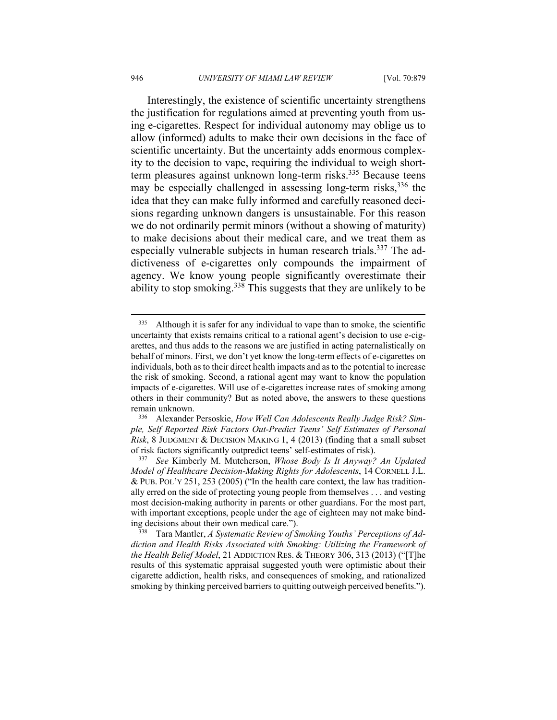Interestingly, the existence of scientific uncertainty strengthens the justification for regulations aimed at preventing youth from using e-cigarettes. Respect for individual autonomy may oblige us to allow (informed) adults to make their own decisions in the face of scientific uncertainty. But the uncertainty adds enormous complexity to the decision to vape, requiring the individual to weigh shortterm pleasures against unknown long-term risks.<sup>335</sup> Because teens may be especially challenged in assessing long-term risks,  $336$  the idea that they can make fully informed and carefully reasoned decisions regarding unknown dangers is unsustainable. For this reason we do not ordinarily permit minors (without a showing of maturity) to make decisions about their medical care, and we treat them as especially vulnerable subjects in human research trials.<sup>337</sup> The addictiveness of e-cigarettes only compounds the impairment of agency. We know young people significantly overestimate their ability to stop smoking.338 This suggests that they are unlikely to be

<sup>&</sup>lt;sup>335</sup> Although it is safer for any individual to vape than to smoke, the scientific uncertainty that exists remains critical to a rational agent's decision to use e-cigarettes, and thus adds to the reasons we are justified in acting paternalistically on behalf of minors. First, we don't yet know the long-term effects of e-cigarettes on individuals, both as to their direct health impacts and as to the potential to increase the risk of smoking. Second, a rational agent may want to know the population impacts of e-cigarettes. Will use of e-cigarettes increase rates of smoking among others in their community? But as noted above, the answers to these questions

remain unknown. 336 Alexander Persoskie, *How Well Can Adolescents Really Judge Risk? Simple, Self Reported Risk Factors Out-Predict Teens' Self Estimates of Personal Risk*, 8 JUDGMENT & DECISION MAKING 1, 4 (2013) (finding that a small subset of risk factors significantly outpredict teens' self-estimates of risk). 337 *See* Kimberly M. Mutcherson, *Whose Body Is It Anyway? An Updated* 

*Model of Healthcare Decision-Making Rights for Adolescents*, 14 CORNELL J.L. & PUB. POL'Y 251, 253 (2005) ("In the health care context, the law has traditionally erred on the side of protecting young people from themselves . . . and vesting most decision-making authority in parents or other guardians. For the most part, with important exceptions, people under the age of eighteen may not make binding decisions about their own medical care.").<br><sup>338</sup> Tara Mantler, *A Systematic Review of Smoking Youths' Perceptions of Ad-*

*diction and Health Risks Associated with Smoking: Utilizing the Framework of the Health Belief Model*, 21 ADDICTION RES. & THEORY 306, 313 (2013) ("[T]he results of this systematic appraisal suggested youth were optimistic about their cigarette addiction, health risks, and consequences of smoking, and rationalized smoking by thinking perceived barriers to quitting outweigh perceived benefits.").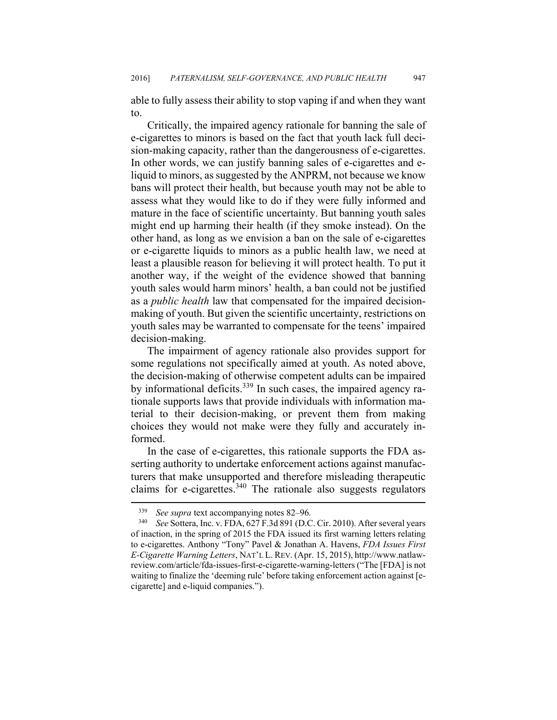able to fully assess their ability to stop vaping if and when they want to.

Critically, the impaired agency rationale for banning the sale of e-cigarettes to minors is based on the fact that youth lack full decision-making capacity, rather than the dangerousness of e-cigarettes. In other words, we can justify banning sales of e-cigarettes and eliquid to minors, as suggested by the ANPRM, not because we know bans will protect their health, but because youth may not be able to assess what they would like to do if they were fully informed and mature in the face of scientific uncertainty. But banning youth sales might end up harming their health (if they smoke instead). On the other hand, as long as we envision a ban on the sale of e-cigarettes or e-cigarette liquids to minors as a public health law, we need at least a plausible reason for believing it will protect health. To put it another way, if the weight of the evidence showed that banning youth sales would harm minors' health, a ban could not be justified as a *public health* law that compensated for the impaired decisionmaking of youth. But given the scientific uncertainty, restrictions on youth sales may be warranted to compensate for the teens' impaired decision-making.

The impairment of agency rationale also provides support for some regulations not specifically aimed at youth. As noted above, the decision-making of otherwise competent adults can be impaired by informational deficits.<sup>339</sup> In such cases, the impaired agency rationale supports laws that provide individuals with information material to their decision-making, or prevent them from making choices they would not make were they fully and accurately informed.

In the case of e-cigarettes, this rationale supports the FDA asserting authority to undertake enforcement actions against manufacturers that make unsupported and therefore misleading therapeutic claims for e-cigarettes.<sup>340</sup> The rationale also suggests regulators

<u>.</u>

<sup>339</sup> *See supra* text accompanying notes 82–96*.* 

<sup>340</sup> *See* Sottera, Inc. v. FDA, 627 F.3d 891 (D.C. Cir. 2010). After several years of inaction, in the spring of 2015 the FDA issued its first warning letters relating to e-cigarettes. Anthony "Tony" Pavel & Jonathan A. Havens, *FDA Issues First E-Cigarette Warning Letters*, NAT'L L. REV. (Apr. 15, 2015), http://www.natlawreview.com/article/fda-issues-first-e-cigarette-warning-letters ("The [FDA] is not waiting to finalize the 'deeming rule' before taking enforcement action against [ecigarette] and e-liquid companies.").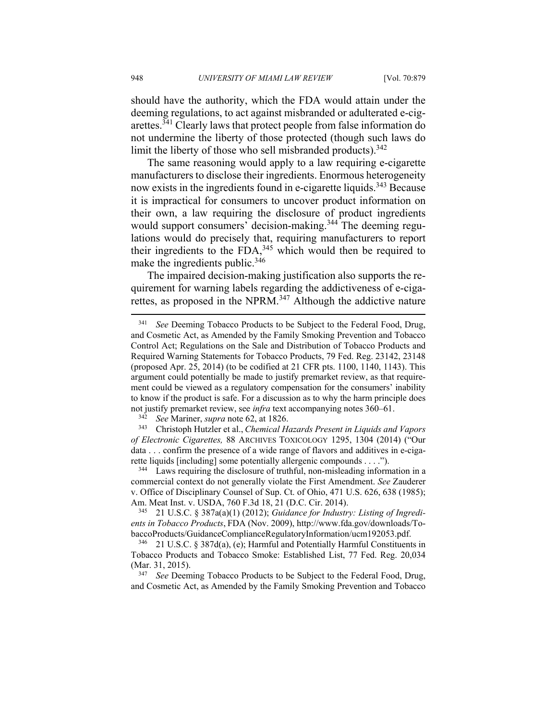should have the authority, which the FDA would attain under the deeming regulations, to act against misbranded or adulterated e-cigarettes.341 Clearly laws that protect people from false information do not undermine the liberty of those protected (though such laws do limit the liberty of those who sell misbranded products).  $342$ 

The same reasoning would apply to a law requiring e-cigarette manufacturers to disclose their ingredients. Enormous heterogeneity now exists in the ingredients found in e-cigarette liquids.<sup>343</sup> Because it is impractical for consumers to uncover product information on their own, a law requiring the disclosure of product ingredients would support consumers' decision-making.<sup>344</sup> The deeming regulations would do precisely that, requiring manufacturers to report their ingredients to the FDA, $345$  which would then be required to make the ingredients public.<sup>346</sup>

The impaired decision-making justification also supports the requirement for warning labels regarding the addictiveness of e-cigarettes, as proposed in the NPRM.<sup>347</sup> Although the addictive nature

<sup>&</sup>lt;sup>341</sup> See Deeming Tobacco Products to be Subject to the Federal Food, Drug, and Cosmetic Act, as Amended by the Family Smoking Prevention and Tobacco Control Act; Regulations on the Sale and Distribution of Tobacco Products and Required Warning Statements for Tobacco Products, 79 Fed. Reg. 23142, 23148 (proposed Apr. 25, 2014) (to be codified at 21 CFR pts. 1100, 1140, 1143). This argument could potentially be made to justify premarket review, as that requirement could be viewed as a regulatory compensation for the consumers' inability to know if the product is safe. For a discussion as to why the harm principle does not justify premarket review, see *infra* text accompanying notes 360–61.

<sup>342</sup> *See* Mariner, *supra* note 62, at 1826. 343 Christoph Hutzler et al., *Chemical Hazards Present in Liquids and Vapors of Electronic Cigarettes,* 88 ARCHIVES TOXICOLOGY 1295, 1304 (2014) ("Our data . . . confirm the presence of a wide range of flavors and additives in e-cigarette liquids [including] some potentially allergenic compounds . . . ."). 344 Laws requiring the disclosure of truthful, non-misleading information in a

commercial context do not generally violate the First Amendment. *See* Zauderer v. Office of Disciplinary Counsel of Sup. Ct. of Ohio, 471 U.S. 626, 638 (1985); Am. Meat Inst. v. USDA, 760 F.3d 18, 21 (D.C. Cir. 2014).<br><sup>345</sup> 21 U.S.C. § 387a(a)(1) (2012); *Guidance for Industry: Listing of Ingredi-*

*ents in Tobacco Products*, FDA (Nov. 2009), http://www.fda.gov/downloads/TobaccoProducts/GuidanceComplianceRegulatoryInformation/ucm192053.pdf. <sup>346</sup> 21 U.S.C. § 387d(a), (e); Harmful and Potentially Harmful Constituents in

Tobacco Products and Tobacco Smoke: Established List, 77 Fed. Reg. 20,034 (Mar. 31, 2015).<br><sup>347</sup> See Deeming Tobacco Products to be Subject to the Federal Food, Drug,

and Cosmetic Act, as Amended by the Family Smoking Prevention and Tobacco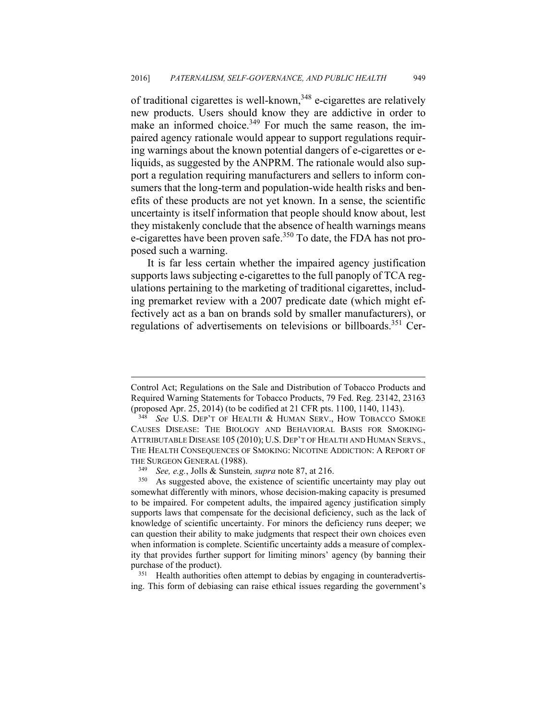of traditional cigarettes is well-known,<sup>348</sup> e-cigarettes are relatively new products. Users should know they are addictive in order to make an informed choice.<sup>349</sup> For much the same reason, the impaired agency rationale would appear to support regulations requiring warnings about the known potential dangers of e-cigarettes or eliquids, as suggested by the ANPRM. The rationale would also support a regulation requiring manufacturers and sellers to inform consumers that the long-term and population-wide health risks and benefits of these products are not yet known. In a sense, the scientific uncertainty is itself information that people should know about, lest they mistakenly conclude that the absence of health warnings means e-cigarettes have been proven safe.<sup>350</sup> To date, the FDA has not proposed such a warning.

It is far less certain whether the impaired agency justification supports laws subjecting e-cigarettes to the full panoply of TCA regulations pertaining to the marketing of traditional cigarettes, including premarket review with a 2007 predicate date (which might effectively act as a ban on brands sold by smaller manufacturers), or regulations of advertisements on televisions or billboards.<sup>351</sup> Cer-

 $\overline{a}$ 

ing. This form of debiasing can raise ethical issues regarding the government's

Control Act; Regulations on the Sale and Distribution of Tobacco Products and Required Warning Statements for Tobacco Products, 79 Fed. Reg. 23142, 23163

<sup>(</sup>proposed Apr. 25, 2014) (to be codified at 21 CFR pts. 1100, 1140, 1143). 348 *See* U.S. DEP'T OF HEALTH & HUMAN SERV., HOW TOBACCO SMOKE CAUSES DISEASE: THE BIOLOGY AND BEHAVIORAL BASIS FOR SMOKING-ATTRIBUTABLE DISEASE 105 (2010); U.S. DEP'T OF HEALTH AND HUMAN SERVS., THE HEALTH CONSEQUENCES OF SMOKING: NICOTINE ADDICTION: A REPORT OF THE SURGEON GENERAL (1988).<br><sup>349</sup> See, e.g., Jolls & Sunstein, *supra* note 87, at 216.<br><sup>350</sup> As suggested above, the existence of scientific uncertainty may play out

somewhat differently with minors, whose decision-making capacity is presumed to be impaired. For competent adults, the impaired agency justification simply supports laws that compensate for the decisional deficiency, such as the lack of knowledge of scientific uncertainty. For minors the deficiency runs deeper; we can question their ability to make judgments that respect their own choices even when information is complete. Scientific uncertainty adds a measure of complexity that provides further support for limiting minors' agency (by banning their purchase of the product).<br><sup>351</sup> Health authorities often attempt to debias by engaging in counteradvertis-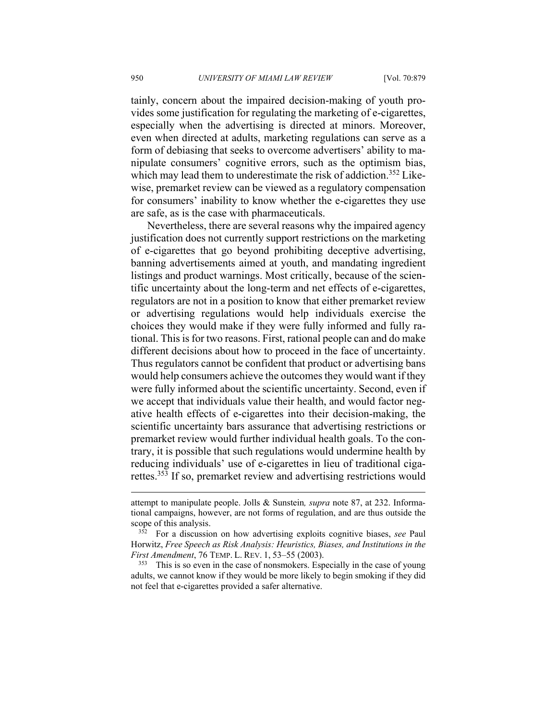tainly, concern about the impaired decision-making of youth provides some justification for regulating the marketing of e-cigarettes, especially when the advertising is directed at minors. Moreover, even when directed at adults, marketing regulations can serve as a form of debiasing that seeks to overcome advertisers' ability to manipulate consumers' cognitive errors, such as the optimism bias, which may lead them to underestimate the risk of addiction.<sup>352</sup> Likewise, premarket review can be viewed as a regulatory compensation for consumers' inability to know whether the e-cigarettes they use are safe, as is the case with pharmaceuticals.

Nevertheless, there are several reasons why the impaired agency justification does not currently support restrictions on the marketing of e-cigarettes that go beyond prohibiting deceptive advertising, banning advertisements aimed at youth, and mandating ingredient listings and product warnings. Most critically, because of the scientific uncertainty about the long-term and net effects of e-cigarettes, regulators are not in a position to know that either premarket review or advertising regulations would help individuals exercise the choices they would make if they were fully informed and fully rational. This is for two reasons. First, rational people can and do make different decisions about how to proceed in the face of uncertainty. Thus regulators cannot be confident that product or advertising bans would help consumers achieve the outcomes they would want if they were fully informed about the scientific uncertainty. Second, even if we accept that individuals value their health, and would factor negative health effects of e-cigarettes into their decision-making, the scientific uncertainty bars assurance that advertising restrictions or premarket review would further individual health goals. To the contrary, it is possible that such regulations would undermine health by reducing individuals' use of e-cigarettes in lieu of traditional cigarettes.353 If so, premarket review and advertising restrictions would

adults, we cannot know if they would be more likely to begin smoking if they did not feel that e-cigarettes provided a safer alternative.

attempt to manipulate people. Jolls & Sunstein*, supra* note 87, at 232. Informational campaigns, however, are not forms of regulation, and are thus outside the scope of this analysis. 352 For a discussion on how advertising exploits cognitive biases, *see* Paul

Horwitz, *Free Speech as Risk Analysis: Heuristics, Biases, and Institutions in the First Amendment*, 76 TEMP. L. REV. 1, 53–55 (2003).<br><sup>353</sup> This is so even in the case of nonsmokers. Especially in the case of young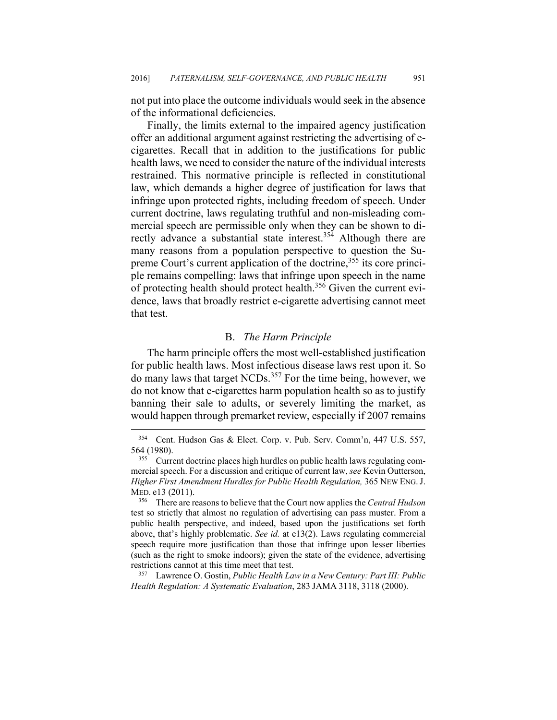not put into place the outcome individuals would seek in the absence of the informational deficiencies.

Finally, the limits external to the impaired agency justification offer an additional argument against restricting the advertising of ecigarettes. Recall that in addition to the justifications for public health laws, we need to consider the nature of the individual interests restrained. This normative principle is reflected in constitutional law, which demands a higher degree of justification for laws that infringe upon protected rights, including freedom of speech. Under current doctrine, laws regulating truthful and non-misleading commercial speech are permissible only when they can be shown to directly advance a substantial state interest.354 Although there are many reasons from a population perspective to question the Supreme Court's current application of the doctrine,<sup>355</sup> its core principle remains compelling: laws that infringe upon speech in the name of protecting health should protect health.<sup>356</sup> Given the current evidence, laws that broadly restrict e-cigarette advertising cannot meet that test.

## B. *The Harm Principle*

The harm principle offers the most well-established justification for public health laws. Most infectious disease laws rest upon it. So do many laws that target NCDs.<sup>357</sup> For the time being, however, we do not know that e-cigarettes harm population health so as to justify banning their sale to adults, or severely limiting the market, as would happen through premarket review, especially if 2007 remains

1

*Health Regulation: A Systematic Evaluation*, 283 JAMA 3118, 3118 (2000).

<sup>354</sup> Cent. Hudson Gas & Elect. Corp. v. Pub. Serv. Comm'n, 447 U.S. 557, 564 (1980).<br> $355$  Current doctrine places high hurdles on public health laws regulating com-

mercial speech. For a discussion and critique of current law, *see* Kevin Outterson, *Higher First Amendment Hurdles for Public Health Regulation,* 365 NEW ENG.J. MED. e13 (2011). 356 There are reasons to believe that the Court now applies the *Central Hudson* 

test so strictly that almost no regulation of advertising can pass muster. From a public health perspective, and indeed, based upon the justifications set forth above, that's highly problematic. *See id.* at e13(2). Laws regulating commercial speech require more justification than those that infringe upon lesser liberties (such as the right to smoke indoors); given the state of the evidence, advertising restrictions cannot at this time meet that test. 357 Lawrence O. Gostin, *Public Health Law in a New Century: Part III: Public*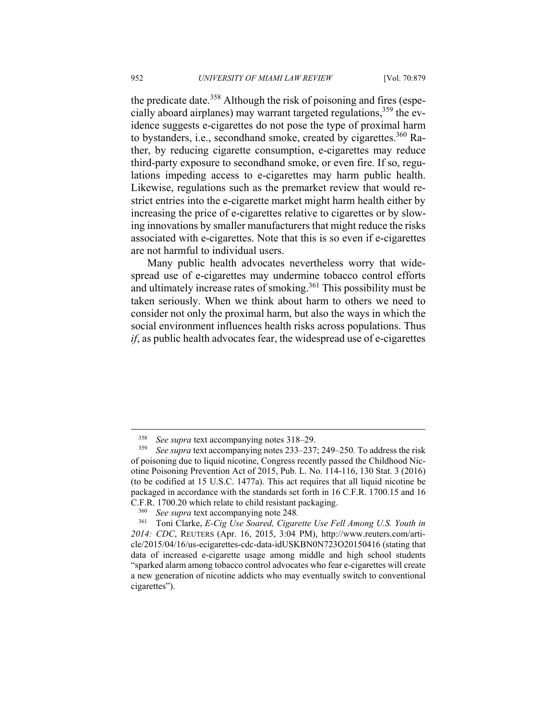the predicate date.<sup>358</sup> Although the risk of poisoning and fires (especially aboard airplanes) may warrant targeted regulations,  $359$  the evidence suggests e-cigarettes do not pose the type of proximal harm to bystanders, i.e., secondhand smoke, created by cigarettes.<sup>360</sup> Rather, by reducing cigarette consumption, e-cigarettes may reduce third-party exposure to secondhand smoke, or even fire. If so, regulations impeding access to e-cigarettes may harm public health. Likewise, regulations such as the premarket review that would restrict entries into the e-cigarette market might harm health either by increasing the price of e-cigarettes relative to cigarettes or by slowing innovations by smaller manufacturers that might reduce the risks associated with e-cigarettes. Note that this is so even if e-cigarettes are not harmful to individual users.

Many public health advocates nevertheless worry that widespread use of e-cigarettes may undermine tobacco control efforts and ultimately increase rates of smoking.<sup>361</sup> This possibility must be taken seriously. When we think about harm to others we need to consider not only the proximal harm, but also the ways in which the social environment influences health risks across populations. Thus *if*, as public health advocates fear, the widespread use of e-cigarettes

<sup>&</sup>lt;sup>358</sup> See supra text accompanying notes 318–29.<br><sup>359</sup> See supra text accompanying notes 233–237

<sup>359</sup> *See supra* text accompanying notes 233–237; 249–250*.* To address the risk of poisoning due to liquid nicotine, Congress recently passed the Childhood Nicotine Poisoning Prevention Act of 2015, Pub. L. No. 114-116, 130 Stat. 3 (2016) (to be codified at 15 U.S.C. 1477a). This act requires that all liquid nicotine be packaged in accordance with the standards set forth in 16 C.F.R. 1700.15 and 16 C.F.R. 1700.20 which relate to child resistant packaging. 360 *See supra* text accompanying note 248*.* 

<sup>361</sup> Toni Clarke, *E-Cig Use Soared, Cigarette Use Fell Among U.S. Youth in 2014: CDC*, REUTERS (Apr. 16, 2015, 3:04 PM), http://www.reuters.com/article/2015/04/16/us-ecigarettes-cdc-data-idUSKBN0N723O20150416 (stating that data of increased e-cigarette usage among middle and high school students "sparked alarm among tobacco control advocates who fear e-cigarettes will create a new generation of nicotine addicts who may eventually switch to conventional cigarettes").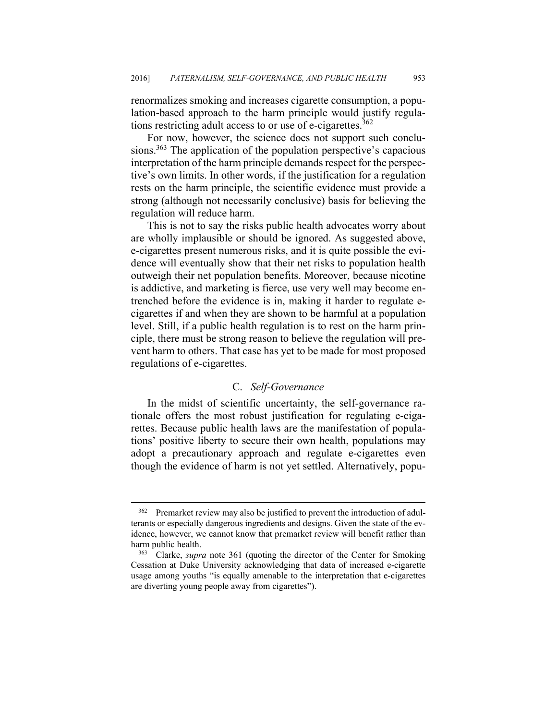renormalizes smoking and increases cigarette consumption, a population-based approach to the harm principle would justify regulations restricting adult access to or use of e-cigarettes. $362$ 

For now, however, the science does not support such conclusions.<sup>363</sup> The application of the population perspective's capacious interpretation of the harm principle demands respect for the perspective's own limits. In other words, if the justification for a regulation rests on the harm principle, the scientific evidence must provide a strong (although not necessarily conclusive) basis for believing the regulation will reduce harm.

This is not to say the risks public health advocates worry about are wholly implausible or should be ignored. As suggested above, e-cigarettes present numerous risks, and it is quite possible the evidence will eventually show that their net risks to population health outweigh their net population benefits. Moreover, because nicotine is addictive, and marketing is fierce, use very well may become entrenched before the evidence is in, making it harder to regulate ecigarettes if and when they are shown to be harmful at a population level. Still, if a public health regulation is to rest on the harm principle, there must be strong reason to believe the regulation will prevent harm to others. That case has yet to be made for most proposed regulations of e-cigarettes.

# C. *Self-Governance*

In the midst of scientific uncertainty, the self-governance rationale offers the most robust justification for regulating e-cigarettes. Because public health laws are the manifestation of populations' positive liberty to secure their own health, populations may adopt a precautionary approach and regulate e-cigarettes even though the evidence of harm is not yet settled. Alternatively, popu-

<u>.</u>

<sup>&</sup>lt;sup>362</sup> Premarket review may also be justified to prevent the introduction of adulterants or especially dangerous ingredients and designs. Given the state of the evidence, however, we cannot know that premarket review will benefit rather than harm public health.<br><sup>363</sup> Clarke, *supra* note 361 (quoting the director of the Center for Smoking

Cessation at Duke University acknowledging that data of increased e-cigarette usage among youths "is equally amenable to the interpretation that e-cigarettes are diverting young people away from cigarettes").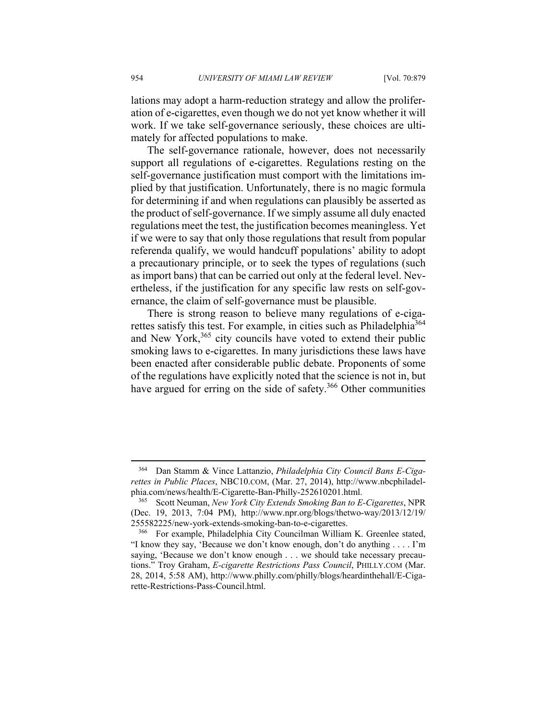lations may adopt a harm-reduction strategy and allow the proliferation of e-cigarettes, even though we do not yet know whether it will work. If we take self-governance seriously, these choices are ultimately for affected populations to make.

The self-governance rationale, however, does not necessarily support all regulations of e-cigarettes. Regulations resting on the self-governance justification must comport with the limitations implied by that justification. Unfortunately, there is no magic formula for determining if and when regulations can plausibly be asserted as the product of self-governance. If we simply assume all duly enacted regulations meet the test, the justification becomes meaningless. Yet if we were to say that only those regulations that result from popular referenda qualify, we would handcuff populations' ability to adopt a precautionary principle, or to seek the types of regulations (such as import bans) that can be carried out only at the federal level. Nevertheless, if the justification for any specific law rests on self-governance, the claim of self-governance must be plausible.

There is strong reason to believe many regulations of e-cigarettes satisfy this test. For example, in cities such as Philadelphia<sup>364</sup> and New York,<sup>365</sup> city councils have voted to extend their public smoking laws to e-cigarettes. In many jurisdictions these laws have been enacted after considerable public debate. Proponents of some of the regulations have explicitly noted that the science is not in, but have argued for erring on the side of safety.<sup>366</sup> Other communities

<sup>364</sup> Dan Stamm & Vince Lattanzio, *Philadelphia City Council Bans E-Cigarettes in Public Places*, NBC10.COM, (Mar. 27, 2014), http://www.nbcphiladelphia.com/news/health/E-Cigarette-Ban-Philly-252610201.html. 365 Scott Neuman, *New York City Extends Smoking Ban to E-Cigarettes*, NPR

<sup>(</sup>Dec. 19, 2013, 7:04 PM), http://www.npr.org/blogs/thetwo-way/2013/12/19/ 255582225/new-york-extends-smoking-ban-to-e-cigarettes. 366 For example, Philadelphia City Councilman William K. Greenlee stated,

<sup>&</sup>quot;I know they say, 'Because we don't know enough, don't do anything . . . . I'm saying, 'Because we don't know enough . . . we should take necessary precautions." Troy Graham, *E-cigarette Restrictions Pass Council*, PHILLY.COM (Mar. 28, 2014, 5:58 AM), http://www.philly.com/philly/blogs/heardinthehall/E-Cigarette-Restrictions-Pass-Council.html.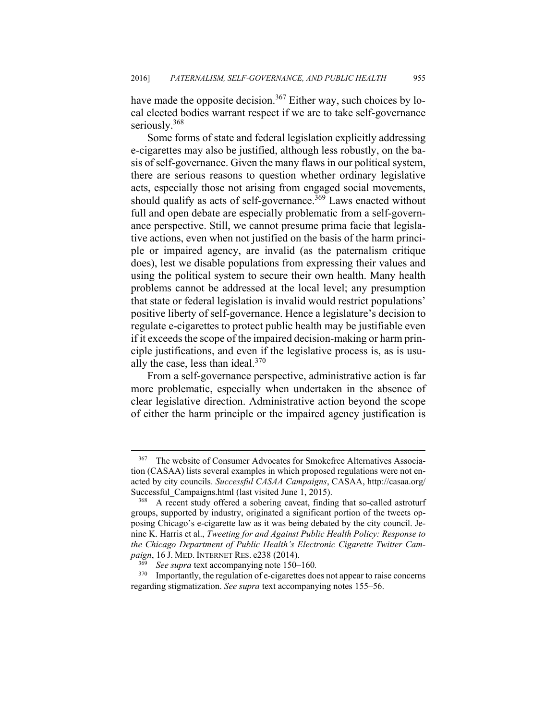have made the opposite decision.<sup>367</sup> Either way, such choices by local elected bodies warrant respect if we are to take self-governance seriously.<sup>368</sup>

Some forms of state and federal legislation explicitly addressing e-cigarettes may also be justified, although less robustly, on the basis of self-governance. Given the many flaws in our political system, there are serious reasons to question whether ordinary legislative acts, especially those not arising from engaged social movements, should qualify as acts of self-governance.<sup>369</sup> Laws enacted without full and open debate are especially problematic from a self-governance perspective. Still, we cannot presume prima facie that legislative actions, even when not justified on the basis of the harm principle or impaired agency, are invalid (as the paternalism critique does), lest we disable populations from expressing their values and using the political system to secure their own health. Many health problems cannot be addressed at the local level; any presumption that state or federal legislation is invalid would restrict populations' positive liberty of self-governance. Hence a legislature's decision to regulate e-cigarettes to protect public health may be justifiable even if it exceeds the scope of the impaired decision-making or harm principle justifications, and even if the legislative process is, as is usually the case, less than ideal. $370$ 

From a self-governance perspective, administrative action is far more problematic, especially when undertaken in the absence of clear legislative direction. Administrative action beyond the scope of either the harm principle or the impaired agency justification is

1

<sup>&</sup>lt;sup>367</sup> The website of Consumer Advocates for Smokefree Alternatives Association (CASAA) lists several examples in which proposed regulations were not enacted by city councils. *Successful CASAA Campaigns*, CASAA, http://casaa.org/ Successful\_Campaigns.html (last visited June 1, 2015).<br><sup>368</sup> A recent study offered a sobering caveat, finding that so-called astroturf

groups, supported by industry, originated a significant portion of the tweets opposing Chicago's e-cigarette law as it was being debated by the city council. Jenine K. Harris et al., *Tweeting for and Against Public Health Policy: Response to the Chicago Department of Public Health's Electronic Cigarette Twitter Campaign*, 16 J. MED. INTERNET RES. e238 (2014).<br><sup>369</sup> See *supra* text accompanying note 150–160.<br><sup>370</sup> Importantly the regulation of e-cigarettes do

Importantly, the regulation of e-cigarettes does not appear to raise concerns regarding stigmatization. *See supra* text accompanying notes 155–56.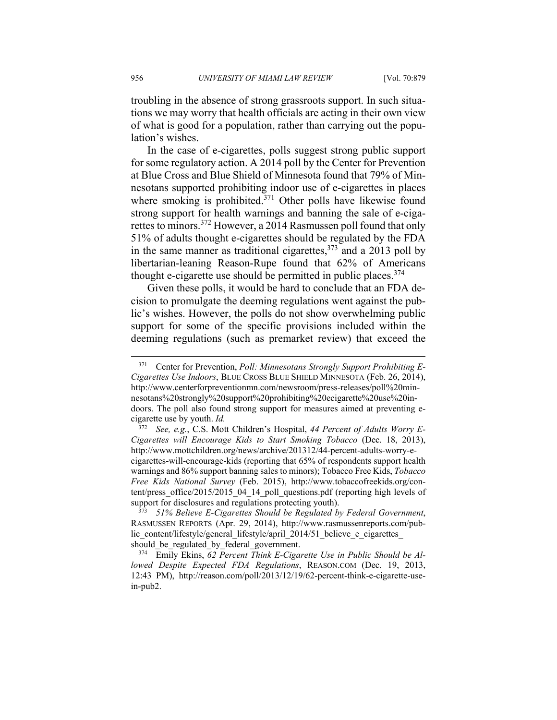troubling in the absence of strong grassroots support. In such situations we may worry that health officials are acting in their own view of what is good for a population, rather than carrying out the population's wishes.

In the case of e-cigarettes, polls suggest strong public support for some regulatory action. A 2014 poll by the Center for Prevention at Blue Cross and Blue Shield of Minnesota found that 79% of Minnesotans supported prohibiting indoor use of e-cigarettes in places where smoking is prohibited.<sup>371</sup> Other polls have likewise found strong support for health warnings and banning the sale of e-cigarettes to minors.372 However, a 2014 Rasmussen poll found that only 51% of adults thought e-cigarettes should be regulated by the FDA in the same manner as traditional cigarettes,  $373$  and a 2013 poll by libertarian-leaning Reason-Rupe found that 62% of Americans thought e-cigarette use should be permitted in public places.  $374$ 

Given these polls, it would be hard to conclude that an FDA decision to promulgate the deeming regulations went against the public's wishes. However, the polls do not show overwhelming public support for some of the specific provisions included within the deeming regulations (such as premarket review) that exceed the

<sup>371</sup> Center for Prevention, *Poll: Minnesotans Strongly Support Prohibiting E-Cigarettes Use Indoors*, BLUE CROSS BLUE SHIELD MINNESOTA (Feb. 26, 2014), http://www.centerforpreventionmn.com/newsroom/press-releases/poll%20minnesotans%20strongly%20support%20prohibiting%20ecigarette%20use%20indoors. The poll also found strong support for measures aimed at preventing ecigarette use by youth. *Id.*

<sup>372</sup> *See, e.g.*, C.S. Mott Children's Hospital, *44 Percent of Adults Worry E-Cigarettes will Encourage Kids to Start Smoking Tobacco* (Dec. 18, 2013), http://www.mottchildren.org/news/archive/201312/44-percent-adults-worry-ecigarettes-will-encourage-kids (reporting that 65% of respondents support health warnings and 86% support banning sales to minors); Tobacco Free Kids, *Tobacco Free Kids National Survey* (Feb. 2015), http://www.tobaccofreekids.org/content/press\_office/2015/2015\_04\_14\_poll\_questions.pdf (reporting high levels of support for disclosures and regulations protecting youth). 373 *51% Believe E-Cigarettes Should be Regulated by Federal Government*,

RASMUSSEN REPORTS (Apr. 29, 2014), http://www.rasmussenreports.com/public\_content/lifestyle/general\_lifestyle/april\_2014/51\_believe\_e\_cigarettes

should\_be\_regulated\_by\_federal\_government. 374 Emily Ekins, *62 Percent Think E-Cigarette Use in Public Should be Allowed Despite Expected FDA Regulations*, REASON.COM (Dec. 19, 2013, 12:43 PM), http://reason.com/poll/2013/12/19/62-percent-think-e-cigarette-usein-pub2.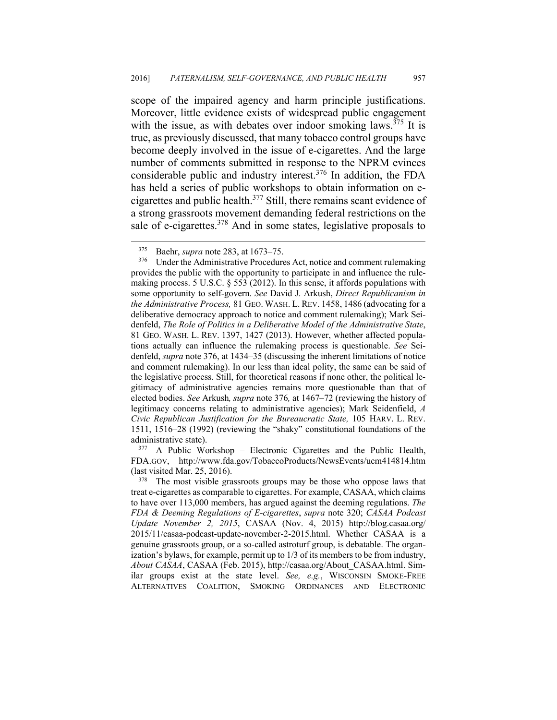scope of the impaired agency and harm principle justifications. Moreover, little evidence exists of widespread public engagement with the issue, as with debates over indoor smoking laws.<sup>375</sup> It is true, as previously discussed, that many tobacco control groups have become deeply involved in the issue of e-cigarettes. And the large number of comments submitted in response to the NPRM evinces considerable public and industry interest.376 In addition, the FDA has held a series of public workshops to obtain information on ecigarettes and public health.377 Still, there remains scant evidence of a strong grassroots movement demanding federal restrictions on the sale of e-cigarettes.<sup>378</sup> And in some states, legislative proposals to

 $\overline{a}$ 

FDA.GOV, http://www.fda.gov/TobaccoProducts/NewsEvents/ucm414814.htm (last visited Mar. 25, 2016).  $\frac{378}{100}$  The most visible grassroots groups may be those who oppose laws that

<sup>&</sup>lt;sup>375</sup> Baehr, *supra* note 283, at 1673–75.<br><sup>376</sup> Under the Administrative Procedures Act, notice and comment rulemaking provides the public with the opportunity to participate in and influence the rulemaking process. 5 U.S.C. § 553 (2012). In this sense, it affords populations with some opportunity to self-govern. *See* David J. Arkush, *Direct Republicanism in the Administrative Process,* 81 GEO. WASH. L. REV. 1458, 1486 (advocating for a deliberative democracy approach to notice and comment rulemaking); Mark Seidenfeld, *The Role of Politics in a Deliberative Model of the Administrative State*, 81 GEO. WASH. L. REV. 1397, 1427 (2013). However, whether affected populations actually can influence the rulemaking process is questionable. *See* Seidenfeld, *supra* note 376, at 1434–35 (discussing the inherent limitations of notice and comment rulemaking). In our less than ideal polity, the same can be said of the legislative process. Still, for theoretical reasons if none other, the political legitimacy of administrative agencies remains more questionable than that of elected bodies. *See* Arkush*, supra* note 376*,* at 1467–72 (reviewing the history of legitimacy concerns relating to administrative agencies); Mark Seidenfield, *A Civic Republican Justification for the Bureaucratic State,* 105 HARV. L. REV. 1511, 1516–28 (1992) (reviewing the "shaky" constitutional foundations of the administrative state).<br><sup>377</sup> A Public Workshop – Electronic Cigarettes and the Public Health,

treat e-cigarettes as comparable to cigarettes. For example, CASAA, which claims to have over 113,000 members, has argued against the deeming regulations. *The FDA & Deeming Regulations of E-cigarettes*, *supra* note 320; *CASAA Podcast Update November 2, 2015*, CASAA (Nov. 4, 2015) http://blog.casaa.org/ 2015/11/casaa-podcast-update-november-2-2015.html. Whether CASAA is a genuine grassroots group, or a so-called astroturf group, is debatable. The organization's bylaws, for example, permit up to 1/3 of its members to be from industry, *About CASAA*, CASAA (Feb. 2015), http://casaa.org/About\_CASAA.html. Similar groups exist at the state level. *See, e.g.*, WISCONSIN SMOKE-FREE ALTERNATIVES COALITION, SMOKING ORDINANCES AND ELECTRONIC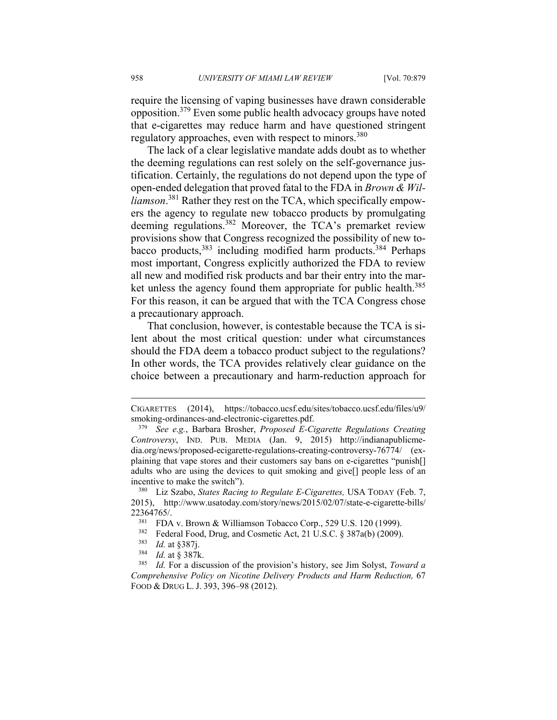require the licensing of vaping businesses have drawn considerable opposition.379 Even some public health advocacy groups have noted that e-cigarettes may reduce harm and have questioned stringent regulatory approaches, even with respect to minors.<sup>380</sup>

The lack of a clear legislative mandate adds doubt as to whether the deeming regulations can rest solely on the self-governance justification. Certainly, the regulations do not depend upon the type of open-ended delegation that proved fatal to the FDA in *Brown & Williamson*. 381 Rather they rest on the TCA, which specifically empowers the agency to regulate new tobacco products by promulgating deeming regulations.382 Moreover, the TCA's premarket review provisions show that Congress recognized the possibility of new tobacco products,383 including modified harm products.384 Perhaps most important, Congress explicitly authorized the FDA to review all new and modified risk products and bar their entry into the market unless the agency found them appropriate for public health.<sup>385</sup> For this reason, it can be argued that with the TCA Congress chose a precautionary approach.

That conclusion, however, is contestable because the TCA is silent about the most critical question: under what circumstances should the FDA deem a tobacco product subject to the regulations? In other words, the TCA provides relatively clear guidance on the choice between a precautionary and harm-reduction approach for

CIGARETTES (2014), https://tobacco.ucsf.edu/sites/tobacco.ucsf.edu/files/u9/ smoking-ordinances-and-electronic-cigarettes.pdf. 379 *See e.g.*, Barbara Brosher, *Proposed E-Cigarette Regulations Creating* 

*Controversy*, IND. PUB. MEDIA (Jan. 9, 2015) http://indianapublicmedia.org/news/proposed-ecigarette-regulations-creating-controversy-76774/ (explaining that vape stores and their customers say bans on e-cigarettes "punish[] adults who are using the devices to quit smoking and give[] people less of an incentive to make the switch"). 380 Liz Szabo, *States Racing to Regulate E-Cigarettes,* USA TODAY (Feb. 7,

<sup>2015),</sup> http://www.usatoday.com/story/news/2015/02/07/state-e-cigarette-bills/

<sup>22364765/.&</sup>lt;br><sup>381</sup> FDA v. Brown & Williamson Tobacco Corp., 529 U.S. 120 (1999).<br><sup>382</sup> Federal Food, Drug, and Cosmetic Act, 21 U.S.C. § 387a(b) (2009).<br><sup>383</sup> *Id.* at § 387k.<br><sup>384</sup> *Id.* at § 387k.<br><sup>385</sup> *Id.* For a discus *Comprehensive Policy on Nicotine Delivery Products and Harm Reduction,* 67 FOOD & DRUG L. J. 393, 396–98 (2012).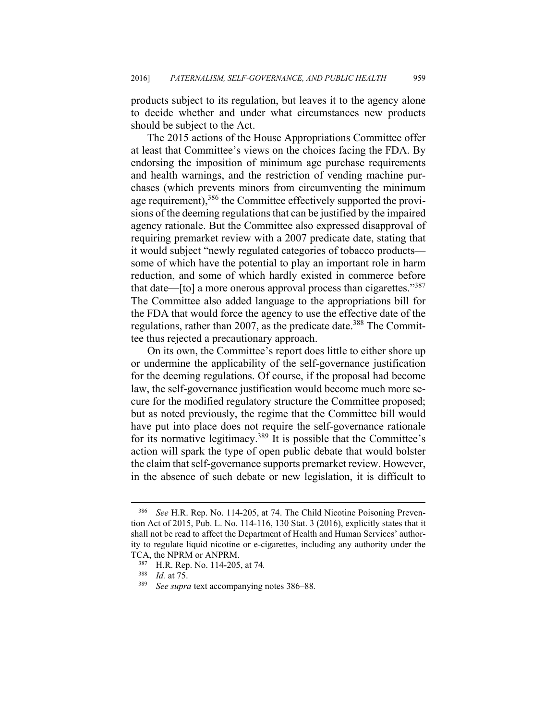products subject to its regulation, but leaves it to the agency alone to decide whether and under what circumstances new products should be subject to the Act.

The 2015 actions of the House Appropriations Committee offer at least that Committee's views on the choices facing the FDA. By endorsing the imposition of minimum age purchase requirements and health warnings, and the restriction of vending machine purchases (which prevents minors from circumventing the minimum age requirement),<sup>386</sup> the Committee effectively supported the provisions of the deeming regulations that can be justified by the impaired agency rationale. But the Committee also expressed disapproval of requiring premarket review with a 2007 predicate date, stating that it would subject "newly regulated categories of tobacco products some of which have the potential to play an important role in harm reduction, and some of which hardly existed in commerce before that date—[to] a more onerous approval process than cigarettes."<sup>387</sup> The Committee also added language to the appropriations bill for the FDA that would force the agency to use the effective date of the regulations, rather than 2007, as the predicate date.<sup>388</sup> The Committee thus rejected a precautionary approach.

On its own, the Committee's report does little to either shore up or undermine the applicability of the self-governance justification for the deeming regulations. Of course, if the proposal had become law, the self-governance justification would become much more secure for the modified regulatory structure the Committee proposed; but as noted previously, the regime that the Committee bill would have put into place does not require the self-governance rationale for its normative legitimacy.389 It is possible that the Committee's action will spark the type of open public debate that would bolster the claim that self-governance supports premarket review. However, in the absence of such debate or new legislation, it is difficult to

<u>.</u>

<sup>386</sup> *See* H.R. Rep. No. 114-205, at 74. The Child Nicotine Poisoning Prevention Act of 2015, Pub. L. No. 114-116, 130 Stat. 3 (2016), explicitly states that it shall not be read to affect the Department of Health and Human Services' authority to regulate liquid nicotine or e-cigarettes, including any authority under the TCA, the NPRM or ANPRM.<br><sup>387</sup> H.R. Rep. No. 114-205, at 74.<br><sup>388</sup> Id at 75

<sup>388</sup> *Id.* at 75. 389 *See supra* text accompanying notes 386–88*.*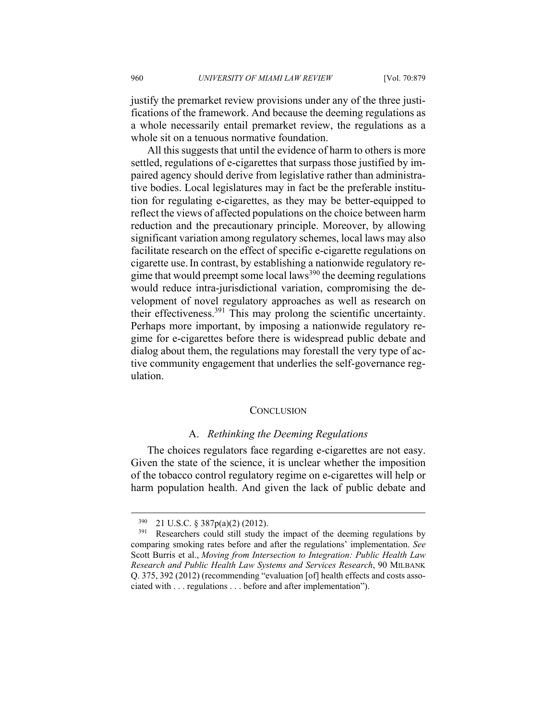justify the premarket review provisions under any of the three justifications of the framework. And because the deeming regulations as a whole necessarily entail premarket review, the regulations as a whole sit on a tenuous normative foundation.

All this suggests that until the evidence of harm to others is more settled, regulations of e-cigarettes that surpass those justified by impaired agency should derive from legislative rather than administrative bodies. Local legislatures may in fact be the preferable institution for regulating e-cigarettes, as they may be better-equipped to reflect the views of affected populations on the choice between harm reduction and the precautionary principle. Moreover, by allowing significant variation among regulatory schemes, local laws may also facilitate research on the effect of specific e-cigarette regulations on cigarette use.In contrast, by establishing a nationwide regulatory regime that would preempt some local laws<sup>390</sup> the deeming regulations would reduce intra-jurisdictional variation, compromising the development of novel regulatory approaches as well as research on their effectiveness.391 This may prolong the scientific uncertainty. Perhaps more important, by imposing a nationwide regulatory regime for e-cigarettes before there is widespread public debate and dialog about them, the regulations may forestall the very type of active community engagement that underlies the self-governance regulation.

#### **CONCLUSION**

## A. *Rethinking the Deeming Regulations*

The choices regulators face regarding e-cigarettes are not easy. Given the state of the science, it is unclear whether the imposition of the tobacco control regulatory regime on e-cigarettes will help or harm population health. And given the lack of public debate and

<sup>&</sup>lt;sup>390</sup> 21 U.S.C. § 387p(a)(2) (2012).<br><sup>391</sup> Researchers could still study the impact of the deeming regulations by comparing smoking rates before and after the regulations' implementation. *See*  Scott Burris et al., *Moving from Intersection to Integration: Public Health Law Research and Public Health Law Systems and Services Research*, 90 MILBANK Q. 375, 392 (2012) (recommending "evaluation [of] health effects and costs associated with . . . regulations . . . before and after implementation").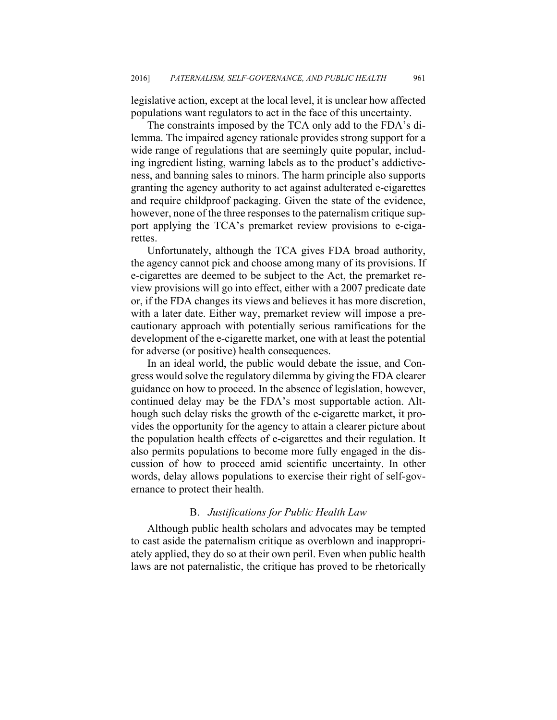legislative action, except at the local level, it is unclear how affected populations want regulators to act in the face of this uncertainty.

The constraints imposed by the TCA only add to the FDA's dilemma. The impaired agency rationale provides strong support for a wide range of regulations that are seemingly quite popular, including ingredient listing, warning labels as to the product's addictiveness, and banning sales to minors. The harm principle also supports granting the agency authority to act against adulterated e-cigarettes and require childproof packaging. Given the state of the evidence, however, none of the three responses to the paternalism critique support applying the TCA's premarket review provisions to e-cigarettes.

Unfortunately, although the TCA gives FDA broad authority, the agency cannot pick and choose among many of its provisions. If e-cigarettes are deemed to be subject to the Act, the premarket review provisions will go into effect, either with a 2007 predicate date or, if the FDA changes its views and believes it has more discretion, with a later date. Either way, premarket review will impose a precautionary approach with potentially serious ramifications for the development of the e-cigarette market, one with at least the potential for adverse (or positive) health consequences.

In an ideal world, the public would debate the issue, and Congress would solve the regulatory dilemma by giving the FDA clearer guidance on how to proceed. In the absence of legislation, however, continued delay may be the FDA's most supportable action. Although such delay risks the growth of the e-cigarette market, it provides the opportunity for the agency to attain a clearer picture about the population health effects of e-cigarettes and their regulation. It also permits populations to become more fully engaged in the discussion of how to proceed amid scientific uncertainty. In other words, delay allows populations to exercise their right of self-governance to protect their health.

### B. *Justifications for Public Health Law*

Although public health scholars and advocates may be tempted to cast aside the paternalism critique as overblown and inappropriately applied, they do so at their own peril. Even when public health laws are not paternalistic, the critique has proved to be rhetorically